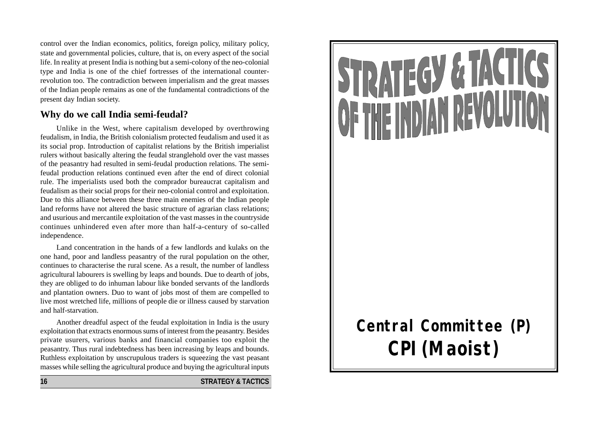control over the Indian economics, politics, foreign policy, military policy, state and governmental policies, culture, that is, on every aspect of the social life. In reality at present India is nothing but a semi-colony of the neo-colonial type and India is one of the chief fortresses of the international counterrevolution too. The contradiction between imperialism and the great masses of the Indian people remains as one of the fundamental contradictions of the present day Indian society.

## **Why do we call India semi-feudal?**

Unlike in the West, where capitalism developed by overthrowing feudalism, in India, the British colonialism protected feudalism and used it as its social prop. Introduction of capitalist relations by the British imperialist rulers without basically altering the feudal stranglehold over the vast masses of the peasantry had resulted in semi-feudal production relations. The semifeudal production relations continued even after the end of direct colonial rule. The imperialists used both the comprador bureaucrat capitalism and feudalism as their social props for their neo-colonial control and exploitation. Due to this alliance between these three main enemies of the Indian people land reforms have not altered the basic structure of agrarian class relations; and usurious and mercantile exploitation of the vast masses in the countryside continues unhindered even after more than half-a-century of so-called independence.

Land concentration in the hands of a few landlords and kulaks on the one hand, poor and landless peasantry of the rural population on the other, continues to characterise the rural scene. As a result, the number of landless agricultural labourers is swelling by leaps and bounds. Due to dearth of jobs, they are obliged to do inhuman labour like bonded servants of the landlords and plantation owners. Duo to want of jobs most of them are compelled to live most wretched life, millions of people die or illness caused by starvation and half-starvation.

Another dreadful aspect of the feudal exploitation in India is the usury exploitation that extracts enormous sums of interest from the peasantry. Besides private usurers, various banks and financial companies too exploit the peasantry. Thus rural indebtedness has been increasing by leaps and bounds. Ruthless exploitation by unscrupulous traders is squeezing the vast peasant masses while selling the agricultural produce and buying the agricultural inputs

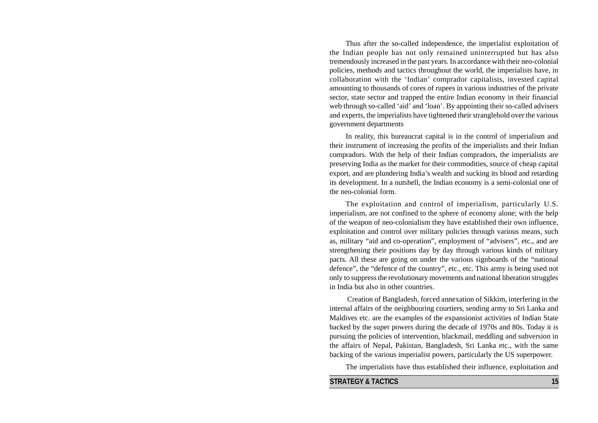Thus after the so-called independence, the imperialist exploitation of the Indian people has not only remained uninterrupted but has also tremendously increased in the past years. In accordance with their neo-colonial policies, methods and tactics throughout the world, the imperialists have, in collaboration with the 'Indian' comprador capitalists, invested capital amounting to thousands of cores of rupees in various industries of the private sector, state sector and trapped the entire Indian economy in their financial web through so-called 'aid' and 'loan'. By appointing their so-called advisers and experts, the imperialists have tightened their stranglehold over the various government departments

In reality, this bureaucrat capital is in the control of imperialism and their instrument of increasing the profits of the imperialists and their Indian compradors. With the help of their Indian compradors, the imperialists are preserving India as the market for their commodities, source of cheap capital export, and are plundering India's wealth and sucking its blood and retarding its development. In a nutshell, the Indian economy is a semi-colonial one of the neo-colonial form.

The exploitation and control of imperialism, particularly U.S. imperialism, are not confined to the sphere of economy alone; with the help of the weapon of neo-colonialism they have established their own influence, exploitation and control over military policies through various means, such as, military "aid and co-operation", employment of "advisers", etc., and are strengthening their positions day by day through various kinds of military pacts. All these are going on under the various signboards of the "national defence", the "defence of the country", etc., etc. This army is being used not only to suppress the revolutionary movements and national liberation struggles in India but also in other countries.

 Creation of Bangladesh, forced annexation of Sikkim, interfering in the internal affairs of the neighbouring courtiers, sending army to Sri Lanka and Maldives etc. are the examples of the expansionist activities of Indian State backed by the super powers during the decade of 1970s and 80s. Today it is pursuing the policies of intervention, blackmail, meddling and subversion in the affairs of Nepal, Pakistan, Bangladesh, Sri Lanka etc., with the same backing of the various imperialist powers, particularly the US superpower.

The imperialists have thus established their influence, exploitation and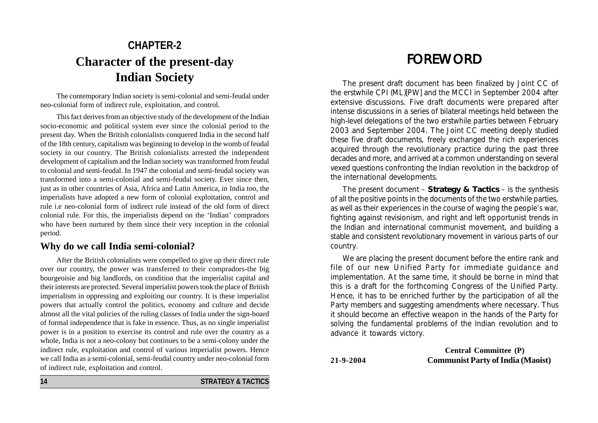# **CHAPTER-2 Character of the present-day Indian Society**

The contemporary Indian society is semi-colonial and semi-feudal under neo-colonial form of indirect rule, exploitation, and control.

This fact derives from an objective study of the development of the Indian socio-economic and political system ever since the colonial period to the present day. When the British colonialists conquered India in the second half of the 18th century, capitalism was beginning to develop in the womb of feudal society in our country. The British colonialists arrested the independent development of capitalism and the Indian society was transformed from feudal to colonial and semi-feudal. In 1947 the colonial and semi-feudal society was transformed into a semi-colonial and semi-feudal society. Ever since then, just as in other countries of Asia, Africa and Latin America, in India too, the imperialists have adopted a new form of colonial exploitation, control and rule i.e neo-colonial form of indirect rule instead of the old form of direct colonial rule. For this, the imperialists depend on the 'Indian' compradors who have been nurtured by them since their very inception in the colonial period.

## **Why do we call India semi-colonial?**

After the British colonialists were compelled to give up their direct rule over our country, the power was transferred to their compradors-the big bourgeoisie and big landlords, on condition that the imperialist capital and their interests are protected. Several imperialist powers took the place of British imperialism in oppressing and exploiting our country. It is these imperialist powers that actually control the politics, economy and culture and decide almost all the vital policies of the ruling classes of India under the sign-board of formal independence that is fake in essence. Thus, as no single imperialist power is in a position to exercise its control and rule over the country as a whole, India is not a neo-colony but continues to be a semi-colony under the indirect rule, exploitation and control of various imperialist powers. Hence we call India as a semi-colonial, semi-feudal country under neo-colonial form of indirect rule, exploitation and control.

# FOREWORD

The present draft document has been finalized by Joint CC of the erstwhile CPI (ML)[PW] and the MCCI in September 2004 after extensive discussions. Five draft documents were prepared after intense discussions in a series of bilateral meetings held between the high-level delegations of the two erstwhile parties between February 2003 and September 2004. The Joint CC meeting deeply studied these five draft documents, freely exchanged the rich experiences acquired through the revolutionary practice during the past three decades and more, and arrived at a common understanding on several vexed questions confronting the Indian revolution in the backdrop of the international developments.

The present document – **Strategy & Tactics** – is the synthesis of all the positive points in the documents of the two erstwhile parties, as well as their experiences in the course of waging the people's war, fighting against revisionism, and right and left opportunist trends in the Indian and international communist movement, and building a stable and consistent revolutionary movement in various parts of our country.

We are placing the present document before the entire rank and file of our new Unified Party for immediate guidance and implementation. At the same time, it should be borne in mind that this is a draft for the forthcoming Congress of the Unified Party. Hence, it has to be enriched further by the participation of all the Party members and suggesting amendments where necessary. Thus it should become an effective weapon in the hands of the Party for solving the fundamental problems of the Indian revolution and to advance it towards victory.

**Central Committee (P) 21-9-2004 Communist Party of India (Maoist)**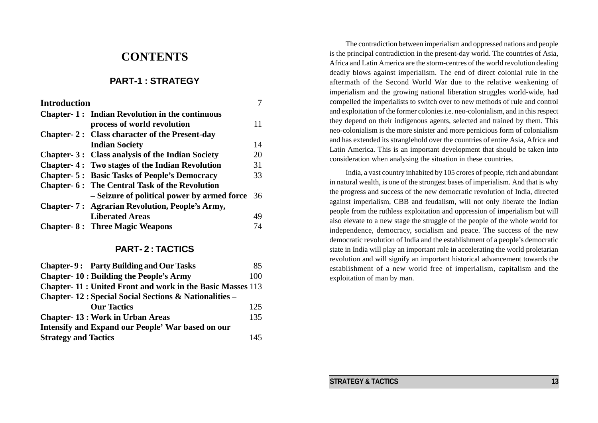# **CONTENTS**

## **PART-1 : STRATEGY**

| <b>Introduction</b> |                                                       |     |
|---------------------|-------------------------------------------------------|-----|
|                     | <b>Chapter-1: Indian Revolution in the continuous</b> |     |
|                     | process of world revolution                           | 11  |
|                     | Chapter-2: Class character of the Present-day         |     |
|                     | <b>Indian Society</b>                                 | 14  |
|                     | Chapter-3: Class analysis of the Indian Society       | 20  |
|                     | <b>Chapter-4: Two stages of the Indian Revolution</b> | 31  |
|                     | <b>Chapter-5: Basic Tasks of People's Democracy</b>   | 33  |
|                     | <b>Chapter-6: The Central Task of the Revolution</b>  |     |
|                     | - Seizure of political power by armed force           | -36 |
|                     | <b>Chapter-7: Agrarian Revolution, People's Army,</b> |     |
|                     | <b>Liberated Areas</b>                                | 49  |
|                     | <b>Chapter-8: Three Magic Weapons</b>                 | 74  |
|                     |                                                       |     |

### **PART- 2 : TACTICS**

| <b>Chapter-9: Party Building and Our Tasks</b>                   | 85  |  |
|------------------------------------------------------------------|-----|--|
| <b>Chapter-10: Building the People's Army</b>                    | 100 |  |
| <b>Chapter-11: United Front and work in the Basic Masses 113</b> |     |  |
| <b>Chapter-12: Special Social Sections &amp; Nationalities –</b> |     |  |
| <b>Our Tactics</b>                                               | 125 |  |
| <b>Chapter-13: Work in Urban Areas</b>                           | 135 |  |
| Intensify and Expand our People' War based on our                |     |  |
| <b>Strategy and Tactics</b>                                      | 145 |  |

The contradiction between imperialism and oppressed nations and people is the principal contradiction in the present-day world. The countries of Asia, Africa and Latin America are the storm-centres of the world revolution dealing deadly blows against imperialism. The end of direct colonial rule in the aftermath of the Second World War due to the relative weakening of imperialism and the growing national liberation struggles world-wide, had compelled the imperialists to switch over to new methods of rule and control and exploitation of the former colonies i.e. neo-colonialism, and in this respect they depend on their indigenous agents, selected and trained by them. This neo-colonialism is the more sinister and more pernicious form of colonialism and has extended its stranglehold over the countries of entire Asia, Africa and Latin America. This is an important development that should be taken into consideration when analysing the situation in these countries.

India, a vast country inhabited by 105 crores of people, rich and abundant in natural wealth, is one of the strongest bases of imperialism. And that is why the progress and success of the new democratic revolution of India, directed against imperialism, CBB and feudalism, will not only liberate the Indian people from the ruthless exploitation and oppression of imperialism but will also elevate to a new stage the struggle of the people of the whole world for independence, democracy, socialism and peace. The success of the new democratic revolution of India and the establishment of a people's democratic state in India will play an important role in accelerating the world proletarian revolution and will signify an important historical advancement towards the establishment of a new world free of imperialism, capitalism and the exploitation of man by man.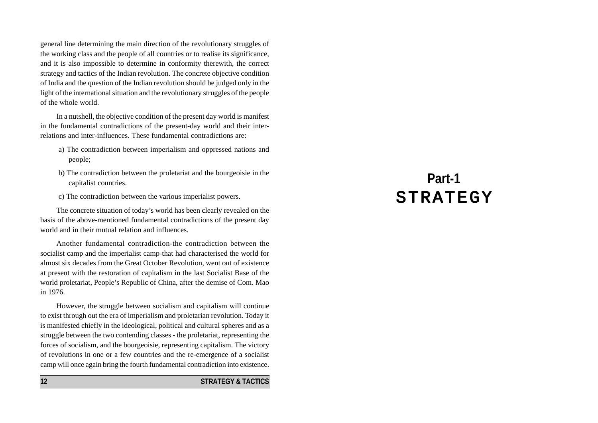general line determining the main direction of the revolutionary struggles of the working class and the people of all countries or to realise its significance, and it is also impossible to determine in conformity therewith, the correct strategy and tactics of the Indian revolution. The concrete objective condition of India and the question of the Indian revolution should be judged only in the light of the international situation and the revolutionary struggles of the people of the whole world.

In a nutshell, the objective condition of the present day world is manifest in the fundamental contradictions of the present-day world and their interrelations and inter-influences. These fundamental contradictions are:

- a) The contradiction between imperialism and oppressed nations and people;
- b) The contradiction between the proletariat and the bourgeoisie in the capitalist countries.
- c) The contradiction between the various imperialist powers.

The concrete situation of today's world has been clearly revealed on the basis of the above-mentioned fundamental contradictions of the present day world and in their mutual relation and influences.

Another fundamental contradiction-the contradiction between the socialist camp and the imperialist camp-that had characterised the world for almost six decades from the Great October Revolution, went out of existence at present with the restoration of capitalism in the last Socialist Base of the world proletariat, People's Republic of China, after the demise of Com. Mao in 1976.

However, the struggle between socialism and capitalism will continue to exist through out the era of imperialism and proletarian revolution. Today it is manifested chiefly in the ideological, political and cultural spheres and as a struggle between the two contending classes - the proletariat, representing the forces of socialism, and the bourgeoisie, representing capitalism. The victory of revolutions in one or a few countries and the re-emergence of a socialist camp will once again bring the fourth fundamental contradiction into existence.

#### **12 STRATEGY & TACTICS**

# **Part-1 STRATEGY**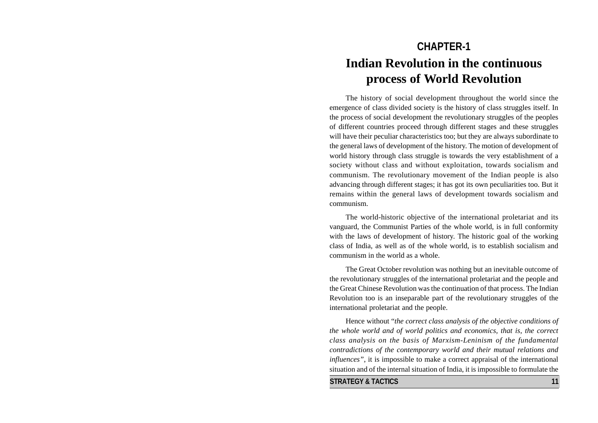# **CHAPTER-1 Indian Revolution in the continuous process of World Revolution**

The history of social development throughout the world since the emergence of class divided society is the history of class struggles itself. In the process of social development the revolutionary struggles of the peoples of different countries proceed through different stages and these struggles will have their peculiar characteristics too; but they are always subordinate to the general laws of development of the history. The motion of development of world history through class struggle is towards the very establishment of a society without class and without exploitation, towards socialism and communism. The revolutionary movement of the Indian people is also advancing through different stages; it has got its own peculiarities too. But it remains within the general laws of development towards socialism and communism.

The world-historic objective of the international proletariat and its vanguard, the Communist Parties of the whole world, is in full conformity with the laws of development of history. The historic goal of the working class of India, as well as of the whole world, is to establish socialism and communism in the world as a whole.

The Great October revolution was nothing but an inevitable outcome of the revolutionary struggles of the international proletariat and the people and the Great Chinese Revolution was the continuation of that process. The Indian Revolution too is an inseparable part of the revolutionary struggles of the international proletariat and the people.

Hence without "*the correct class analysis of the objective conditions of the whole world and of world politics and economics, that is, the correct class analysis on the basis of Marxism-Leninism of the fundamental contradictions of the contemporary world and their mutual relations and influences"*, it is impossible to make a correct appraisal of the international situation and of the internal situation of India, it is impossible to formulate the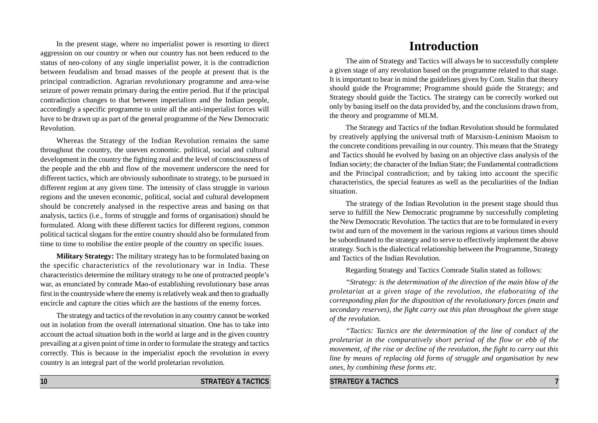In the present stage, where no imperialist power is resorting to direct aggression on our country or when our country has not been reduced to the status of neo-colony of any single imperialist power, it is the contradiction between feudalism and broad masses of the people at present that is the principal contradiction. Agrarian revolutionary programme and area-wise seizure of power remain primary during the entire period. But if the principal contradiction changes to that between imperialism and the Indian people, accordingly a specific programme to unite all the anti-imperialist forces will have to be drawn up as part of the general programme of the New Democratic Revolution.

Whereas the Strategy of the Indian Revolution remains the same throughout the country, the uneven economic. political, social and cultural development in the country the fighting zeal and the level of consciousness of the people and the ebb and flow of the movement underscore the need for different tactics, which are obviously subordinate to strategy, to be pursued in different region at any given time. The intensity of class struggle in various regions and the uneven economic, political, social and cultural development should be concretely analysed in the respective areas and basing on that analysis, tactics (i.e., forms of struggle and forms of organisation) should be formulated. Along with these different tactics for different regions, common political tactical slogans for the entire country should also be formulated from time to time to mobilise the entire people of the country on specific issues.

**Military Strategy:** The military strategy has to be formulated basing on the specific characteristics of the revolutionary war in India. These characteristics determine the military strategy to be one of protracted people's war, as enunciated by comrade Mao-of establishing revolutionary base areas first in the countryside where the enemy is relatively weak and then to gradually encircle and capture the cities which are the bastions of the enemy forces.

The strategy and tactics of the revolution in any country cannot be worked out in isolation from the overall international situation. One has to take into account the actual situation both in the world at large and in the given country prevailing at a given point of time in order to formulate the strategy and tactics correctly. This is because in the imperialist epoch the revolution in every country is an integral part of the world proletarian revolution.

### **10 STRATEGY & TACTICS**

# *"Strategy: is the determination of the direction of the main blow of the*

*proletariat at a given stage of the revolution, the elaborating of the corresponding plan for the disposition of the revolutionary forces (main and secondary reserves), the fight carry out this plan throughout the given stage of the revolution.*

Regarding Strategy and Tactics Comrade Stalin stated as follows:

*"Tactics: Tactics are the determination of the line of conduct of the proletariat in the comparatively short period of the flow or ebb of the movement, of the rise or decline of the revolution, the fight to carry out this line by means of replacing old forms of struggle and organisation by new ones, by combining these forms etc.*

#### **STRATEGY & TACTICS 7**

**Introduction**

The aim of Strategy and Tactics will always be to successfully complete a given stage of any revolution based on the programme related to that stage. It is important to bear in mind the guidelines given by Com. Stalin that theory should guide the Programme; Programme should guide the Strategy; and Strategy should guide the Tactics. The strategy can be correctly worked out only by basing itself on the data provided by, and the conclusions drawn from, the theory and programme of MLM.

The Strategy and Tactics of the Indian Revolution should be formulated by creatively applying the universal truth of Marxism-Leninism Maoism to the concrete conditions prevailing in our country. This means that the Strategy and Tactics should be evolved by basing on an objective class analysis of the Indian society; the character of the Indian State; the Fundamental contradictions and the Principal contradiction; and by taking into account the specific characteristics, the special features as well as the peculiarities of the Indian situation.

The strategy of the Indian Revolution in the present stage should thus serve to fulfill the New Democratic programme by successfully completing the New Democratic Revolution. The tactics that are to be formulated in every twist and turn of the movement in the various regions at various times should be subordinated to the strategy and to serve to effectively implement the above strategy. Such is the dialectical relationship between the Programme, Strategy and Tactics of the Indian Revolution.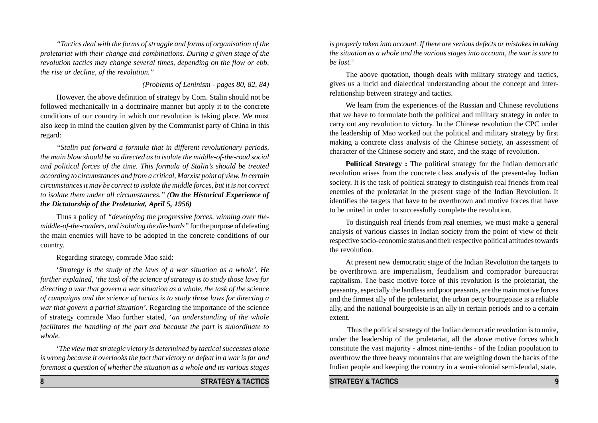*"Tactics deal with the forms of struggle and forms of organisation of the proletariat with their change and combinations. During a given stage of the revolution tactics may change several times, depending on the flow or ebb, the rise or decline, of the revolution."*

### *(Problems of Leninism - pages 80, 82, 84)*

However, the above definition of strategy by Com. Stalin should not be followed mechanically in a doctrinaire manner but apply it to the concrete conditions of our country in which our revolution is taking place. We must also keep in mind the caution given by the Communist party of China in this regard:

*"Stalin put forward a formula that in different revolutionary periods, the main blow should be so directed as to isolate the middle-of-the-road social and political forces of the time. This formula of Stalin's should be treated according to circumstances and from a critical, Marxist point of view. In certain circumstances it may be correct to isolate the middle forces, but it is not correct to isolate them under all circumstances." (On the Historical Experience of the Dictatorship of the Proletariat, April 5, 1956)*

Thus a policy of *"developing the progressive forces, winning over themiddle-of-the-roaders, and isolating the die-hards"* for the purpose of defeating the main enemies will have to be adopted in the concrete conditions of our country.

Regarding strategy, comrade Mao said:

'*Strategy is the study of the laws of a war situation as a whole'. He further explained, 'the task of the science of strategy is to study those laws for directing a war that govern a war situation as a whole, the task of the science of campaigns and the science of tactics is to study those laws for directing a war that govern a partial situation'.* Regarding the importance of the science of strategy comrade Mao further stated, '*an understanding of the whole facilitates the handling of the part and because the part is subordinate to whole.*

'*The view that strategic victory is determined by tactical successes alone is wrong because it overlooks the fact that victory or defeat in a war is far and foremost a question of whether the situation as a whole and its various stages*

*is properly taken into account. If there are serious defects or mistakes in taking the situation as a whole and the various stages into account, the war is sure to be lost.'*

The above quotation, though deals with military strategy and tactics, gives us a lucid and dialectical understanding about the concept and interrelationship between strategy and tactics.

We learn from the experiences of the Russian and Chinese revolutions that we have to formulate both the political and military strategy in order to carry out any revolution to victory. In the Chinese revolution the CPC under the leadership of Mao worked out the political and military strategy by first making a concrete class analysis of the Chinese society, an assessment of character of the Chinese society and state, and the stage of revolution.

**Political Strategy :** The political strategy for the Indian democratic revolution arises from the concrete class analysis of the present-day Indian society. It is the task of political strategy to distinguish real friends from real enemies of the proletariat in the present stage of the Indian Revolution. It identifies the targets that have to be overthrown and motive forces that have to be united in order to successfully complete the revolution.

To distinguish real friends from real enemies, we must make a general analysis of various classes in Indian society from the point of view of their respective socio-economic status and their respective political attitudes towards the revolution.

At present new democratic stage of the Indian Revolution the targets to be overthrown are imperialism, feudalism and comprador bureaucrat capitalism. The basic motive force of this revolution is the proletariat, the peasantry, especially the landless and poor peasants, are the main motive forces and the firmest ally of the proletariat, the urban petty bourgeoisie is a reliable ally, and the national bourgeoisie is an ally in certain periods and to a certain extent.

 Thus the political strategy of the Indian democratic revolution is to unite, under the leadership of the proletariat, all the above motive forces which constitute the vast majority - almost nine-tenths - of the Indian population to overthrow the three heavy mountains that are weighing down the backs of the Indian people and keeping the country in a semi-colonial semi-feudal, state.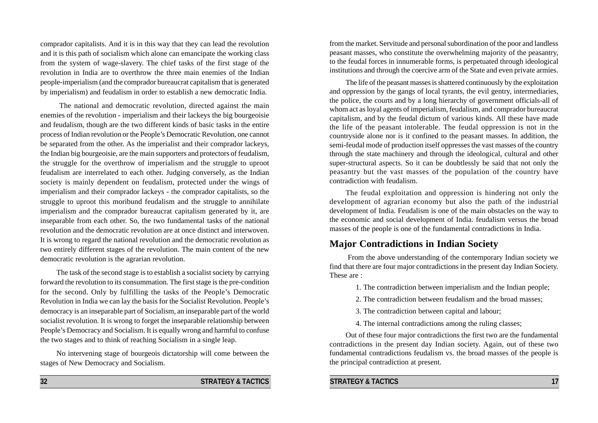comprador capitalists. And it is in this way that they can lead the revolution and it is this path of socialism which alone can emancipate the working class from the system of wage-slavery. The chief tasks of the first stage of the revolution in India are to overthrow the three main enemies of the Indian people-imperialism (and the comprador bureaucrat capitalism that is generated by imperialism) and feudalism in order to establish a new democratic India.

 The national and democratic revolution, directed against the main enemies of the revolution - imperialism and their lackeys the big bourgeoisie and feudalism, though are the two different kinds of basic tasks in the entire process of Indian revolution or the People's Democratic Revolution, one cannot be separated from the other. As the imperialist and their comprador lackeys, the Indian big bourgeoisie, are the main supporters and protectors of feudalism, the struggle for the overthrow of imperialism and the struggle to uproot feudalism are interrelated to each other. Judging conversely, as the Indian society is mainly dependent on feudalism, protected under the wings of imperialism and their comprador lackeys - the comprador capitalists, so the struggle to uproot this moribund feudalism and the struggle to annihilate imperialism and the comprador bureaucrat capitalism generated by it, are inseparable from each other. So, the two fundamental tasks of the national revolution and the democratic revolution are at once distinct and interwoven. It is wrong to regard the national revolution and the democratic revolution as two entirely different stages of the revolution. The main content of the new democratic revolution is the agrarian revolution.

The task of the second stage is to establish a socialist society by carrying forward the revolution to its consummation. The first stage is the pre-condition for the second. Only by fulfilling the tasks of the People's Democratic Revolution in India we can lay the basis for the Socialist Revolution. People's democracy is an inseparable part of Socialism, an inseparable part of the world socialist revolution. It is wrong to forget the inseparable relationship between People's Democracy and Socialism. It is equally wrong and harmful to confuse the two stages and to think of reaching Socialism in a single leap.

No intervening stage of bourgeois dictatorship will come between the stages of New Democracy and Socialism.

from the market. Servitude and personal subordination of the poor and landless peasant masses, who constitute the overwhelming majority of the peasantry, to the feudal forces in innumerable forms, is perpetuated through ideological institutions and through the coercive arm of the State and even private armies.

The life of the peasant masses is shattered continuously by the exploitation and oppression by the gangs of local tyrants, the evil gentry, intermediaries, the police, the courts and by a long hierarchy of government officials-all of whom act as loyal agents of imperialism, feudalism, and comprador bureaucrat capitalism, and by the feudal dictum of various kinds. All these have made the life of the peasant intolerable. The feudal oppression is not in the countryside alone nor is it confined to the peasant masses. In addition, the semi-feudal mode of production itself oppresses the vast masses of the country through the state machinery and through the ideological, cultural and other super-structural aspects. So it can be doubtlessly be said that not only the peasantry but the vast masses of the population of the country have contradiction with feudalism.

The feudal exploitation and oppression is hindering not only the development of agrarian economy but also the path of the industrial development of India. Feudalism is one of the main obstacles on the way to the economic and social development of India. feudalism versus the broad masses of the people is one of the fundamental contradictions in India.

## **Major Contradictions in Indian Society**

 From the above understanding of the contemporary Indian society we find that there are four major contradictions in the present day Indian Society. These are :

1. The contradiction between imperialism and the Indian people;

2. The contradiction between feudalism and the broad masses;

- 3. The contradiction between capital and labour;
- 4. The internal contradictions among the ruling classes;

Out of these four major contradictions the first two are the fundamental contradictions in the present day Indian society. Again, out of these two fundamental contradictions feudalism vs. the broad masses of the people is the principal contradiction at present.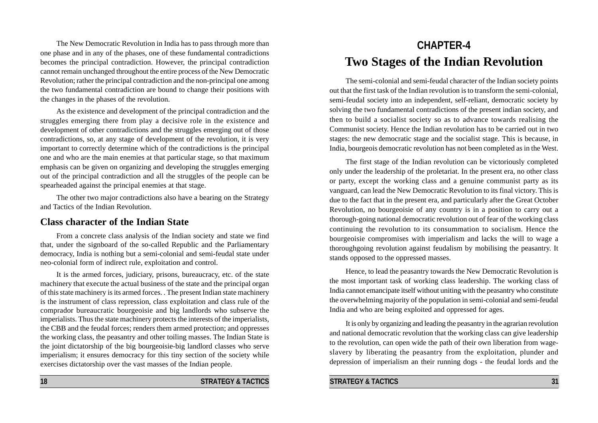The New Democratic Revolution in India has to pass through more than one phase and in any of the phases, one of these fundamental contradictions becomes the principal contradiction. However, the principal contradiction cannot remain unchanged throughout the entire process of the New Democratic Revolution; rather the principal contradiction and the non-principal one among the two fundamental contradiction are bound to change their positions with the changes in the phases of the revolution.

As the existence and development of the principal contradiction and the struggles emerging there from play a decisive role in the existence and development of other contradictions and the struggles emerging out of those contradictions, so, at any stage of development of the revolution, it is very important to correctly determine which of the contradictions is the principal one and who are the main enemies at that particular stage, so that maximum emphasis can be given on organizing and developing the struggles emerging out of the principal contradiction and all the struggles of the people can be spearheaded against the principal enemies at that stage.

The other two major contradictions also have a bearing on the Strategy and Tactics of the Indian Revolution.

## **Class character of the Indian State**

From a concrete class analysis of the Indian society and state we find that, under the signboard of the so-called Republic and the Parliamentary democracy, India is nothing but a semi-colonial and semi-feudal state under neo-colonial form of indirect rule, exploitation and control.

It is the armed forces, judiciary, prisons, bureaucracy, etc. of the state machinery that execute the actual business of the state and the principal organ of this state machinery is its armed forces. . The present Indian state machinery is the instrument of class repression, class exploitation and class rule of the comprador bureaucratic bourgeoisie and big landlords who subserve the imperialists. Thus the state machinery protects the interests of the imperialists, the CBB and the feudal forces; renders them armed protection; and oppresses the working class, the peasantry and other toiling masses. The Indian State is the joint dictatorship of the big bourgeoisie-big landlord classes who serve imperialism; it ensures democracy for this tiny section of the society while exercises dictatorship over the vast masses of the Indian people.

# **CHAPTER-4 Two Stages of the Indian Revolution**

The semi-colonial and semi-feudal character of the Indian society points out that the first task of the Indian revolution is to transform the semi-colonial, semi-feudal society into an independent, self-reliant, democratic society by solving the two fundamental contradictions of the present indian society, and then to build a socialist society so as to advance towards realising the Communist society. Hence the Indian revolution has to be carried out in two stages: the new democratic stage and the socialist stage. This is because, in India, bourgeois democratic revolution has not been completed as in the West.

The first stage of the Indian revolution can be victoriously completed only under the leadership of the proletariat. In the present era, no other class or party, except the working class and a genuine communist party as its vanguard, can lead the New Democratic Revolution to its final victory. This is due to the fact that in the present era, and particularly after the Great October Revolution, no bourgeoisie of any country is in a position to carry out a thorough-going national democratic revolution out of fear of the working class continuing the revolution to its consummation to socialism. Hence the bourgeoisie compromises with imperialism and lacks the will to wage a thoroughgoing revolution against feudalism by mobilising the peasantry. It stands opposed to the oppressed masses.

Hence, to lead the peasantry towards the New Democratic Revolution is the most important task of working class leadership. The working class of India cannot emancipate itself without uniting with the peasantry who constitute the overwhelming majority of the population in semi-colonial and semi-feudal India and who are being exploited and oppressed for ages.

It is only by organizing and leading the peasantry in the agrarian revolution and national democratic revolution that the working class can give leadership to the revolution, can open wide the path of their own liberation from wageslavery by liberating the peasantry from the exploitation, plunder and depression of imperialism an their running dogs - the feudal lords and the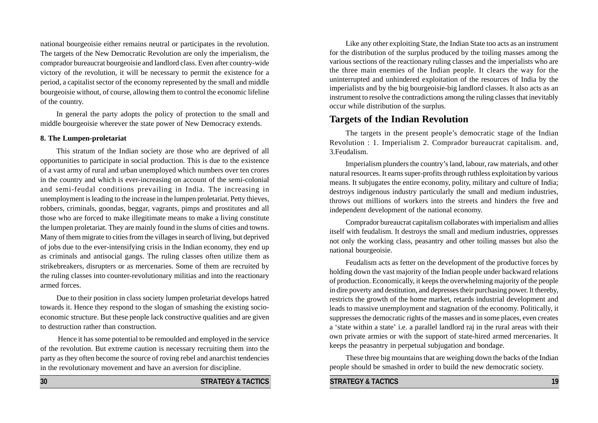national bourgeoisie either remains neutral or participates in the revolution. The targets of the New Democratic Revolution are only the imperialism, the comprador bureaucrat bourgeoisie and landlord class. Even after country-wide victory of the revolution, it will be necessary to permit the existence for a period, a capitalist sector of the economy represented by the small and middle bourgeoisie without, of course, allowing them to control the economic lifeline of the country.

In general the party adopts the policy of protection to the small and middle bourgeoisie wherever the state power of New Democracy extends.

#### **8. The Lumpen-proletariat**

This stratum of the Indian society are those who are deprived of all opportunities to participate in social production. This is due to the existence of a vast army of rural and urban unemployed which numbers over ten crores in the country and which is ever-increasing on account of the semi-colonial and semi-feudal conditions prevailing in India. The increasing in unemployment is leading to the increase in the lumpen proletariat. Petty thieves, robbers, criminals, goondas, beggar, vagrants, pimps and prostitutes and all those who are forced to make illegitimate means to make a living constitute the lumpen proletariat. They are mainly found in the slums of cities and towns. Many of them migrate to cities from the villages in search of living, but deprived of jobs due to the ever-intensifying crisis in the Indian economy, they end up as criminals and antisocial gangs. The ruling classes often utilize them as strikebreakers, disrupters or as mercenaries. Some of them are recruited by the ruling classes into counter-revolutionary militias and into the reactionary armed forces.

Due to their position in class society lumpen proletariat develops hatred towards it. Hence they respond to the slogan of smashing the existing socioeconomic structure. But these people lack constructive qualities and are given to destruction rather than construction.

 Hence it has some potential to be remoulded and employed in the service of the revolution. But extreme caution is necessary recruiting them into the party as they often become the source of roving rebel and anarchist tendencies in the revolutionary movement and have an aversion for discipline.

**30 STRATEGY & TACTICS** 

Like any other exploiting State, the Indian State too acts as an instrument for the distribution of the surplus produced by the toiling masses among the various sections of the reactionary ruling classes and the imperialists who are the three main enemies of the Indian people. It clears the way for the uninterrupted and unhindered exploitation of the resources of India by the imperialists and by the big bourgeoisie-big landlord classes. It also acts as an instrument to resolve the contradictions among the ruling classes that inevitably occur while distribution of the surplus.

### **Targets of the Indian Revolution**

The targets in the present people's democratic stage of the Indian Revolution : 1. Imperialism 2. Comprador bureaucrat capitalism. and, 3.Feudalism.

Imperialism plunders the country's land, labour, raw materials, and other natural resources. It earns super-profits through ruthless exploitation by various means. It subjugates the entire economy, polity, military and culture of India; destroys indigenous industry particularly the small and medium industries, throws out millions of workers into the streets and hinders the free and independent development of the national economy.

Comprador bureaucrat capitalism collaborates with imperialism and allies itself with feudalism. It destroys the small and medium industries, oppresses not only the working class, peasantry and other toiling masses but also the national bourgeoisie.

Feudalism acts as fetter on the development of the productive forces by holding down the vast majority of the Indian people under backward relations of production. Economically, it keeps the overwhelming majority of the people in dire poverty and destitution, and depresses their purchasing power. It thereby, restricts the growth of the home market, retards industrial development and leads to massive unemployment and stagnation of the economy. Politically, it suppresses the democratic rights of the masses and in some places, even creates a 'state within a state' i.e. a parallel landlord raj in the rural areas with their own private armies or with the support of state-hired armed mercenaries. It keeps the peasantry in perpetual subjugation and bondage.

These three big mountains that are weighing down the backs of the Indian people should be smashed in order to build the new democratic society.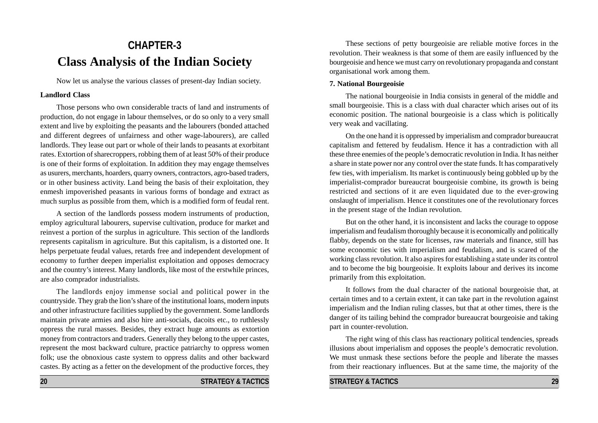# **CHAPTER-3 Class Analysis of the Indian Society**

Now let us analyse the various classes of present-day Indian society.

#### **Landlord Class**

Those persons who own considerable tracts of land and instruments of production, do not engage in labour themselves, or do so only to a very small extent and live by exploiting the peasants and the labourers (bonded attached and different degrees of unfairness and other wage-labourers), are called landlords. They lease out part or whole of their lands to peasants at exorbitant rates. Extortion of sharecroppers, robbing them of at least 50% of their produce is one of their forms of exploitation. In addition they may engage themselves as usurers, merchants, hoarders, quarry owners, contractors, agro-based traders, or in other business activity. Land being the basis of their exploitation, they enmesh impoverished peasants in various forms of bondage and extract as much surplus as possible from them, which is a modified form of feudal rent.

A section of the landlords possess modern instruments of production, employ agricultural labourers, supervise cultivation, produce for market and reinvest a portion of the surplus in agriculture. This section of the landlords represents capitalism in agriculture. But this capitalism, is a distorted one. It helps perpetuate feudal values, retards free and independent development of economy to further deepen imperialist exploitation and opposes democracy and the country's interest. Many landlords, like most of the erstwhile princes, are also comprador industrialists.

The landlords enjoy immense social and political power in the countryside. They grab the lion's share of the institutional loans, modern inputs and other infrastructure facilities supplied by the government. Some landlords maintain private armies and also hire anti-socials, dacoits etc., to ruthlessly oppress the rural masses. Besides, they extract huge amounts as extortion money from contractors and traders. Generally they belong to the upper castes, represent the most backward culture, practice patriarchy to oppress women folk; use the obnoxious caste system to oppress dalits and other backward castes. By acting as a fetter on the development of the productive forces, they

These sections of petty bourgeoisie are reliable motive forces in the revolution. Their weakness is that some of them are easily influenced by the bourgeoisie and hence we must carry on revolutionary propaganda and constant organisational work among them.

#### **7. National Bourgeoisie**

The national bourgeoisie in India consists in general of the middle and small bourgeoisie. This is a class with dual character which arises out of its economic position. The national bourgeoisie is a class which is politically very weak and vacillating.

On the one hand it is oppressed by imperialism and comprador bureaucrat capitalism and fettered by feudalism. Hence it has a contradiction with all these three enemies of the people's democratic revolution in India. It has neither a share in state power nor any control over the state funds. It has comparatively few ties, with imperialism. Its market is continuously being gobbled up by the imperialist-comprador bureaucrat bourgeoisie combine, its growth is being restricted and sections of it are even liquidated due to the ever-growing onslaught of imperialism. Hence it constitutes one of the revolutionary forces in the present stage of the Indian revolution.

But on the other hand, it is inconsistent and lacks the courage to oppose imperialism and feudalism thoroughly because it is economically and politically flabby, depends on the state for licenses, raw materials and finance, still has some economic ties with imperialism and feudalism, and is scared of the working class revolution. It also aspires for establishing a state under its control and to become the big bourgeoisie. It exploits labour and derives its income primarily from this exploitation.

It follows from the dual character of the national bourgeoisie that, at certain times and to a certain extent, it can take part in the revolution against imperialism and the Indian ruling classes, but that at other times, there is the danger of its tailing behind the comprador bureaucrat bourgeoisie and taking part in counter-revolution.

The right wing of this class has reactionary political tendencies, spreads illusions about imperialism and opposes the people's democratic revolution. We must unmask these sections before the people and liberate the masses from their reactionary influences. But at the same time, the majority of the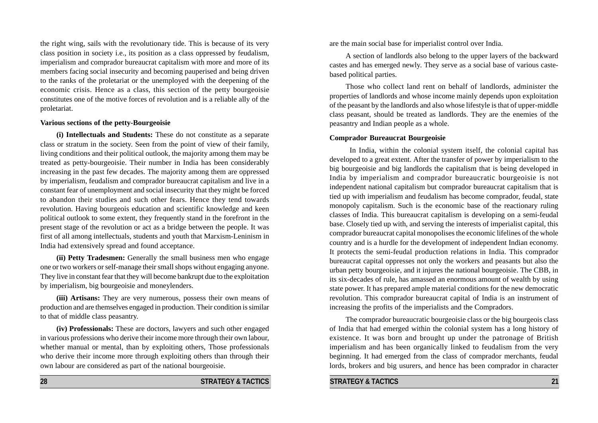the right wing, sails with the revolutionary tide. This is because of its very class position in society i.e., its position as a class oppressed by feudalism, imperialism and comprador bureaucrat capitalism with more and more of its members facing social insecurity and becoming pauperised and being driven to the ranks of the proletariat or the unemployed with the deepening of the economic crisis. Hence as a class, this section of the petty bourgeoisie constitutes one of the motive forces of revolution and is a reliable ally of the proletariat.

#### **Various sections of the petty-Bourgeoisie**

**(i) Intellectuals and Students:** These do not constitute as a separate class or stratum in the society. Seen from the point of view of their family, living conditions and their political outlook, the majority among them may be treated as petty-bourgeoisie. Their number in India has been considerably increasing in the past few decades. The majority among them are oppressed by imperialism, feudalism and comprador bureaucrat capitalism and live in a constant fear of unemployment and social insecurity that they might be forced to abandon their studies and such other fears. Hence they tend towards revolution. Having bourgeois education and scientific knowledge and keen political outlook to some extent, they frequently stand in the forefront in the present stage of the revolution or act as a bridge between the people. It was first of all among intellectuals, students and youth that Marxism-Leninism in India had extensively spread and found acceptance.

**(ii) Petty Tradesmen:** Generally the small business men who engage one or two workers or self-manage their small shops without engaging anyone. They live in constant fear that they will become bankrupt due to the exploitation by imperialism, big bourgeoisie and moneylenders.

**(iii) Artisans:** They are very numerous, possess their own means of production and are themselves engaged in production. Their condition is similar to that of middle class peasantry.

**(iv) Professionals:** These are doctors, lawyers and such other engaged in various professions who derive their income more through their own labour, whether manual or mental, than by exploiting others, Those professionals who derive their income more through exploiting others than through their own labour are considered as part of the national bourgeoisie.

are the main social base for imperialist control over India.

A section of landlords also belong to the upper layers of the backward castes and has emerged newly. They serve as a social base of various castebased political parties.

Those who collect land rent on behalf of landlords, administer the properties of landlords and whose income mainly depends upon exploitation of the peasant by the landlords and also whose lifestyle is that of upper-middle class peasant, should be treated as landlords. They are the enemies of the peasantry and Indian people as a whole.

#### **Comprador Bureaucrat Bourgeoisie**

In India, within the colonial system itself, the colonial capital has developed to a great extent. After the transfer of power by imperialism to the big bourgeoisie and big landlords the capitalism that is being developed in India by imperialism and comprador bureaucratic bourgeoisie is not independent national capitalism but comprador bureaucrat capitalism that is tied up with imperialism and feudalism has become comprador, feudal, state monopoly capitalism. Such is the economic base of the reactionary ruling classes of India. This bureaucrat capitalism is developing on a semi-feudal base. Closely tied up with, and serving the interests of imperialist capital, this comprador bureaucrat capital monopolises the economic lifelines of the whole country and is a hurdle for the development of independent Indian economy. It protects the semi-feudal production relations in India. This comprador bureaucrat capital oppresses not only the workers and peasants but also the urban petty bourgeoisie, and it injures the national bourgeoisie. The CBB, in its six-decades of rule, has amassed an enormous amount of wealth by using state power. It has prepared ample material conditions for the new democratic revolution. This comprador bureaucrat capital of India is an instrument of increasing the profits of the imperialists and the Compradors.

The comprador bureaucratic bourgeoisie class or the big bourgeois class of India that had emerged within the colonial system has a long history of existence. It was born and brought up under the patronage of British imperialism and has been organically linked to feudalism from the very beginning. It had emerged from the class of comprador merchants, feudal lords, brokers and big usurers, and hence has been comprador in character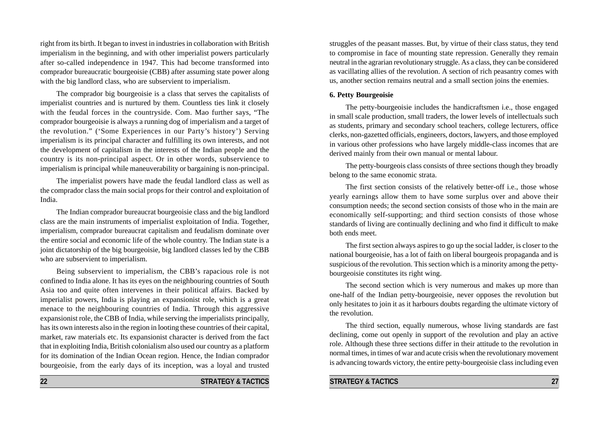right from its birth. It began to invest in industries in collaboration with British imperialism in the beginning, and with other imperialist powers particularly after so-called independence in 1947. This had become transformed into comprador bureaucratic bourgeoisie (CBB) after assuming state power along with the big landlord class, who are subservient to imperialism.

The comprador big bourgeoisie is a class that serves the capitalists of imperialist countries and is nurtured by them. Countless ties link it closely with the feudal forces in the countryside. Com. Mao further says, "The comprador bourgeoisie is always a running dog of imperialism and a target of the revolution." ('Some Experiences in our Party's history') Serving imperialism is its principal character and fulfilling its own interests, and not the development of capitalism in the interests of the Indian people and the country is its non-principal aspect. Or in other words, subservience to imperialism is principal while maneuverability or bargaining is non-principal.

The imperialist powers have made the feudal landlord class as well as the comprador class the main social props for their control and exploitation of India.

The Indian comprador bureaucrat bourgeoisie class and the big landlord class are the main instruments of imperialist exploitation of India. Together, imperialism, comprador bureaucrat capitalism and feudalism dominate over the entire social and economic life of the whole country. The Indian state is a joint dictatorship of the big bourgeoisie, big landlord classes led by the CBB who are subservient to imperialism.

Being subservient to imperialism, the CBB's rapacious role is not confined to India alone. It has its eyes on the neighbouring countries of South Asia too and quite often intervenes in their political affairs. Backed by imperialist powers, India is playing an expansionist role, which is a great menace to the neighbouring countries of India. Through this aggressive expansionist role, the CBB of India, while serving the imperialists principally, has its own interests also in the region in looting these countries of their capital, market, raw materials etc. Its expansionist character is derived from the fact that in exploiting India, British colonialism also used our country as a platform for its domination of the Indian Ocean region. Hence, the Indian comprador bourgeoisie, from the early days of its inception, was a loyal and trusted

struggles of the peasant masses. But, by virtue of their class status, they tend to compromise in face of mounting state repression. Generally they remain neutral in the agrarian revolutionary struggle. As a class, they can be considered as vacillating allies of the revolution. A section of rich peasantry comes with us, another section remains neutral and a small section joins the enemies.

#### **6. Petty Bourgeoisie**

The petty-bourgeoisie includes the handicraftsmen i.e., those engaged in small scale production, small traders, the lower levels of intellectuals such as students, primary and secondary school teachers, college lecturers, office clerks, non-gazetted officials, engineers, doctors, lawyers, and those employed in various other professions who have largely middle-class incomes that are derived mainly from their own manual or mental labour.

The petty-bourgeois class consists of three sections though they broadly belong to the same economic strata.

The first section consists of the relatively better-off i.e., those whose yearly earnings allow them to have some surplus over and above their consumption needs; the second section consists of those who in the main are economically self-supporting; and third section consists of those whose standards of living are continually declining and who find it difficult to make both ends meet.

The first section always aspires to go up the social ladder, is closer to the national bourgeoisie, has a lot of faith on liberal bourgeois propaganda and is suspicious of the revolution. This section which is a minority among the pettybourgeoisie constitutes its right wing.

The second section which is very numerous and makes up more than one-half of the Indian petty-bourgeoisie, never opposes the revolution but only hesitates to join it as it harbours doubts regarding the ultimate victory of the revolution.

The third section, equally numerous, whose living standards are fast declining, come out openly in support of the revolution and play an active role. Although these three sections differ in their attitude to the revolution in normal times, in times of war and acute crisis when the revolutionary movement is advancing towards victory, the entire petty-bourgeoisie class including even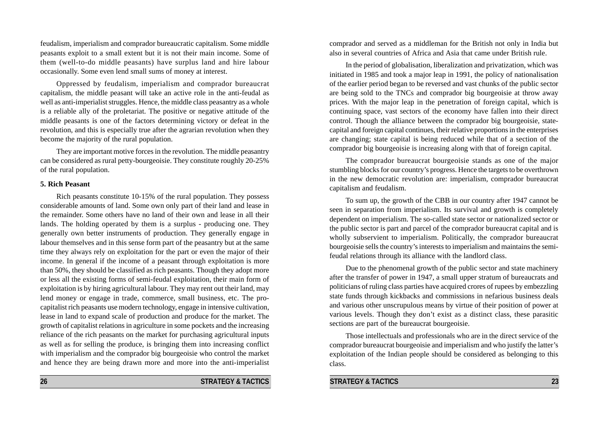feudalism, imperialism and comprador bureaucratic capitalism. Some middle peasants exploit to a small extent but it is not their main income. Some of them (well-to-do middle peasants) have surplus land and hire labour occasionally. Some even lend small sums of money at interest.

Oppressed by feudalism, imperialism and comprador bureaucrat capitalism, the middle peasant will take an active role in the anti-feudal as well as anti-imperialist struggles. Hence, the middle class peasantry as a whole is a reliable ally of the proletariat. The positive or negative attitude of the middle peasants is one of the factors determining victory or defeat in the revolution, and this is especially true after the agrarian revolution when they become the majority of the rural population.

They are important motive forces in the revolution. The middle peasantry can be considered as rural petty-bourgeoisie. They constitute roughly 20-25% of the rural population.

#### **5. Rich Peasant**

Rich peasants constitute 10-15% of the rural population. They possess considerable amounts of land. Some own only part of their land and lease in the remainder. Some others have no land of their own and lease in all their lands. The holding operated by them is a surplus - producing one. They generally own better instruments of production. They generally engage in labour themselves and in this sense form part of the peasantry but at the same time they always rely on exploitation for the part or even the major of their income. In general if the income of a peasant through exploitation is more than 50%, they should be classified as rich peasants. Though they adopt more or less all the existing forms of semi-feudal exploitation, their main form of exploitation is by hiring agricultural labour. They may rent out their land, may lend money or engage in trade, commerce, small business, etc. The procapitalist rich peasants use modern technology, engage in intensive cultivation, lease in land to expand scale of production and produce for the market. The growth of capitalist relations in agriculture in some pockets and the increasing reliance of the rich peasants on the market for purchasing agricultural inputs as well as for selling the produce, is bringing them into increasing conflict with imperialism and the comprador big bourgeoisie who control the market and hence they are being drawn more and more into the anti-imperialist comprador and served as a middleman for the British not only in India but also in several countries of Africa and Asia that came under British rule.

In the period of globalisation, liberalization and privatization, which was initiated in 1985 and took a major leap in 1991, the policy of nationalisation of the earlier period began to be reversed and vast chunks of the public sector are being sold to the TNCs and comprador big bourgeoisie at throw away prices. With the major leap in the penetration of foreign capital, which is continuing space, vast sectors of the economy have fallen into their direct control. Though the alliance between the comprador big bourgeoisie, statecapital and foreign capital continues, their relative proportions in the enterprises are changing; state capital is being reduced while that of a section of the comprador big bourgeoisie is increasing along with that of foreign capital.

The comprador bureaucrat bourgeoisie stands as one of the major stumbling blocks for our country's progress. Hence the targets to be overthrown in the new democratic revolution are: imperialism, comprador bureaucrat capitalism and feudalism.

To sum up, the growth of the CBB in our country after 1947 cannot be seen in separation from imperialism. Its survival and growth is completely dependent on imperialism. The so-called state sector or nationalized sector or the public sector is part and parcel of the comprador bureaucrat capital and is wholly subservient to imperialism. Politically, the comprador bureaucrat bourgeoisie sells the country's interests to imperialism and maintains the semifeudal relations through its alliance with the landlord class.

Due to the phenomenal growth of the public sector and state machinery after the transfer of power in 1947, a small upper stratum of bureaucrats and politicians of ruling class parties have acquired crores of rupees by embezzling state funds through kickbacks and commissions in nefarious business deals and various other unscrupulous means by virtue of their position of power at various levels. Though they don't exist as a distinct class, these parasitic sections are part of the bureaucrat bourgeoisie.

Those intellectuals and professionals who are in the direct service of the comprador bureaucrat bourgeoisie and imperialism and who justify the latter's exploitation of the Indian people should be considered as belonging to this class.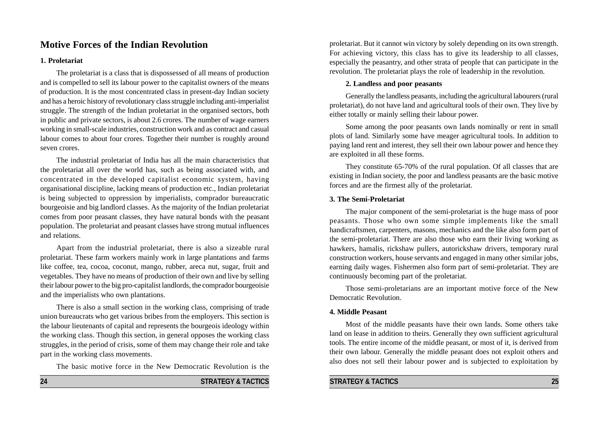# **Motive Forces of the Indian Revolution**

#### **1. Proletariat**

The proletariat is a class that is dispossessed of all means of production and is compelled to sell its labour power to the capitalist owners of the means of production. It is the most concentrated class in present-day Indian society and has a heroic history of revolutionary class struggle including anti-imperialist struggle. The strength of the Indian proletariat in the organised sectors, both in public and private sectors, is about 2.6 crores. The number of wage earners working in small-scale industries, construction work and as contract and casual labour comes to about four crores. Together their number is roughly around seven crores.

The industrial proletariat of India has all the main characteristics that the proletariat all over the world has, such as being associated with, and concentrated in the developed capitalist economic system, having organisational discipline, lacking means of production etc., Indian proletariat is being subjected to oppression by imperialists, comprador bureaucratic bourgeoisie and big landlord classes. As the majority of the Indian proletariat comes from poor peasant classes, they have natural bonds with the peasant population. The proletariat and peasant classes have strong mutual influences and relations.

Apart from the industrial proletariat, there is also a sizeable rural proletariat. These farm workers mainly work in large plantations and farms like coffee, tea, cocoa, coconut, mango, rubber, areca nut, sugar, fruit and vegetables. They have no means of production of their own and live by selling their labour power to the big pro-capitalist landlords, the comprador bourgeoisie and the imperialists who own plantations.

There is also a small section in the working class, comprising of trade union bureaucrats who get various bribes from the employers. This section is the labour lieutenants of capital and represents the bourgeois ideology within the working class. Though this section, in general opposes the working class struggles, in the period of crisis, some of them may change their role and take part in the working class movements.

The basic motive force in the New Democratic Revolution is the

proletariat. But it cannot win victory by solely depending on its own strength. For achieving victory, this class has to give its leadership to all classes, especially the peasantry, and other strata of people that can participate in the revolution. The proletariat plays the role of leadership in the revolution.

#### **2. Landless and poor peasants**

Generally the landless peasants, including the agricultural labourers (rural proletariat), do not have land and agricultural tools of their own. They live by either totally or mainly selling their labour power.

Some among the poor peasants own lands nominally or rent in small plots of land. Similarly some have meager agricultural tools. In addition to paying land rent and interest, they sell their own labour power and hence they are exploited in all these forms.

They constitute 65-70% of the rural population. Of all classes that are existing in Indian society, the poor and landless peasants are the basic motive forces and are the firmest ally of the proletariat.

#### **3. The Semi-Proletariat**

The major component of the semi-proletariat is the huge mass of poor peasants. Those who own some simple implements like the small handicraftsmen, carpenters, masons, mechanics and the like also form part of the semi-proletariat. There are also those who earn their living working as hawkers, hamalis, rickshaw pullers, autorickshaw drivers, temporary rural construction workers, house servants and engaged in many other similar jobs, earning daily wages. Fishermen also form part of semi-proletariat. They are continuously becoming part of the proletariat.

Those semi-proletarians are an important motive force of the New Democratic Revolution.

#### **4. Middle Peasant**

Most of the middle peasants have their own lands. Some others take land on lease in addition to theirs. Generally they own sufficient agricultural tools. The entire income of the middle peasant, or most of it, is derived from their own labour. Generally the middle peasant does not exploit others and also does not sell their labour power and is subjected to exploitation by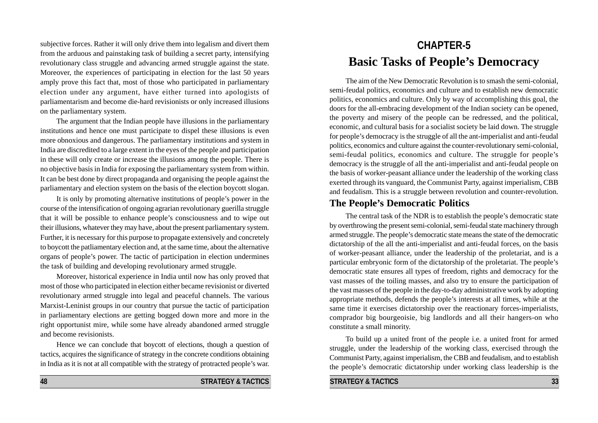subjective forces. Rather it will only drive them into legalism and divert them from the arduous and painstaking task of building a secret party, intensifying revolutionary class struggle and advancing armed struggle against the state. Moreover, the experiences of participating in election for the last 50 years amply prove this fact that, most of those who participated in parliamentary election under any argument, have either turned into apologists of parliamentarism and become die-hard revisionists or only increased illusions on the parliamentary system.

The argument that the Indian people have illusions in the parliamentary institutions and hence one must participate to dispel these illusions is even more obnoxious and dangerous. The parliamentary institutions and system in India are discredited to a large extent in the eyes of the people and participation in these will only create or increase the illusions among the people. There is no objective basis in India for exposing the parliamentary system from within. It can be best done by direct propaganda and organising the people against the parliamentary and election system on the basis of the election boycott slogan.

It is only by promoting alternative institutions of people's power in the course of the intensification of ongoing agrarian revolutionary guerilla struggle that it will be possible to enhance people's consciousness and to wipe out their illusions, whatever they may have, about the present parliamentary system. Further, it is necessary for this purpose to propagate extensively and concretely to boycott the patliamentary election and, at the same time, about the alternative organs of people's power. The tactic of participation in election undermines the task of building and developing revolutionary armed struggle.

Moreover, historical experience in India until now has only proved that most of those who participated in election either became revisionist or diverted revolutionary armed struggle into legal and peaceful channels. The various Marxist-Leninist groups in our country that pursue the tactic of participation in parliamentary elections are getting bogged down more and more in the right opportunist mire, while some have already abandoned armed struggle and become revisionists.

Hence we can conclude that boycott of elections, though a question of tactics, acquires the significance of strategy in the concrete conditions obtaining in India as it is not at all compatible with the strategy of protracted people's war.

# **CHAPTER-5 Basic Tasks of People's Democracy**

The aim of the New Democratic Revolution is to smash the semi-colonial, semi-feudal politics, economics and culture and to establish new democratic politics, economics and culture. Only by way of accomplishing this goal, the doors for the all-embracing development of the Indian society can be opened, the poverty and misery of the people can be redressed, and the political, economic, and cultural basis for a socialist society be laid down. The struggle for people's democracy is the struggle of all the ant-imperialist and anti-feudal politics, economics and culture against the counter-revolutionary semi-colonial, semi-feudal politics, economics and culture. The struggle for people's democracy is the struggle of all the anti-imperialist and anti-feudal people on the basis of worker-peasant alliance under the leadership of the working class exerted through its vanguard, the Communist Party, against imperialism, CBB and feudalism. This is a struggle between revolution and counter-revolution.

## **The People's Democratic Politics**

The central task of the NDR is to establish the people's democratic state by overthrowing the present semi-colonial, semi-feudal state machinery through armed struggle. The people's democratic state means the state of the democratic dictatorship of the all the anti-imperialist and anti-feudal forces, on the basis of worker-peasant alliance, under the leadership of the proletariat, and is a particular embryonic form of the dictatorship of the proletariat. The people's democratic state ensures all types of freedom, rights and democracy for the vast masses of the toiling masses, and also try to ensure the participation of the vast masses of the people in the day-to-day administrative work by adopting appropriate methods, defends the people's interests at all times, while at the same time it exercises dictatorship over the reactionary forces-imperialists, comprador big bourgeoisie, big landlords and all their hangers-on who constitute a small minority.

To build up a united front of the people i.e. a united front for armed struggle, under the leadership of the working class, exercised through the Communist Party, against imperialism, the CBB and feudalism, and to establish the people's democratic dictatorship under working class leadership is the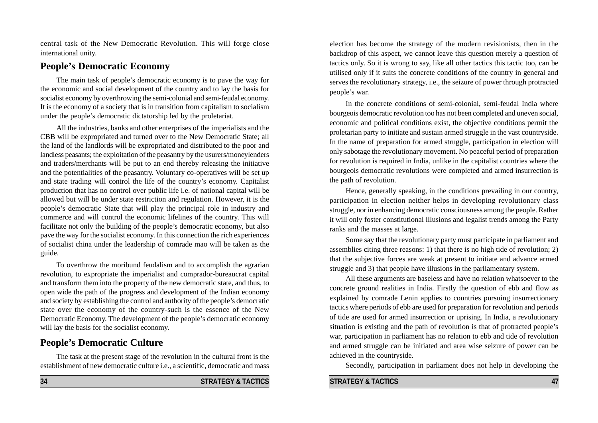central task of the New Democratic Revolution. This will forge close international unity.

## **People's Democratic Economy**

The main task of people's democratic economy is to pave the way for the economic and social development of the country and to lay the basis for socialist economy by overthrowing the semi-colonial and semi-feudal economy. It is the economy of a society that is in transition from capitalism to socialism under the people's democratic dictatorship led by the proletariat.

All the industries, banks and other enterprises of the imperialists and the CBB will be expropriated and turned over to the New Democratic State; all the land of the landlords will be expropriated and distributed to the poor and landless peasants; the exploitation of the peasantry by the usurers/moneylenders and traders/merchants will be put to an end thereby releasing the initiative and the potentialities of the peasantry. Voluntary co-operatives will be set up and state trading will control the life of the country's economy. Capitalist production that has no control over public life i.e. of national capital will be allowed but will be under state restriction and regulation. However, it is the people's democratic State that will play the principal role in industry and commerce and will control the economic lifelines of the country. This will facilitate not only the building of the people's democratic economy, but also pave the way for the socialist economy. In this connection the rich experiences of socialist china under the leadership of comrade mao will be taken as the guide.

To overthrow the moribund feudalism and to accomplish the agrarian revolution, to expropriate the imperialist and comprador-bureaucrat capital and transform them into the property of the new democratic state, and thus, to open wide the path of the progress and development of the Indian economy and society by establishing the control and authority of the people's democratic state over the economy of the country-such is the essence of the New Democratic Economy. The development of the people's democratic economy will lay the basis for the socialist economy.

# **People's Democratic Culture**

The task at the present stage of the revolution in the cultural front is the establishment of new democratic culture i.e., a scientific, democratic and mass

election has become the strategy of the modern revisionists, then in the backdrop of this aspect, we cannot leave this question merely a question of tactics only. So it is wrong to say, like all other tactics this tactic too, can be utilised only if it suits the concrete conditions of the country in general and serves the revolutionary strategy, i.e., the seizure of power through protracted people's war.

In the concrete conditions of semi-colonial, semi-feudal India where bourgeois democratic revolution too has not been completed and uneven social, economic and political conditions exist, the objective conditions permit the proletarian party to initiate and sustain armed struggle in the vast countryside. In the name of preparation for armed struggle, participation in election will only sabotage the revolutionary movement. No peaceful period of preparation for revolution is required in India, unlike in the capitalist countries where the bourgeois democratic revolutions were completed and armed insurrection is the path of revolution.

Hence, generally speaking, in the conditions prevailing in our country, participation in election neither helps in developing revolutionary class struggle, nor in enhancing democratic consciousness among the people. Rather it will only foster constitutional illusions and legalist trends among the Party ranks and the masses at large.

Some say that the revolutionary party must participate in parliament and assemblies citing three reasons: 1) that there is no high tide of revolution; 2) that the subjective forces are weak at present to initiate and advance armed struggle and 3) that people have illusions in the parliamentary system.

All these arguments are baseless and have no relation whatsoever to the concrete ground realities in India. Firstly the question of ebb and flow as explained by comrade Lenin applies to countries pursuing insurrectionary tactics where periods of ebb are used for preparation for revolution and periods of tide are used for armed insurrection or uprising. In India, a revolutionary situation is existing and the path of revolution is that of protracted people's war, participation in parliament has no relation to ebb and tide of revolution and armed struggle can be initiated and area wise seizure of power can be achieved in the countryside.

Secondly, participation in parliament does not help in developing the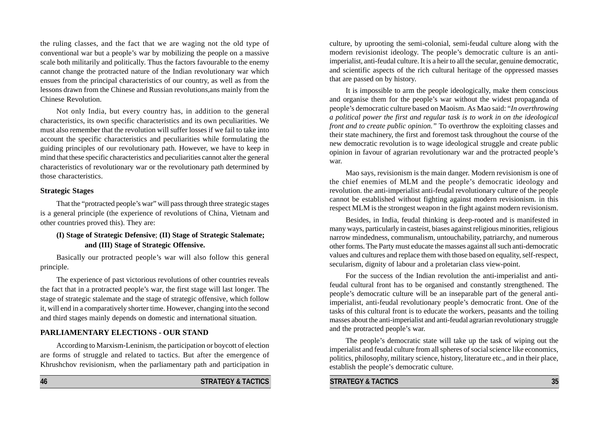the ruling classes, and the fact that we are waging not the old type of conventional war but a people's war by mobilizing the people on a massive scale both militarily and politically. Thus the factors favourable to the enemy cannot change the protracted nature of the Indian revolutionary war which ensues from the principal characteristics of our country, as well as from the lessons drawn from the Chinese and Russian revolutions,ans mainly from the Chinese Revolution.

Not only India, but every country has, in addition to the general characteristics, its own specific characteristics and its own peculiarities. We must also remember that the revolution will suffer losses if we fail to take into account the specific characteristics and peculiarities while formulating the guiding principles of our revolutionary path. However, we have to keep in mind that these specific characteristics and peculiarities cannot alter the general characteristics of revolutionary war or the revolutionary path determined by those characteristics.

#### **Strategic Stages**

That the "protracted people's war" will pass through three strategic stages is a general principle (the experience of revolutions of China, Vietnam and other countries proved this). They are:

### **(I) Stage of Strategic Defensive**; **(II) Stage of Strategic Stalemate; and (III) Stage of Strategic Offensive.**

Basically our protracted people's war will also follow this general principle.

The experience of past victorious revolutions of other countries reveals the fact that in a protracted people's war, the first stage will last longer. The stage of strategic stalemate and the stage of strategic offensive, which follow it, will end in a comparatively shorter time. However, changing into the second and third stages mainly depends on domestic and international situation.

#### **PARLIAMENTARY ELECTIONS - OUR STAND**

According to Marxism-Leninism, the participation or boycott of election are forms of struggle and related to tactics. But after the emergence of Khrushchov revisionism, when the parliamentary path and participation in culture, by uprooting the semi-colonial, semi-feudal culture along with the modern revisionist ideology. The people's democratic culture is an antiimperialist, anti-feudal culture. It is a heir to all the secular, genuine democratic, and scientific aspects of the rich cultural heritage of the oppressed masses that are passed on by history.

It is impossible to arm the people ideologically, make them conscious and organise them for the people's war without the widest propaganda of people's democratic culture based on Maoism. As Mao said: "*In overthrowing a political power the first and regular task is to work in on the ideological front and to create public opinion."* To overthrow the exploiting classes and their state machinery, the first and foremost task throughout the course of the new democratic revolution is to wage ideological struggle and create public opinion in favour of agrarian revolutionary war and the protracted people's war.

Mao says, revisionism is the main danger. Modern revisionism is one of the chief enemies of MLM and the people's democratic ideology and revolution. the anti-imperialist anti-feudal revolutionary culture of the people cannot be established without fighting against modern revisionism. in this respect MLM is the strongest weapon in the fight against modern revisionism.

Besides, in India, feudal thinking is deep-rooted and is manifested in many ways, particularly in casteist, biases against religious minorities, religious narrow mindedness, communalism, untouchability, patriarchy, and numerous other forms. The Party must educate the masses against all such anti-democratic values and cultures and replace them with those based on equality, self-respect, secularism, dignity of labour and a proletarian class view-point.

For the success of the Indian revolution the anti-imperialist and antifeudal cultural front has to be organised and constantly strengthened. The people's democratic culture will be an inseparable part of the general antiimperialist, anti-feudal revolutionary people's democratic front. One of the tasks of this cultural front is to educate the workers, peasants and the toiling masses about the anti-imperialist and anti-feudal agrarian revolutionary struggle and the protracted people's war.

The people's democratic state will take up the task of wiping out the imperialist and feudal culture from all spheres of social science like economics, politics, philosophy, military science, history, literature etc., and in their place, establish the people's democratic culture.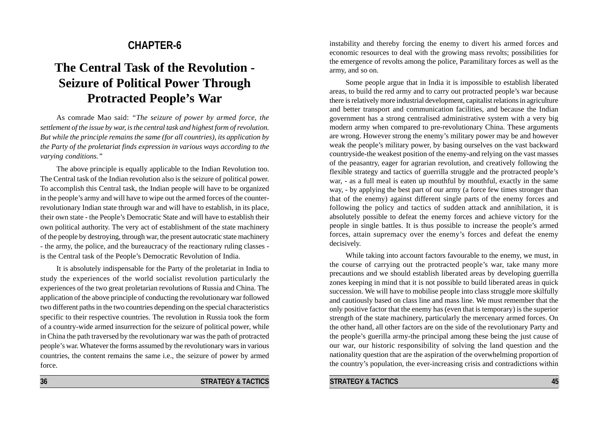# **CHAPTER-6**

# **The Central Task of the Revolution - Seizure of Political Power Through Protracted People's War**

As comrade Mao said: *"The seizure of power by armed force, the settlement of the issue by war, is the central task and highest form of revolution. But while the principle remains the same (for all countries), its application by the Party of the proletariat finds expression in various ways according to the varying conditions."*

The above principle is equally applicable to the Indian Revolution too. The Central task of the Indian revolution also is the seizure of political power. To accomplish this Central task, the Indian people will have to be organized in the people's army and will have to wipe out the armed forces of the counterrevolutionary Indian state through war and will have to establish, in its place, their own state - the People's Democratic State and will have to establish their own political authority. The very act of establishment of the state machinery of the people by destroying, through war, the present autocratic state machinery - the army, the police, and the bureaucracy of the reactionary ruling classes is the Central task of the People's Democratic Revolution of India.

It is absolutely indispensable for the Party of the proletariat in India to study the experiences of the world socialist revolution particularly the experiences of the two great proletarian revolutions of Russia and China. The application of the above principle of conducting the revolutionary war followed two different paths in the two countries depending on the special characteristics specific to their respective countries. The revolution in Russia took the form of a country-wide armed insurrection for the seizure of political power, while in China the path traversed by the revolutionary war was the path of protracted people's war. Whatever the forms assumed by the revolutionary wars in various countries, the content remains the same i.e., the seizure of power by armed force.

instability and thereby forcing the enemy to divert his armed forces and economic resources to deal with the growing mass revolts; possibilities for the emergence of revolts among the police, Paramilitary forces as well as the army, and so on.

Some people argue that in India it is impossible to establish liberated areas, to build the red army and to carry out protracted people's war because there is relatively more industrial development, capitalist relations in agriculture and better transport and communication facilities, and because the Indian government has a strong centralised administrative system with a very big modern army when compared to pre-revolutionary China. These arguments are wrong. However strong the enemy's military power may be and however weak the people's military power, by basing ourselves on the vast backward countryside-the weakest position of the enemy-and relying on the vast masses of the peasantry, eager for agrarian revolution, and creatively following the flexible strategy and tactics of guerrilla struggle and the protracted people's war, - as a full meal is eaten up mouthful by mouthful, exactly in the same way, - by applying the best part of our army (a force few times stronger than that of the enemy) against different single parts of the enemy forces and following the policy and tactics of sudden attack and annihilation, it is absolutely possible to defeat the enemy forces and achieve victory for the people in single battles. It is thus possible to increase the people's armed forces, attain supremacy over the enemy's forces and defeat the enemy decisively.

While taking into account factors favourable to the enemy, we must, in the course of carrying out the protracted people's war, take many more precautions and we should establish liberated areas by developing guerrilla zones keeping in mind that it is not possible to build liberated areas in quick succession. We will have to mobilise people into class struggle more skilfully and cautiously based on class line and mass line. We must remember that the only positive factor that the enemy has (even that is temporary) is the superior strength of the state machinery, particularly the mercenary armed forces. On the other hand, all other factors are on the side of the revolutionary Party and the people's guerilla army-the principal among these being the just cause of our war, our historic responsibility of solving the land question and the nationality question that are the aspiration of the overwhelming proportion of the country's population, the ever-increasing crisis and contradictions within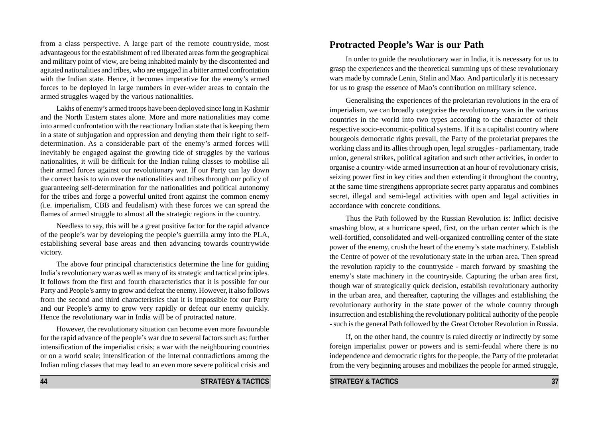from a class perspective. A large part of the remote countryside, most advantageous for the establishment of red liberated areas form the geographical and military point of view, are being inhabited mainly by the discontented and agitated nationalities and tribes, who are engaged in a bitter armed confrontation with the Indian state. Hence, it becomes imperative for the enemy's armed forces to be deployed in large numbers in ever-wider areas to contain the armed struggles waged by the various nationalities.

Lakhs of enemy's armed troops have been deployed since long in Kashmir and the North Eastern states alone. More and more nationalities may come into armed confrontation with the reactionary Indian state that is keeping them in a state of subjugation and oppression and denying them their right to selfdetermination. As a considerable part of the enemy's armed forces will inevitably be engaged against the growing tide of struggles by the various nationalities, it will be difficult for the Indian ruling classes to mobilise all their armed forces against our revolutionary war. If our Party can lay down the correct basis to win over the nationalities and tribes through our policy of guaranteeing self-determination for the nationalities and political autonomy for the tribes and forge a powerful united front against the common enemy (i.e. imperialism, CBB and feudalism) with these forces we can spread the flames of armed struggle to almost all the strategic regions in the country.

Needless to say, this will be a great positive factor for the rapid advance of the people's war by developing the people's guerrilla army into the PLA, establishing several base areas and then advancing towards countrywide victory.

The above four principal characteristics determine the line for guiding India's revolutionary war as well as many of its strategic and tactical principles. It follows from the first and fourth characteristics that it is possible for our Party and People's army to grow and defeat the enemy. However, it also follows from the second and third characteristics that it is impossible for our Party and our People's army to grow very rapidly or defeat our enemy quickly. Hence the revolutionary war in India will be of protracted nature.

However, the revolutionary situation can become even more favourable for the rapid advance of the people's war due to several factors such as: further intensification of the imperialist crisis; a war with the neighbouring countries or on a world scale; intensification of the internal contradictions among the Indian ruling classes that may lead to an even more severe political crisis and

#### **44 STRATEGY & TACTICS**

In order to guide the revolutionary war in India, it is necessary for us to grasp the experiences and the theoretical summing ups of these revolutionary wars made by comrade Lenin, Stalin and Mao. And particularly it is necessary for us to grasp the essence of Mao's contribution on military science.

Generalising the experiences of the proletarian revolutions in the era of imperialism, we can broadly categorise the revolutionary wars in the various countries in the world into two types according to the character of their respective socio-economic-political systems. If it is a capitalist country where bourgeois democratic rights prevail, the Party of the proletariat prepares the working class and its allies through open, legal struggles - parliamentary, trade union, general strikes, political agitation and such other activities, in order to organise a country-wide armed insurrection at an hour of revolutionary crisis, seizing power first in key cities and then extending it throughout the country, at the same time strengthens appropriate secret party apparatus and combines secret, illegal and semi-legal activities with open and legal activities in accordance with concrete conditions.

Thus the Path followed by the Russian Revolution is: Inflict decisive smashing blow, at a hurricane speed, first, on the urban center which is the well-fortified, consolidated and well-organized controlling center of the state power of the enemy, crush the heart of the enemy's state machinery. Establish the Centre of power of the revolutionary state in the urban area. Then spread the revolution rapidly to the countryside - march forward by smashing the enemy's state machinery in the countryside. Capturing the urban area first, though war of strategically quick decision, establish revolutionary authority in the urban area, and thereafter, capturing the villages and establishing the revolutionary authority in the state power of the whole country through insurrection and establishing the revolutionary political authority of the people - such is the general Path followed by the Great October Revolution in Russia.

If, on the other hand, the country is ruled directly or indirectly by some foreign imperialist power or powers and is semi-feudal where there is no independence and democratic rights for the people, the Party of the proletariat from the very beginning arouses and mobilizes the people for armed struggle,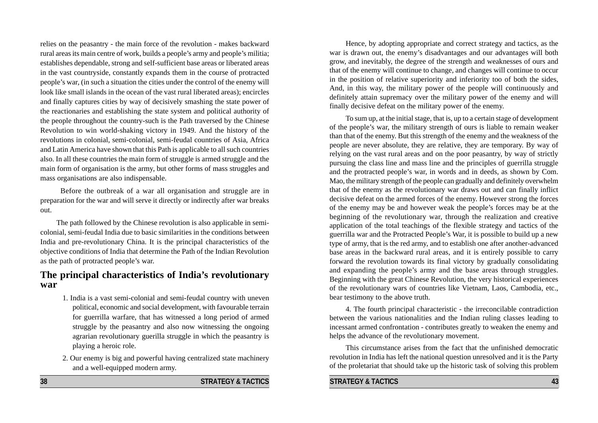relies on the peasantry - the main force of the revolution - makes backward rural areas its main centre of work, builds a people's army and people's militia; establishes dependable, strong and self-sufficient base areas or liberated areas in the vast countryside, constantly expands them in the course of protracted people's war, (in such a situation the cities under the control of the enemy will look like small islands in the ocean of the vast rural liberated areas); encircles and finally captures cities by way of decisively smashing the state power of the reactionaries and establishing the state system and political authority of the people throughout the country-such is the Path traversed by the Chinese Revolution to win world-shaking victory in 1949. And the history of the revolutions in colonial, semi-colonial, semi-feudal countries of Asia, Africa and Latin America have shown that this Path is applicable to all such countries also. In all these countries the main form of struggle is armed struggle and the main form of organisation is the army, but other forms of mass struggles and mass organisations are also indispensable.

Before the outbreak of a war all organisation and struggle are in preparation for the war and will serve it directly or indirectly after war breaks out.

The path followed by the Chinese revolution is also applicable in semicolonial, semi-feudal India due to basic similarities in the conditions between India and pre-revolutionary China. It is the principal characteristics of the objective conditions of India that determine the Path of the Indian Revolution as the path of protracted people's war.

## **The principal characteristics of India's revolutionary war**

- 1. India is a vast semi-colonial and semi-feudal country with uneven political, economic and social development, with favourable terrain for guerrilla warfare, that has witnessed a long period of armed struggle by the peasantry and also now witnessing the ongoing agrarian revolutionary guerilla struggle in which the peasantry is playing a heroic role.
- 2. Our enemy is big and powerful having centralized state machinery and a well-equipped modern army.

Hence, by adopting appropriate and correct strategy and tactics, as the war is drawn out, the enemy's disadvantages and our advantages will both grow, and inevitably, the degree of the strength and weaknesses of ours and that of the enemy will continue to change, and changes will continue to occur in the position of relative superiority and inferiority too of both the sides, And, in this way, the military power of the people will continuously and definitely attain supremacy over the military power of the enemy and will finally decisive defeat on the military power of the enemy.

To sum up, at the initial stage, that is, up to a certain stage of development of the people's war, the military strength of ours is liable to remain weaker than that of the enemy. But this strength of the enemy and the weakness of the people are never absolute, they are relative, they are temporary. By way of relying on the vast rural areas and on the poor peasantry, by way of strictly pursuing the class line and mass line and the principles of guerrilla struggle and the protracted people's war, in words and in deeds, as shown by Com. Mao, the military strength of the people can gradually and definitely overwhelm that of the enemy as the revolutionary war draws out and can finally inflict decisive defeat on the armed forces of the enemy. However strong the forces of the enemy may be and however weak the people's forces may be at the beginning of the revolutionary war, through the realization and creative application of the total teachings of the flexible strategy and tactics of the guerrilla war and the Protracted People's War, it is possible to build up a new type of army, that is the red army, and to establish one after another-advanced base areas in the backward rural areas, and it is entirely possible to carry forward the revolution towards its final victory by gradually consolidating and expanding the people's army and the base areas through struggles. Beginning with the great Chinese Revolution, the very historical experiences of the revolutionary wars of countries like Vietnam, Laos, Cambodia, etc., bear testimony to the above truth.

4. The fourth principal characteristic - the irreconcilable contradiction between the various nationalities and the Indian ruling classes leading to incessant armed confrontation - contributes greatly to weaken the enemy and helps the advance of the revolutionary movement.

This circumstance arises from the fact that the unfinished democratic revolution in India has left the national question unresolved and it is the Party of the proletariat that should take up the historic task of solving this problem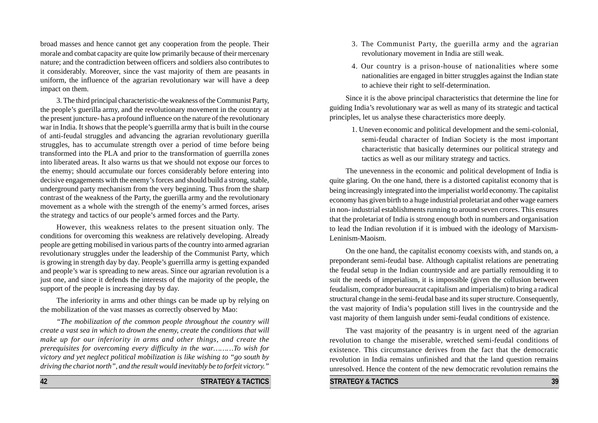broad masses and hence cannot get any cooperation from the people. Their morale and combat capacity are quite low primarily because of their mercenary nature; and the contradiction between officers and soldiers also contributes to it considerably. Moreover, since the vast majority of them are peasants in uniform, the influence of the agrarian revolutionary war will have a deep impact on them.

3. The third principal characteristic-the weakness of the Communist Party, the people's guerilla army, and the revolutionary movement in the country at the present juncture- has a profound influence on the nature of the revolutionary war in India. It shows that the people's guerrilla army that is built in the course of anti-feudal struggles and advancing the agrarian revolutionary guerilla struggles, has to accumulate strength over a period of time before being transformed into the PLA and prior to the transformation of guerrilla zones into liberated areas. It also warns us that we should not expose our forces to the enemy; should accumulate our forces considerably before entering into decisive engagements with the enemy's forces and should build a strong, stable, underground party mechanism from the very beginning. Thus from the sharp contrast of the weakness of the Party, the guerilla army and the revolutionary movement as a whole with the strength of the enemy's armed forces, arises the strategy and tactics of our people's armed forces and the Party.

However, this weakness relates to the present situation only. The conditions for overcoming this weakness are relatively developing. Already people are getting mobilised in various parts of the country into armed agrarian revolutionary struggles under the leadership of the Communist Party, which is growing in strength day by day. People's guerrilla army is getting expanded and people's war is spreading to new areas. Since our agrarian revolution is a just one, and since it defends the interests of the majority of the people, the support of the people is increasing day by day.

The inferiority in arms and other things can be made up by relying on the mobilization of the vast masses as correctly observed by Mao:

*"The mobilization of the common people throughout the country will create a vast sea in which to drown the enemy, create the conditions that will make up for our inferiority in arms and other things, and create the prerequisites for overcoming every difficulty in the war………To wish for victory and yet neglect political mobilization is like wishing to "go south by driving the chariot north", and the result would inevitably be to forfeit victory."*

**42 STRATEGY & TACTICS**

- 3. The Communist Party, the guerilla army and the agrarian revolutionary movement in India are still weak.
- 4. Our country is a prison-house of nationalities where some nationalities are engaged in bitter struggles against the Indian state to achieve their right to self-determination.

Since it is the above principal characteristics that determine the line for guiding India's revolutionary war as well as many of its strategic and tactical principles, let us analyse these characteristics more deeply.

1. Uneven economic and political development and the semi-colonial, semi-feudal character of Indian Society is the most important characteristic that basically determines our political strategy and tactics as well as our military strategy and tactics.

The unevenness in the economic and political development of India is quite glaring. On the one hand, there is a distorted capitalist economy that is being increasingly integrated into the imperialist world economy. The capitalist economy has given birth to a huge industrial proletariat and other wage earners in non- industrial establishments running to around seven crores. This ensures that the proletariat of India is strong enough both in numbers and organisation to lead the Indian revolution if it is imbued with the ideology of Marxism-Leninism-Maoism.

On the one hand, the capitalist economy coexists with, and stands on, a preponderant semi-feudal base. Although capitalist relations are penetrating the feudal setup in the Indian countryside and are partially remoulding it to suit the needs of imperialism, it is impossible (given the collusion between feudalism, comprador bureaucrat capitalism and imperialism) to bring a radical structural change in the semi-feudal base and its super structure. Consequently, the vast majority of India's population still lives in the countryside and the vast majority of them languish under semi-feudal conditions of existence.

The vast majority of the peasantry is in urgent need of the agrarian revolution to change the miserable, wretched semi-feudal conditions of existence. This circumstance derives from the fact that the democratic revolution in India remains unfinished and that the land question remains unresolved. Hence the content of the new democratic revolution remains the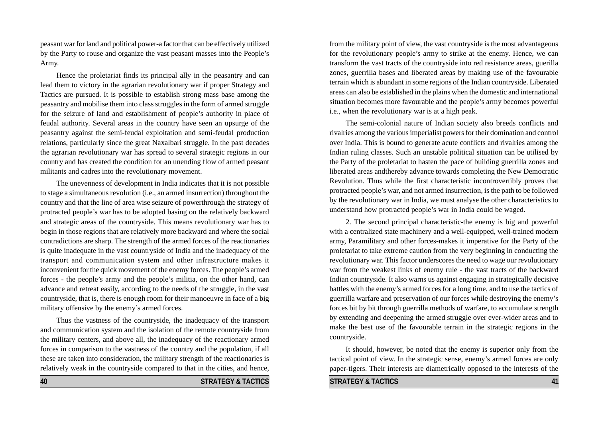peasant war for land and political power-a factor that can be effectively utilized by the Party to rouse and organize the vast peasant masses into the People's Army.

Hence the proletariat finds its principal ally in the peasantry and can lead them to victory in the agrarian revolutionary war if proper Strategy and Tactics are pursued. It is possible to establish strong mass base among the peasantry and mobilise them into class struggles in the form of armed struggle for the seizure of land and establishment of people's authority in place of feudal authority. Several areas in the country have seen an upsurge of the peasantry against the semi-feudal exploitation and semi-feudal production relations, particularly since the great Naxalbari struggle. In the past decades the agrarian revolutionary war has spread to several strategic regions in our country and has created the condition for an unending flow of armed peasant militants and cadres into the revolutionary movement.

The unevenness of development in India indicates that it is not possible to stage a simultaneous revolution (i.e., an armed insurrection) throughout the country and that the line of area wise seizure of powerthrough the strategy of protracted people's war has to be adopted basing on the relatively backward and strategic areas of the countryside. This means revolutionary war has to begin in those regions that are relatively more backward and where the social contradictions are sharp. The strength of the armed forces of the reactionaries is quite inadequate in the vast countryside of India and the inadequacy of the transport and communication system and other infrastructure makes it inconvenient for the quick movement of the enemy forces. The people's armed forces - the people's army and the people's militia, on the other hand, can advance and retreat easily, according to the needs of the struggle, in the vast countryside, that is, there is enough room for their manoeuvre in face of a big military offensive by the enemy's armed forces.

Thus the vastness of the countryside, the inadequacy of the transport and communication system and the isolation of the remote countryside from the military centers, and above all, the inadequacy of the reactionary armed forces in comparison to the vastness of the country and the population, if all these are taken into consideration, the military strength of the reactionaries is relatively weak in the countryside compared to that in the cities, and hence,

from the military point of view, the vast countryside is the most advantageous for the revolutionary people's army to strike at the enemy. Hence, we can transform the vast tracts of the countryside into red resistance areas, guerilla zones, guerrilla bases and liberated areas by making use of the favourable terrain which is abundant in some regions of the Indian countryside. Liberated areas can also be established in the plains when the domestic and international situation becomes more favourable and the people's army becomes powerful i.e., when the revolutionary war is at a high peak.

The semi-colonial nature of Indian society also breeds conflicts and rivalries among the various imperialist powers for their domination and control over India. This is bound to generate acute conflicts and rivalries among the Indian ruling classes. Such an unstable political situation can be utilised by the Party of the proletariat to hasten the pace of building guerrilla zones and liberated areas andthereby advance towards completing the New Democratic Revolution. Thus while the first characteristic incontrovertibly proves that protracted people's war, and not armed insurrection, is the path to be followed by the revolutionary war in India, we must analyse the other characteristics to understand how protracted people's war in India could be waged.

2. The second principal characteristic-the enemy is big and powerful with a centralized state machinery and a well-equipped, well-trained modern army, Paramilitary and other forces-makes it imperative for the Party of the proletariat to take extreme caution from the very beginning in conducting the revolutionary war. This factor underscores the need to wage our revolutionary war from the weakest links of enemy rule - the vast tracts of the backward Indian countryside. It also warns us against engaging in strategically decisive battles with the enemy's armed forces for a long time, and to use the tactics of guerrilla warfare and preservation of our forces while destroying the enemy's forces bit by bit through guerrilla methods of warfare, to accumulate strength by extending and deepening the armed struggle over ever-wider areas and to make the best use of the favourable terrain in the strategic regions in the countryside.

It should, however, be noted that the enemy is superior only from the tactical point of view. In the strategic sense, enemy's armed forces are only paper-tigers. Their interests are diametrically opposed to the interests of the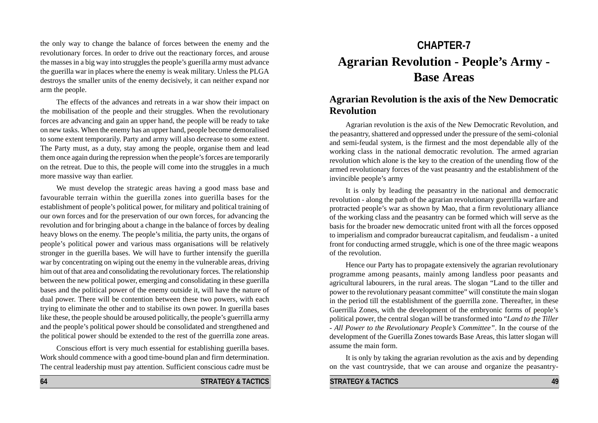the only way to change the balance of forces between the enemy and the revolutionary forces. In order to drive out the reactionary forces, and arouse the masses in a big way into struggles the people's guerilla army must advance the guerilla war in places where the enemy is weak military. Unless the PLGA destroys the smaller units of the enemy decisively, it can neither expand nor arm the people.

The effects of the advances and retreats in a war show their impact on the mobilisation of the people and their struggles. When the revolutionary forces are advancing and gain an upper hand, the people will be ready to take on new tasks. When the enemy has an upper hand, people become demoralised to some extent temporarily. Party and army will also decrease to some extent. The Party must, as a duty, stay among the people, organise them and lead them once again during the repression when the people's forces are temporarily on the retreat. Due to this, the people will come into the struggles in a much more massive way than earlier.

We must develop the strategic areas having a good mass base and favourable terrain within the guerilla zones into guerilla bases for the establishment of people's political power, for military and political training of our own forces and for the preservation of our own forces, for advancing the revolution and for bringing about a change in the balance of forces by dealing heavy blows on the enemy. The people's militia, the party units, the organs of people's political power and various mass organisations will be relatively stronger in the guerilla bases. We will have to further intensify the guerilla war by concentrating on wiping out the enemy in the vulnerable areas, driving him out of that area and consolidating the revolutionary forces. The relationship between the new political power, emerging and consolidating in these guerilla bases and the political power of the enemy outside it, will have the nature of dual power. There will be contention between these two powers, with each trying to eliminate the other and to stabilise its own power. In guerilla bases like these, the people should be aroused politically, the people's guerrilla army and the people's political power should be consolidated and strengthened and the political power should be extended to the rest of the guerrilla zone areas.

Conscious effort is very much essential for establishing guerilla bases. Work should commence with a good time-bound plan and firm determination. The central leadership must pay attention. Sufficient conscious cadre must be

# **CHAPTER-7 Agrarian Revolution - People's Army - Base Areas**

# **Agrarian Revolution is the axis of the New Democratic Revolution**

Agrarian revolution is the axis of the New Democratic Revolution, and the peasantry, shattered and oppressed under the pressure of the semi-colonial and semi-feudal system, is the firmest and the most dependable ally of the working class in the national democratic revolution. The armed agrarian revolution which alone is the key to the creation of the unending flow of the armed revolutionary forces of the vast peasantry and the establishment of the invincible people's army

It is only by leading the peasantry in the national and democratic revolution - along the path of the agrarian revolutionary guerrilla warfare and protracted people's war as shown by Mao, that a firm revolutionary alliance of the working class and the peasantry can be formed which will serve as the basis for the broader new democratic united front with all the forces opposed to imperialism and comprador bureaucrat capitalism, and feudalism - a united front for conducting armed struggle, which is one of the three magic weapons of the revolution.

Hence our Party has to propagate extensively the agrarian revolutionary programme among peasants, mainly among landless poor peasants and agricultural labourers, in the rural areas. The slogan "Land to the tiller and power to the revolutionary peasant committee" will constitute the main slogan in the period till the establishment of the guerrilla zone. Thereafter, in these Guerrilla Zones, with the development of the embryonic forms of people's political power, the central slogan will be transformed into "*Land to the Tiller* - *All Power to the Revolutionary People's Committee"*. In the course of the development of the Guerilla Zones towards Base Areas, this latter slogan will assume the main form.

It is only by taking the agrarian revolution as the axis and by depending on the vast countryside, that we can arouse and organize the peasantry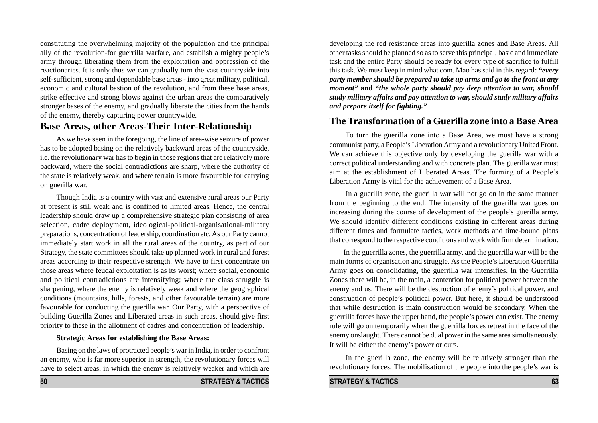constituting the overwhelming majority of the population and the principal ally of the revolution-for guerrilla warfare, and establish a mighty people's army through liberating them from the exploitation and oppression of the reactionaries. It is only thus we can gradually turn the vast countryside into self-sufficient, strong and dependable base areas - into great military, political, economic and cultural bastion of the revolution, and from these base areas, strike effective and strong blows against the urban areas the comparatively stronger bases of the enemy, and gradually liberate the cities from the hands of the enemy, thereby capturing power countrywide.

## **Base Areas, other Areas-Their Inter-Relationship**

As we have seen in the foregoing, the line of area-wise seizure of power has to be adopted basing on the relatively backward areas of the countryside, i.e. the revolutionary war has to begin in those regions that are relatively more backward, where the social contradictions are sharp, where the authority of the state is relatively weak, and where terrain is more favourable for carrying on guerilla war.

Though India is a country with vast and extensive rural areas our Party at present is still weak and is confined to limited areas. Hence, the central leadership should draw up a comprehensive strategic plan consisting of area selection, cadre deployment, ideological-political-organisational-military preparations, concentration of leadership, coordination etc. As our Party cannot immediately start work in all the rural areas of the country, as part of our Strategy, the state committees should take up planned work in rural and forest areas according to their respective strength. We have to first concentrate on those areas where feudal exploitation is as its worst; where social, economic and political contradictions are intensifying; where the class struggle is sharpening, where the enemy is relatively weak and where the geographical conditions (mountains, hills, forests, and other favourable terrain) are more favourable for conducting the guerilla war. Our Party, with a perspective of building Guerilla Zones and Liberated areas in such areas, should give first priority to these in the allotment of cadres and concentration of leadership.

#### **Strategic Areas for establishing the Base Areas:**

Basing on the laws of protracted people's war in India, in order to confront an enemy, who is far more superior in strength, the revolutionary forces will have to select areas, in which the enemy is relatively weaker and which are

**50 STRATEGY & TACTICS** 

developing the red resistance areas into guerilla zones and Base Areas. All other tasks should be planned so as to serve this principal, basic and immediate task and the entire Party should be ready for every type of sacrifice to fulfill this task. We must keep in mind what com. Mao has said in this regard*: "every party member should be prepared to take up arms and go to the front at any moment"* **and "***the whole party should pay deep attention to war, should study military affairs and pay attention to war, should study military affairs and prepare itself for fighting."*

## **The Transformation of a Guerilla zone into a Base Area**

To turn the guerilla zone into a Base Area, we must have a strong communist party, a People's Liberation Army and a revolutionary United Front. We can achieve this objective only by developing the guerilla war with a correct political understanding and with concrete plan. The guerilla war must aim at the establishment of Liberated Areas. The forming of a People's Liberation Army is vital for the achievement of a Base Area.

In a guerilla zone, the guerilla war will not go on in the same manner from the beginning to the end. The intensity of the guerilla war goes on increasing during the course of development of the people's guerilla army. We should identify different conditions existing in different areas during different times and formulate tactics, work methods and time-bound plans that correspond to the respective conditions and work with firm determination.

In the guerrilla zones, the guerrilla army, and the guerrilla war will be the main forms of organisation and struggle. As the People's Liberation Guerrilla Army goes on consolidating, the guerrilla war intensifies. In the Guerrilla Zones there will be, in the main, a contention for political power between the enemy and us. There will be the destruction of enemy's political power, and construction of people's political power. But here, it should be understood that while destruction is main construction would be secondary. When the guerrilla forces have the upper hand, the people's power can exist. The enemy rule will go on temporarily when the guerrilla forces retreat in the face of the enemy onslaught. There cannot be dual power in the same area simultaneously. It will be either the enemy's power or ours.

In the guerilla zone, the enemy will be relatively stronger than the revolutionary forces. The mobilisation of the people into the people's war is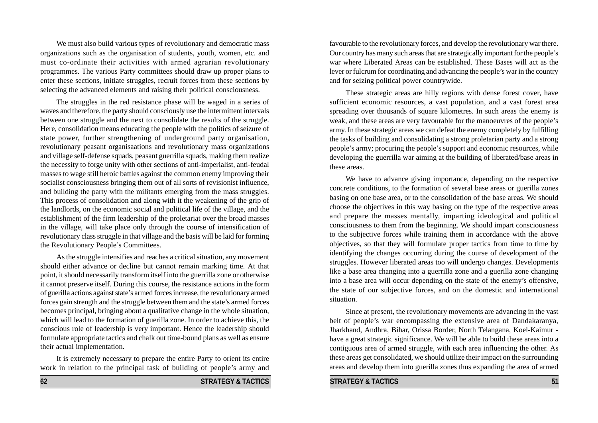We must also build various types of revolutionary and democratic mass organizations such as the organisation of students, youth, women, etc. and must co-ordinate their activities with armed agrarian revolutionary programmes. The various Party committees should draw up proper plans to enter these sections, initiate struggles, recruit forces from these sections by selecting the advanced elements and raising their political consciousness.

The struggles in the red resistance phase will be waged in a series of waves and therefore, the party should consciously use the intermittent intervals between one struggle and the next to consolidate the results of the struggle. Here, consolidation means educating the people with the politics of seizure of state power, further strengthening of underground party organisation, revolutionary peasant organisaations and revolutionary mass organizations and village self-defense squads, peasant guerrilla squads, making them realize the necessity to forge unity with other sections of anti-imperialist, anti-feudal masses to wage still heroic battles against the common enemy improving their socialist consciousness bringing them out of all sorts of revisionist influence, and building the party with the militants emerging from the mass struggles. This process of consolidation and along with it the weakening of the grip of the landlords, on the economic social and political life of the village, and the establishment of the firm leadership of the proletariat over the broad masses in the village, will take place only through the course of intensification of revolutionary class struggle in that village and the basis will be laid for forming the Revolutionary People's Committees.

As the struggle intensifies and reaches a critical situation, any movement should either advance or decline but cannot remain marking time. At that point, it should necessarily transform itself into the guerrilla zone or otherwise it cannot preserve itself. During this course, the resistance actions in the form of guerilla actions against state's armed forces increase, the revolutionary armed forces gain strength and the struggle between them and the state's armed forces becomes principal, bringing about a qualitative change in the whole situation, which will lead to the formation of guerilla zone. In order to achieve this, the conscious role of leadership is very important. Hence the leadership should formulate appropriate tactics and chalk out time-bound plans as well as ensure their actual implementation.

It is extremely necessary to prepare the entire Party to orient its entire work in relation to the principal task of building of people's army and

favourable to the revolutionary forces, and develop the revolutionary war there. Our country has many such areas that are strategically important for the people's war where Liberated Areas can be established. These Bases will act as the lever or fulcrum for coordinating and advancing the people's war in the country and for seizing political power countrywide.

These strategic areas are hilly regions with dense forest cover, have sufficient economic resources, a vast population, and a vast forest area spreading over thousands of square kilometres. In such areas the enemy is weak, and these areas are very favourable for the manoeuvres of the people's army. In these strategic areas we can defeat the enemy completely by fulfilling the tasks of building and consolidating a strong proletarian party and a strong people's army; procuring the people's support and economic resources, while developing the guerrilla war aiming at the building of liberated/base areas in these areas.

We have to advance giving importance, depending on the respective concrete conditions, to the formation of several base areas or guerilla zones basing on one base area, or to the consolidation of the base areas. We should choose the objectives in this way basing on the type of the respective areas and prepare the masses mentally, imparting ideological and political consciousness to them from the beginning. We should impart consciousness to the subjective forces while training them in accordance with the above objectives, so that they will formulate proper tactics from time to time by identifying the changes occurring during the course of development of the struggles. However liberated areas too will undergo changes. Developments like a base area changing into a guerrilla zone and a guerilla zone changing into a base area will occur depending on the state of the enemy's offensive, the state of our subjective forces, and on the domestic and international situation.

Since at present, the revolutionary movements are advancing in the vast belt of people's war encompassing the extensive area of Dandakaranya, Jharkhand, Andhra, Bihar, Orissa Border, North Telangana, Koel-Kaimur have a great strategic significance. We will be able to build these areas into a contiguous area of armed struggle, with each area influencing the other. As these areas get consolidated, we should utilize their impact on the surrounding areas and develop them into guerilla zones thus expanding the area of armed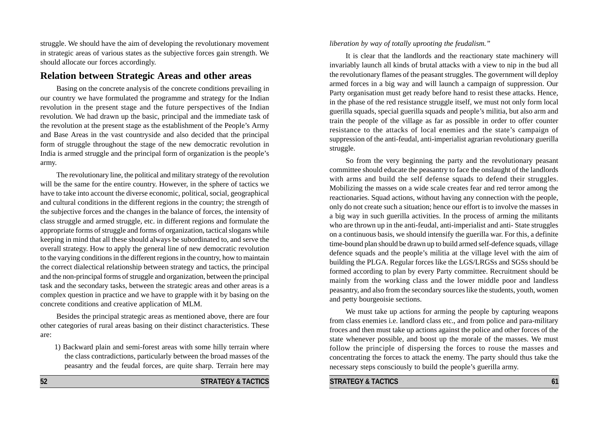struggle. We should have the aim of developing the revolutionary movement in strategic areas of various states as the subjective forces gain strength. We should allocate our forces accordingly.

### **Relation between Strategic Areas and other areas**

Basing on the concrete analysis of the concrete conditions prevailing in our country we have formulated the programme and strategy for the Indian revolution in the present stage and the future perspectives of the Indian revolution. We had drawn up the basic, principal and the immediate task of the revolution at the present stage as the establishment of the People's Army and Base Areas in the vast countryside and also decided that the principal form of struggle throughout the stage of the new democratic revolution in India is armed struggle and the principal form of organization is the people's army.

The revolutionary line, the political and military strategy of the revolution will be the same for the entire country. However, in the sphere of tactics we have to take into account the diverse economic, political, social, geographical and cultural conditions in the different regions in the country; the strength of the subjective forces and the changes in the balance of forces, the intensity of class struggle and armed struggle, etc. in different regions and formulate the appropriate forms of struggle and forms of organization, tactical slogans while keeping in mind that all these should always be subordinated to, and serve the overall strategy. How to apply the general line of new democratic revolution to the varying conditions in the different regions in the country, how to maintain the correct dialectical relationship between strategy and tactics, the principal and the non-principal forms of struggle and organization, between the principal task and the secondary tasks, between the strategic areas and other areas is a complex question in practice and we have to grapple with it by basing on the concrete conditions and creative application of MLM.

Besides the principal strategic areas as mentioned above, there are four other categories of rural areas basing on their distinct characteristics. These are:

1) Backward plain and semi-forest areas with some hilly terrain where the class contradictions, particularly between the broad masses of the peasantry and the feudal forces, are quite sharp. Terrain here may

#### *liberation by way of totally uprooting the feudalism."*

It is clear that the landlords and the reactionary state machinery will invariably launch all kinds of brutal attacks with a view to nip in the bud all the revolutionary flames of the peasant struggles. The government will deploy armed forces in a big way and will launch a campaign of suppression. Our Party organisation must get ready before hand to resist these attacks. Hence, in the phase of the red resistance struggle itself, we must not only form local guerilla squads, special guerilla squads and people's militia, but also arm and train the people of the village as far as possible in order to offer counter resistance to the attacks of local enemies and the state's campaign of suppression of the anti-feudal, anti-imperialist agrarian revolutionary guerilla struggle.

So from the very beginning the party and the revolutionary peasant committee should educate the peasantry to face the onslaught of the landlords with arms and build the self defense squads to defend their struggles. Mobilizing the masses on a wide scale creates fear and red terror among the reactionaries. Squad actions, without having any connection with the people, only do not create such a situation; hence our effort is to involve the masses in a big way in such guerilla activities. In the process of arming the militants who are thrown up in the anti-feudal, anti-imperialist and anti- State struggles on a continuous basis, we should intensify the guerilla war. For this, a definite time-bound plan should be drawn up to build armed self-defence squads, village defence squads and the people's militia at the village level with the aim of building the PLGA. Regular forces like the LGS/LRGSs and SGSs should be formed according to plan by every Party committee. Recruitment should be mainly from the working class and the lower middle poor and landless peasantry, and also from the secondary sources like the students, youth, women and petty bourgeoisie sections.

We must take up actions for arming the people by capturing weapons from class enemies i.e. landlord class etc., and from police and para-military froces and then must take up actions against the police and other forces of the state whenever possible, and boost up the morale of the masses. We must follow the principle of dispersing the forces to rouse the masses and concentrating the forces to attack the enemy. The party should thus take the necessary steps consciously to build the people's guerilla army.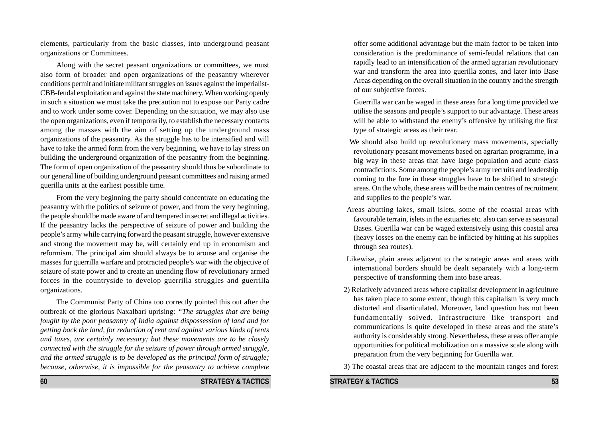elements, particularly from the basic classes, into underground peasant organizations or Committees.

Along with the secret peasant organizations or committees, we must also form of broader and open organizations of the peasantry wherever conditions permit and initiate militant struggles on issues against the imperialist-CBB-feudal exploitation and against the state machinery. When working openly in such a situation we must take the precaution not to expose our Party cadre and to work under some cover. Depending on the situation, we may also use the open organizations, even if temporarily, to establish the necessary contacts among the masses with the aim of setting up the underground mass organizations of the peasantry. As the struggle has to be intensified and will have to take the armed form from the very beginning, we have to lay stress on building the underground organization of the peasantry from the beginning. The form of open organization of the peasantry should thus be subordinate to our general line of building underground peasant committees and raising armed guerilla units at the earliest possible time.

From the very beginning the party should concentrate on educating the peasantry with the politics of seizure of power, and from the very beginning, the people should be made aware of and tempered in secret and illegal activities. If the peasantry lacks the perspective of seizure of power and building the people's army while carrying forward the peasant struggle, however extensive and strong the movement may be, will certainly end up in economism and reformism. The principal aim should always be to arouse and organise the masses for guerrilla warfare and protracted people's war with the objective of seizure of state power and to create an unending flow of revolutionary armed forces in the countryside to develop guerrilla struggles and guerrilla organizations.

The Communist Party of China too correctly pointed this out after the outbreak of the glorious Naxalbari uprising: *"The struggles that are being fought by the poor peasantry of India against dispossession of land and for getting back the land, for reduction of rent and against various kinds of rents and taxes, are certainly necessary; but these movements are to be closely connected with the struggle for the seizure of power through armed struggle, and the armed struggle is to be developed as the principal form of struggle; because, otherwise, it is impossible for the peasantry to achieve complete*

offer some additional advantage but the main factor to be taken into consideration is the predominance of semi-feudal relations that can rapidly lead to an intensification of the armed agrarian revolutionary war and transform the area into guerilla zones, and later into Base Areas depending on the overall situation in the country and the strength of our subjective forces.

Guerrilla war can be waged in these areas for a long time provided we utilise the seasons and people's support to our advantage. These areas will be able to withstand the enemy's offensive by utilising the first type of strategic areas as their rear.

- We should also build up revolutionary mass movements, specially revolutionary peasant movements based on agrarian programme, in a big way in these areas that have large population and acute class contradictions. Some among the people's army recruits and leadership coming to the fore in these struggles have to be shifted to strategic areas. On the whole, these areas will be the main centres of recruitment and supplies to the people's war.
- Areas abutting lakes, small islets, some of the coastal areas with favourable terrain, islets in the estuaries etc. also can serve as seasonal Bases. Guerilla war can be waged extensively using this coastal area (heavy losses on the enemy can be inflicted by hitting at his supplies through sea routes).
- Likewise, plain areas adjacent to the strategic areas and areas with international borders should be dealt separately with a long-term perspective of transforming them into base areas.
- 2) Relatively advanced areas where capitalist development in agriculture has taken place to some extent, though this capitalism is very much distorted and disarticulated. Moreover, land question has not been fundamentally solved. Infrastructure like transport and communications is quite developed in these areas and the state's authority is considerably strong. Nevertheless, these areas offer ample opportunities for political mobilization on a massive scale along with preparation from the very beginning for Guerilla war.
- 3) The coastal areas that are adjacent to the mountain ranges and forest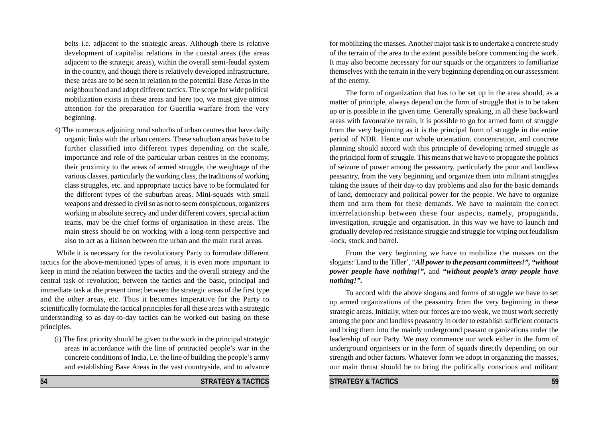belts i.e. adjacent to the strategic areas. Although there is relative development of capitalist relations in the coastal areas (the areas adjacent to the strategic areas), within the overall semi-feudal system in the country, and though there is relatively developed infrastructure, these areas are to be seen in relation to the potential Base Areas in the neighbourhood and adopt different tactics. The scope for wide political mobilization exists in these areas and here too, we must give utmost attention for the preparation for Guerilla warfare from the very beginning.

4) The numerous adjoining rural suburbs of urban centres that have daily organic links with the urban centers. These suburban areas have to be further classified into different types depending on the scale, importance and role of the particular urban centres in the economy, their proximity to the areas of armed struggle, the weightage of the various classes, particularly the working class, the traditions of working class struggles, etc. and appropriate tactics have to be formulated for the different types of the suburban areas. Mini-squads with small weapons and dressed in civil so as not to seem conspicuous, organizers working in absolute secrecy and under different covers, special action teams, may be the chief forms of organization in these areas. The main stress should be on working with a long-term perspective and also to act as a liaison between the urban and the main rural areas.

While it is necessary for the revolutionary Party to formulate different tactics for the above-mentioned types of areas, it is even more important to keep in mind the relation between the tactics and the overall strategy and the central task of revolution; between the tactics and the basic, principal and immediate task at the present time; between the strategic areas of the first type and the other areas, etc. Thus it becomes imperative for the Party to scientifically formulate the tactical principles for all these areas with a strategic understanding so as day-to-day tactics can be worked out basing on these principles.

(i) The first priority should be given to the work in the principal strategic areas in accordance with the line of protracted people's war in the concrete conditions of India, i.e. the line of building the people's army and establishing Base Areas in the vast countryside, and to advance for mobilizing the masses. Another major task is to undertake a concrete study of the terrain of the area to the extent possible before commencing the work. It may also become necessary for our squads or the organizers to familiarize themselves with the terrain in the very beginning depending on our assessment of the enemy.

The form of organization that has to be set up in the area should, as a matter of principle, always depend on the form of struggle that is to be taken up or is possible in the given time. Generally speaking, in all these backward areas with favourable terrain, it is possible to go for armed form of struggle from the very beginning as it is the principal form of struggle in the entire period of NDR. Hence our whole orientation, concentration, and concrete planning should accord with this principle of developing armed struggle as the principal form of struggle. This means that we have to propagate the politics of seizure of power among the peasantry, particularly the poor and landless peasantry, from the very beginning and organize them into militant struggles taking the issues of their day-to day problems and also for the basic demands of land, democracy and political power for the people. We have to organize them and arm them for these demands. We have to maintain the correct interrelationship between these four aspects, namely, propaganda, investigation, struggle and organisation. In this way we have to launch and gradually develop red resistance struggle and struggle for wiping out feudalism -lock, stock and barrel.

From the very beginning we have to mobilize the masses on the slogans:'Land to the Tiller', "*All power to the peasant committees!", "without power people have nothing!",* and *"without people's army people have nothing!".*

To accord with the above slogans and forms of struggle we have to set up armed organizations of the peasantry from the very beginning in these strategic areas. Initially, when our forces are too weak, we must work secretly among the poor and landless peasantry in order to establish sufficient contacts and bring them into the mainly underground peasant organizations under the leadership of our Party. We may commence our work either in the form of underground organisers or in the form of squads directly depending on our strength and other factors. Whatever form we adopt in organizing the masses, our main thrust should be to bring the politically conscious and militant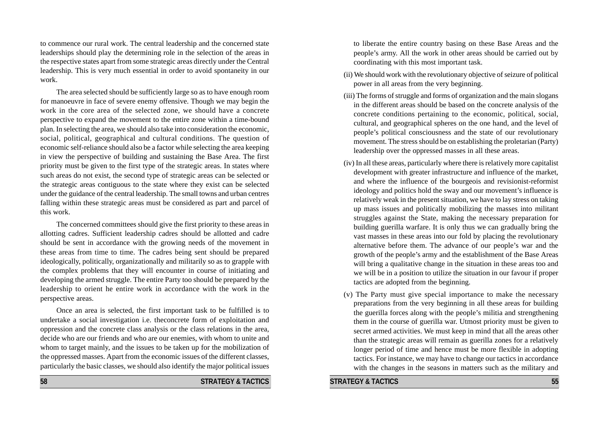to commence our rural work. The central leadership and the concerned state leaderships should play the determining role in the selection of the areas in the respective states apart from some strategic areas directly under the Central leadership. This is very much essential in order to avoid spontaneity in our work.

The area selected should be sufficiently large so as to have enough room for manoeuvre in face of severe enemy offensive. Though we may begin the work in the core area of the selected zone, we should have a concrete perspective to expand the movement to the entire zone within a time-bound plan. In selecting the area, we should also take into consideration the economic, social, political, geographical and cultural conditions. The question of economic self-reliance should also be a factor while selecting the area keeping in view the perspective of building and sustaining the Base Area. The first priority must be given to the first type of the strategic areas. In states where such areas do not exist, the second type of strategic areas can be selected or the strategic areas contiguous to the state where they exist can be selected under the guidance of the central leadership. The small towns and urban centres falling within these strategic areas must be considered as part and parcel of this work.

The concerned committees should give the first priority to these areas in allotting cadres. Sufficient leadership cadres should be allotted and cadre should be sent in accordance with the growing needs of the movement in these areas from time to time. The cadres being sent should be prepared ideologically, politically, organizationally and militarily so as to grapple with the complex problems that they will encounter in course of initiating and developing the armed struggle. The entire Party too should be prepared by the leadership to orient he entire work in accordance with the work in the perspective areas.

Once an area is selected, the first important task to be fulfilled is to undertake a social investigation i.e. theconcrete form of exploitation and oppression and the concrete class analysis or the class relations in the area, decide who are our friends and who are our enemies, with whom to unite and whom to target mainly, and the issues to be taken up for the mobilization of the oppressed masses. Apart from the economic issues of the different classes, particularly the basic classes, we should also identify the major political issues

**58 STRATEGY & TACTICS**

to liberate the entire country basing on these Base Areas and the people's army. All the work in other areas should be carried out by coordinating with this most important task.

- (ii) We should work with the revolutionary objective of seizure of political power in all areas from the very beginning.
- (iii) The forms of struggle and forms of organization and the main slogans in the different areas should be based on the concrete analysis of the concrete conditions pertaining to the economic, political, social, cultural, and geographical spheres on the one hand, and the level of people's political consciousness and the state of our revolutionary movement. The stress should be on establishing the proletarian (Party) leadership over the oppressed masses in all these areas.
- (iv) In all these areas, particularly where there is relatively more capitalist development with greater infrastructure and influence of the market, and where the influence of the bourgeois and revisionist-reformist ideology and politics hold the sway and our movement's influence is relatively weak in the present situation, we have to lay stress on taking up mass issues and politically mobilizing the masses into militant struggles against the State, making the necessary preparation for building guerilla warfare. It is only thus we can gradually bring the vast masses in these areas into our fold by placing the revolutionary alternative before them. The advance of our people's war and the growth of the people's army and the establishment of the Base Areas will bring a qualitative change in the situation in these areas too and we will be in a position to utilize the situation in our favour if proper tactics are adopted from the beginning.
- (v) The Party must give special importance to make the necessary preparations from the very beginning in all these areas for building the guerilla forces along with the people's militia and strengthening them in the course of guerilla war. Utmost priority must be given to secret armed activities. We must keep in mind that all the areas other than the strategic areas will remain as guerilla zones for a relatively longer period of time and hence must be more flexible in adopting tactics. For instance, we may have to change our tactics in accordance with the changes in the seasons in matters such as the military and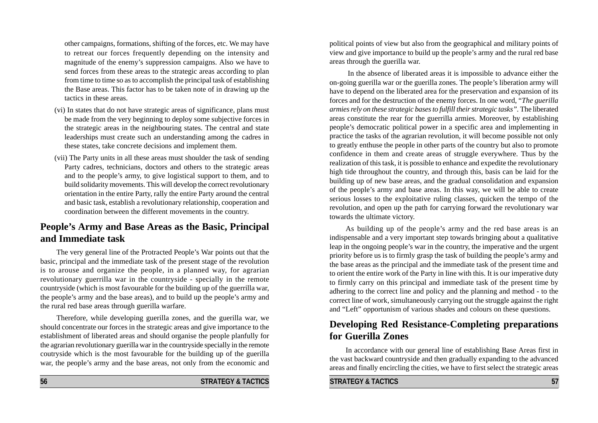other campaigns, formations, shifting of the forces, etc. We may have to retreat our forces frequently depending on the intensity and magnitude of the enemy's suppression campaigns. Also we have to send forces from these areas to the strategic areas according to plan from time to time so as to accomplish the principal task of establishing the Base areas. This factor has to be taken note of in drawing up the tactics in these areas.

- (vi) In states that do not have strategic areas of significance, plans must be made from the very beginning to deploy some subjective forces in the strategic areas in the neighbouring states. The central and state leaderships must create such an understanding among the cadres in these states, take concrete decisions and implement them.
- (vii) The Party units in all these areas must shoulder the task of sending Party cadres, technicians, doctors and others to the strategic areas and to the people's army, to give logistical support to them, and to build solidarity movements. This will develop the correct revolutionary orientation in the entire Party, rally the entire Party around the central and basic task, establish a revolutionary relationship, cooperation and coordination between the different movements in the country.

# **People's Army and Base Areas as the Basic, Principal and Immediate task**

The very general line of the Protracted People's War points out that the basic, principal and the immediate task of the present stage of the revolution is to arouse and organize the people, in a planned way, for agrarian revolutionary guerrilla war in the countryside - specially in the remote countryside (which is most favourable for the building up of the guerrilla war, the people's army and the base areas), and to build up the people's army and the rural red base areas through guerilla warfare.

Therefore, while developing guerilla zones, and the guerilla war, we should concentrate our forces in the strategic areas and give importance to the establishment of liberated areas and should organise the people planfully for the agrarian revolutionary guerilla war in the countryside specially in the remote coutryside which is the most favourable for the building up of the guerilla war, the people's army and the base areas, not only from the economic and

political points of view but also from the geographical and military points of view and give importance to build up the people's army and the rural red base areas through the guerilla war.

 In the absence of liberated areas it is impossible to advance either the on-going guerilla war or the guerilla zones. The people's liberation army will have to depend on the liberated area for the preservation and expansion of its forces and for the destruction of the enemy forces. In one word, "*The guerilla armies rely on these strategic bases to fulfill their strategic tasks".* The liberated areas constitute the rear for the guerrilla armies. Moreover, by establishing people's democratic political power in a specific area and implementing in practice the tasks of the agrarian revolution, it will become possible not only to greatly enthuse the people in other parts of the country but also to promote confidence in them and create areas of struggle everywhere. Thus by the realization of this task, it is possible to enhance and expedite the revolutionary high tide throughout the country, and through this, basis can be laid for the building up of new base areas, and the gradual consolidation and expansion of the people's army and base areas. In this way, we will be able to create serious losses to the exploitative ruling classes, quicken the tempo of the revolution, and open up the path for carrying forward the revolutionary war towards the ultimate victory.

As building up of the people's army and the red base areas is an indispensable and a very important step towards bringing about a qualitative leap in the ongoing people's war in the country, the imperative and the urgent priority before us is to firmly grasp the task of building the people's army and the base areas as the principal and the immediate task of the present time and to orient the entire work of the Party in line with this. It is our imperative duty to firmly carry on this principal and immediate task of the present time by adhering to the correct line and policy and the planning and method - to the correct line of work, simultaneously carrying out the struggle against the right and "Left" opportunism of various shades and colours on these questions.

# **Developing Red Resistance-Completing preparations for Guerilla Zones**

In accordance with our general line of establishing Base Areas first in the vast backward countryside and then gradually expanding to the advanced areas and finally encircling the cities, we have to first select the strategic areas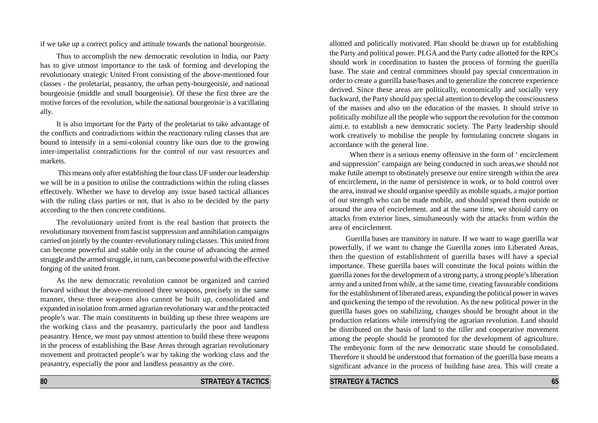if we take up a correct policy and attitude towards the national bourgeoisie.

Thus to accomplish the new democratic revolution in India, our Party has to give utmost importance to the task of forming and developing the revolutionary strategic United Front consisting of the above-mentioned four classes - the proletariat, peasantry, the urban petty-bourgeoisie, and national bourgeoisie (middle and small bourgeoisie). Of these the first three are the motive forces of the revolution, while the national bourgeoisie is a vacillating ally.

It is also important for the Party of the proletariat to take advantage of the conflicts and contradictions within the reactionary ruling classes that are bound to intensify in a semi-colonial country like ours due to the growing inter-imperialist contradictions for the control of our vast resources and markets.

 This means only after establishing the four class UF under our leadership we will be in a position to utilise the contradictions within the ruling classes effectively. Whether we have to develop any issue based tactical alliances with the ruling class parties or not, that is also to be decided by the party according to the then concrete conditions.

The revolutionary united front is the real bastion that protects the revolutionary movement from fascist suppression and annihilation campaigns carried on jointly by the counter-revolutionary ruling classes. This united front can become powerful and stable only in the course of advancing the armed struggle and the armed struggle, in turn, can become powerful with the effective forging of the united front.

As the new democratic revolution cannot be organized and carried forward without the above-mentioned three weapons, precisely in the same manner, these three weapons also cannot be built up, consolidated and expanded in isolation from armed agrarian revolutionary war and the protracted people's war. The main constituents in building up these three weapons are the working class and the peasantry, particularly the poor and landless peasantry. Hence, we must pay utmost attention to build these three weapons in the process of establishing the Base Areas through agrarian revolutionary movement and protracted people's war by taking the working class and the peasantry, especially the poor and landless peasantry as the core.

allotted and politically motivated. Plan should be drawn up for establishing the Party and political power. PLGA and the Party cadre allotted for the RPCs should work in coordination to hasten the process of forming the guerilla base. The state and central committees should pay special concentration in order to create a guerilla base/bases and to generalize the concrete experience derived. Since these areas are politically, economically and socially very backward, the Party should pay special attention to develop the consciousness of the masses and also on the education of the masses. It should strive to politically mobilize all the people who support the revolution for the common aimi.e. to establish a new democratic society. The Party leadership should work creatively to mobilise the people by formulating concrete slogans in accordance with the general line.

When there is a serious enemy offensive in the form of 'encirclement and suppression' campaign are being conducted in such areas,we should not make futile attempt to obstinately preserve our entire strength within the area of encirclement, in the name of persistence in work, or to hold control over the area, instead we should organise speedily as mobile squads, a major portion of our strength who can be made mobile, and should spread them outside or around the area of encirclement. and at the same time, we shoiuld carry on attacks from exterior lines, simultaneously with the attacks from within the area of encirclement.

Guerilla bases are transitory in nature. If we want to wage guerilla war powerfully, if we want to change the Guerilla zones into Liberated Areas, then the question of establishment of guerilla bases will have a special importance. These guerilla bases will constitute the focal points within the guerilla zones for the development of a strong party, a strong people's liberation army and a united front while, at the same time, creating favourable conditions for the establishment of liberated areas, expanding the political power in waves and quickening the tempo of the revolution. As the new political power in the guerilla bases goes on stabilizing, changes should be brought about in the production relations while intensifying the agrarian revolution. Land should be distributed on the basis of land to the tiller and cooperative movement among the people should be promoted for the development of agriculture. The embryonic form of the new democratic state should be consolidated. Therefore it should be understood that formation of the guerilla base means a significant advance in the process of building base area. This will create a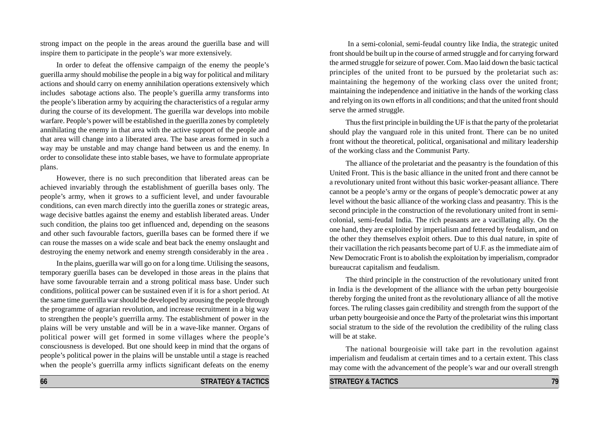strong impact on the people in the areas around the guerilla base and will inspire them to participate in the people's war more extensively.

In order to defeat the offensive campaign of the enemy the people's guerilla army should mobilise the people in a big way for political and military actions and should carry on enemy annihilation operations extensively which includes sabotage actions also. The people's guerilla army transforms into the people's liberation army by acquiring the characteristics of a regular army during the course of its development. The guerilla war develops into mobile warfare. People's power will be established in the guerilla zones by completely annihilating the enemy in that area with the active support of the people and that area will change into a liberated area. The base areas formed in such a way may be unstable and may change hand between us and the enemy. In order to consolidate these into stable bases, we have to formulate appropriate plans.

However, there is no such precondition that liberated areas can be achieved invariably through the establishment of guerilla bases only. The people's army, when it grows to a sufficient level, and under favourable conditions, can even march directly into the guerilla zones or strategic areas, wage decisive battles against the enemy and establish liberated areas. Under such condition, the plains too get influenced and, depending on the seasons and other such favourable factors, guerilla bases can be formed there if we can rouse the masses on a wide scale and beat back the enemy onslaught and destroying the enemy network and enemy strength considerably in the area .

In the plains, guerilla war will go on for a long time. Utilising the seasons, temporary guerilla bases can be developed in those areas in the plains that have some favourable terrain and a strong political mass base. Under such conditions, political power can be sustained even if it is for a short period. At the same time guerrilla war should be developed by arousing the people through the programme of agrarian revolution, and increase recruitment in a big way to strengthen the people's guerrilla army. The establishment of power in the plains will be very unstable and will be in a wave-like manner. Organs of political power will get formed in some villages where the people's consciousness is developed. But one should keep in mind that the organs of people's political power in the plains will be unstable until a stage is reached when the people's guerrilla army inflicts significant defeats on the enemy

 In a semi-colonial, semi-feudal country like India, the strategic united front should be built up in the course of armed struggle and for carrying forward the armed struggle for seizure of power. Com. Mao laid down the basic tactical principles of the united front to be pursued by the proletariat such as: maintaining the hegemony of the working class over the united front; maintaining the independence and initiative in the hands of the working class and relying on its own efforts in all conditions; and that the united front should serve the armed struggle.

Thus the first principle in building the UF is that the party of the proletariat should play the vanguard role in this united front. There can be no united front without the theoretical, political, organisational and military leadership of the working class and the Communist Party.

The alliance of the proletariat and the peasantry is the foundation of this United Front. This is the basic alliance in the united front and there cannot be a revolutionary united front without this basic worker-peasant alliance. There cannot be a people's army or the organs of people's democratic power at any level without the basic alliance of the working class and peasantry. This is the second principle in the construction of the revolutionary united front in semicolonial, semi-feudal India. The rich peasants are a vacillating ally. On the one hand, they are exploited by imperialism and fettered by feudalism, and on the other they themselves exploit others. Due to this dual nature, in spite of their vacillation the rich peasants become part of U.F. as the immediate aim of New Democratic Front is to abolish the exploitation by imperialism, comprador bureaucrat capitalism and feudalism.

The third principle in the construction of the revolutionary united front in India is the development of the alliance with the urban petty bourgeoisie thereby forging the united front as the revolutionary alliance of all the motive forces. The ruling classes gain credibility and strength from the support of the urban petty bourgeoisie and once the Party of the proletariat wins this important social stratum to the side of the revolution the credibility of the ruling class will be at stake.

The national bourgeoisie will take part in the revolution against imperialism and feudalism at certain times and to a certain extent. This class may come with the advancement of the people's war and our overall strength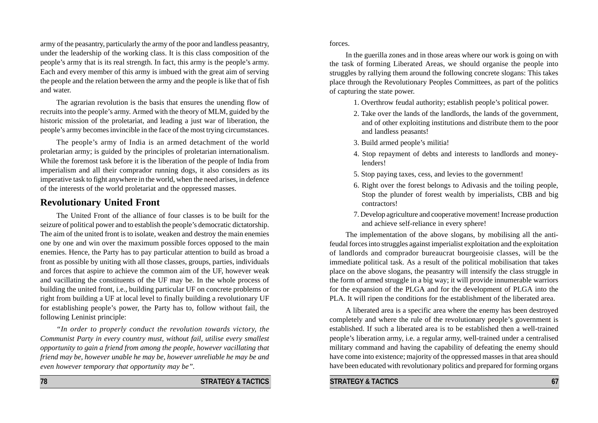army of the peasantry, particularly the army of the poor and landless peasantry, under the leadership of the working class. It is this class composition of the people's army that is its real strength. In fact, this army is the people's army. Each and every member of this army is imbued with the great aim of serving the people and the relation between the army and the people is like that of fish and water.

The agrarian revolution is the basis that ensures the unending flow of recruits into the people's army. Armed with the theory of MLM, guided by the historic mission of the proletariat, and leading a just war of liberation, the people's army becomes invincible in the face of the most trying circumstances.

The people's army of India is an armed detachment of the world proletarian army; is guided by the principles of proletarian internationalism. While the foremost task before it is the liberation of the people of India from imperialism and all their comprador running dogs, it also considers as its imperative task to fight anywhere in the world, when the need arises, in defence of the interests of the world proletariat and the oppressed masses.

## **Revolutionary United Front**

The United Front of the alliance of four classes is to be built for the seizure of political power and to establish the people's democratic dictatorship. The aim of the united front is to isolate, weaken and destroy the main enemies one by one and win over the maximum possible forces opposed to the main enemies. Hence, the Party has to pay particular attention to build as broad a front as possible by uniting with all those classes, groups, parties, individuals and forces that aspire to achieve the common aim of the UF, however weak and vacillating the constituents of the UF may be. In the whole process of building the united front, i.e., building particular UF on concrete problems or right from building a UF at local level to finally building a revolutionary UF for establishing people's power, the Party has to, follow without fail, the following Leninist principle:

*"In order to properly conduct the revolution towards victory, the Communist Party in every country must, without fail, utilise every smallest opportunity to gain a friend from among the people, however vacillating that friend may be, however unable he may be, however unreliable he may be and even however temporary that opportunity may be".*

forces.

In the guerilla zones and in those areas where our work is going on with the task of forming Liberated Areas, we should organise the people into struggles by rallying them around the following concrete slogans: This takes place through the Revolutionary Peoples Committees, as part of the politics of capturing the state power.

- 1. Overthrow feudal authority; establish people's political power.
- 2. Take over the lands of the landlords, the lands of the government, and of other exploiting institutions and distribute them to the poor and landless peasants!
- 3. Build armed people's militia!
- 4. Stop repayment of debts and interests to landlords and moneylenders!
- 5. Stop paying taxes, cess, and levies to the government!
- 6. Right over the forest belongs to Adivasis and the toiling people, Stop the plunder of forest wealth by imperialists, CBB and big contractors!
- 7. Develop agriculture and cooperative movement! Increase production and achieve self-reliance in every sphere!

The implementation of the above slogans, by mobilising all the antifeudal forces into struggles against imperialist exploitation and the exploitation of landlords and comprador bureaucrat bourgeoisie classes, will be the immediate political task. As a result of the political mobilisation that takes place on the above slogans, the peasantry will intensify the class struggle in the form of armed struggle in a big way; it will provide innumerable warriors for the expansion of the PLGA and for the development of PLGA into the PLA. It will ripen the conditions for the establishment of the liberated area.

A liberated area is a specific area where the enemy has been destroyed completely and where the rule of the revolutionary people's government is established. If such a liberated area is to be established then a well-trained people's liberation army, i.e. a regular army, well-trained under a centralised military command and having the capability of defeating the enemy should have come into existence; majority of the oppressed masses in that area should have been educated with revolutionary politics and prepared for forming organs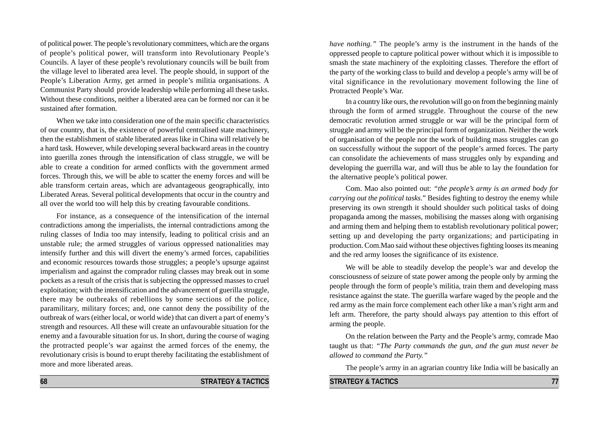of political power. The people's revolutionary committees, which are the organs of people's political power, will transform into Revolutionary People's Councils. A layer of these people's revolutionary councils will be built from the village level to liberated area level. The people should, in support of the People's Liberation Army, get armed in people's militia organisations. A Communist Party should provide leadership while performing all these tasks. Without these conditions, neither a liberated area can be formed nor can it be sustained after formation.

When we take into consideration one of the main specific characteristics of our country, that is, the existence of powerful centralised state machinery, then the establishment of stable liberated areas like in China will relatively be a hard task. However, while developing several backward areas in the country into guerilla zones through the intensification of class struggle, we will be able to create a condition for armed conflicts with the government armed forces. Through this, we will be able to scatter the enemy forces and will be able transform certain areas, which are advantageous geographically, into Liberated Areas. Several political developments that occur in the country and all over the world too will help this by creating favourable conditions.

For instance, as a consequence of the intensification of the internal contradictions among the imperialists, the internal contradictions among the ruling classes of India too may intensify, leading to political crisis and an unstable rule; the armed struggles of various oppressed nationalities may intensify further and this will divert the enemy's armed forces, capabilities and economic resources towards those struggles; a people's upsurge against imperialism and against the comprador ruling classes may break out in some pockets as a result of the crisis that is subjecting the oppressed masses to cruel exploitation; with the intensification and the advancement of guerilla struggle, there may be outbreaks of rebellions by some sections of the police, paramilitary, military forces; and, one cannot deny the possibility of the outbreak of wars (either local, or world wide) that can divert a part of enemy's strength and resources. All these will create an unfavourable situation for the enemy and a favourable situation for us. In short, during the course of waging the protracted people's war against the armed forces of the enemy, the revolutionary crisis is bound to erupt thereby facilitating the establishment of more and more liberated areas.

*have nothing."* The people's army is the instrument in the hands of the oppressed people to capture political power without which it is impossible to smash the state machinery of the exploiting classes. Therefore the effort of the party of the working class to build and develop a people's army will be of vital significance in the revolutionary movement following the line of Protracted People's War.

In a country like ours, the revolution will go on from the beginning mainly through the form of armed struggle. Throughout the course of the new democratic revolution armed struggle or war will be the principal form of struggle and army will be the principal form of organization. Neither the work of organisation of the people nor the work of building mass struggles can go on successfully without the support of the people's armed forces. The party can consolidate the achievements of mass struggles only by expanding and developing the guerrilla war, and will thus be able to lay the foundation for the alternative people's political power.

Com. Mao also pointed out: *"the people's army is an armed body for carrying out the political tasks*." Besides fighting to destroy the enemy while preserving its own strength it should shoulder such political tasks of doing propaganda among the masses, mobilising the masses along with organising and arming them and helping them to establish revolutionary political power; setting up and developing the party organizations; and participating in production. Com.Mao said without these objectives fighting looses its meaning and the red army looses the significance of its existence.

We will be able to steadily develop the people's war and develop the consciousness of seizure of state power among the people only by arming the people through the form of people's militia, train them and developing mass resistance against the state. The guerilla warfare waged by the people and the red army as the main force complement each other like a man's right arm and left arm. Therefore, the party should always pay attention to this effort of arming the people.

On the relation between the Party and the People's army, comrade Mao taught us that: *"The Party commands the gun, and the gun must never be allowed to command the Party."*

The people's army in an agrarian country like India will be basically an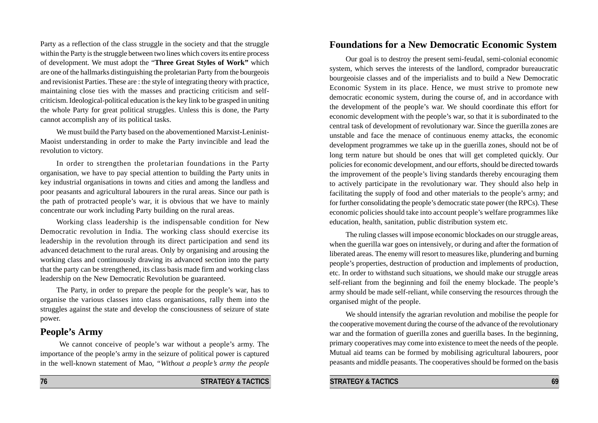Party as a reflection of the class struggle in the society and that the struggle within the Party is the struggle between two lines which covers its entire process of development. We must adopt the "**Three Great Styles of Work"** which are one of the hallmarks distinguishing the proletarian Party from the bourgeois and revisionist Parties. These are : the style of integrating theory with practice, maintaining close ties with the masses and practicing criticism and selfcriticism. Ideological-political education is the key link to be grasped in uniting the whole Party for great political struggles. Unless this is done, the Party cannot accomplish any of its political tasks.

We must build the Party based on the abovementioned Marxist-Leninist-Maoist understanding in order to make the Party invincible and lead the revolution to victory.

In order to strengthen the proletarian foundations in the Party organisation, we have to pay special attention to building the Party units in key industrial organisations in towns and cities and among the landless and poor peasants and agricultural labourers in the rural areas. Since our path is the path of protracted people's war, it is obvious that we have to mainly concentrate our work including Party building on the rural areas.

Working class leadership is the indispensable condition for New Democratic revolution in India. The working class should exercise its leadership in the revolution through its direct participation and send its advanced detachment to the rural areas. Only by organising and arousing the working class and continuously drawing its advanced section into the party that the party can be strengthened, its class basis made firm and working class leadership on the New Democratic Revolution be guaranteed.

The Party, in order to prepare the people for the people's war, has to organise the various classes into class organisations, rally them into the struggles against the state and develop the consciousness of seizure of state power.

# **People's Army**

 We cannot conceive of people's war without a people's army. The importance of the people's army in the seizure of political power is captured in the well-known statement of Mao, *"Without a people's army the people*

# **Foundations for a New Democratic Economic System**

Our goal is to destroy the present semi-feudal, semi-colonial economic system, which serves the interests of the landlord, comprador bureaucratic bourgeoisie classes and of the imperialists and to build a New Democratic Economic System in its place. Hence, we must strive to promote new democratic economic system, during the course of, and in accordance with the development of the people's war. We should coordinate this effort for economic development with the people's war, so that it is subordinated to the central task of development of revolutionary war. Since the guerilla zones are unstable and face the menace of continuous enemy attacks, the economic development programmes we take up in the guerilla zones, should not be of long term nature but should be ones that will get completed quickly. Our policies for economic development, and our efforts, should be directed towards the improvement of the people's living standards thereby encouraging them to actively participate in the revolutionary war. They should also help in facilitating the supply of food and other materials to the people's army; and for further consolidating the people's democratic state power (the RPCs). These economic policies should take into account people's welfare programmes like education, health, sanitation, public distribution system etc.

The ruling classes will impose economic blockades on our struggle areas, when the guerilla war goes on intensively, or during and after the formation of liberated areas. The enemy will resort to measures like, plundering and burning people's properties, destruction of production and implements of production, etc. In order to withstand such situations, we should make our struggle areas self-reliant from the beginning and foil the enemy blockade. The people's army should be made self-reliant, while conserving the resources through the organised might of the people.

We should intensify the agrarian revolution and mobilise the people for the cooperative movement during the course of the advance of the revolutionary war and the formation of guerilla zones and guerilla bases. In the beginning, primary cooperatives may come into existence to meet the needs of the people. Mutual aid teams can be formed by mobilising agricultural labourers, poor peasants and middle peasants. The cooperatives should be formed on the basis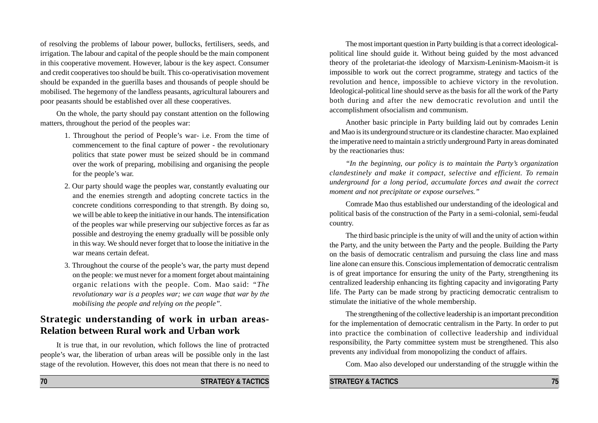of resolving the problems of labour power, bullocks, fertilisers, seeds, and irrigation. The labour and capital of the people should be the main component in this cooperative movement. However, labour is the key aspect. Consumer and credit cooperatives too should be built. This co-operativisation movement should be expanded in the guerilla bases and thousands of people should be mobilised. The hegemony of the landless peasants, agricultural labourers and poor peasants should be established over all these cooperatives.

On the whole, the party should pay constant attention on the following matters, throughout the period of the peoples war:

- 1. Throughout the period of People's war- i.e. From the time of commencement to the final capture of power - the revolutionary politics that state power must be seized should be in command over the work of preparing, mobilising and organising the people for the people's war.
- 2. Our party should wage the peoples war, constantly evaluating our and the enemies strength and adopting concrete tactics in the concrete conditions corresponding to that strength. By doing so, we will be able to keep the initiative in our hands. The intensification of the peoples war while preserving our subjective forces as far as possible and destroying the enemy gradually will be possible only in this way. We should never forget that to loose the initiative in the war means certain defeat.
- 3. Throughout the course of the people's war, the party must depend on the people: we must never for a moment forget about maintaining organic relations with the people. Com. Mao said: *"The revolutionary war is a peoples war; we can wage that war by the mobilising the people and relying on the people".*

# **Strategic understanding of work in urban areas-Relation between Rural work and Urban work**

It is true that, in our revolution, which follows the line of protracted people's war, the liberation of urban areas will be possible only in the last stage of the revolution. However, this does not mean that there is no need to

The most important question in Party building is that a correct ideologicalpolitical line should guide it. Without being guided by the most advanced theory of the proletariat-the ideology of Marxism-Leninism-Maoism-it is impossible to work out the correct programme, strategy and tactics of the revolution and hence, impossible to achieve victory in the revolution. Ideological-political line should serve as the basis for all the work of the Party both during and after the new democratic revolution and until the accomplishment ofsocialism and communism.

Another basic principle in Party building laid out by comrades Lenin and Mao is its underground structure or its clandestine character. Mao explained the imperative need to maintain a strictly underground Party in areas dominated by the reactionaries thus:

*"In the beginning, our policy is to maintain the Party's organization clandestinely and make it compact, selective and efficient. To remain underground for a long period, accumulate forces and await the correct moment and not precipitate or expose ourselves."*

Comrade Mao thus established our understanding of the ideological and political basis of the construction of the Party in a semi-colonial, semi-feudal country.

The third basic principle is the unity of will and the unity of action within the Party, and the unity between the Party and the people. Building the Party on the basis of democratic centralism and pursuing the class line and mass line alone can ensure this. Conscious implementation of democratic centralism is of great importance for ensuring the unity of the Party, strengthening its centralized leadership enhancing its fighting capacity and invigorating Party life. The Party can be made strong by practicing democratic centralism to stimulate the initiative of the whole membership.

The strengthening of the collective leadership is an important precondition for the implementation of democratic centralism in the Party. In order to put into practice the combination of collective leadership and individual responsibility, the Party committee system must be strengthened. This also prevents any individual from monopolizing the conduct of affairs.

Com. Mao also developed our understanding of the struggle within the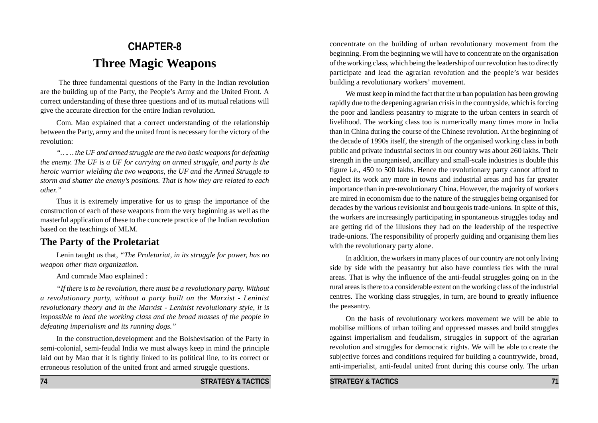# **CHAPTER-8 Three Magic Weapons**

 The three fundamental questions of the Party in the Indian revolution are the building up of the Party, the People's Army and the United Front. A correct understanding of these three questions and of its mutual relations will give the accurate direction for the entire Indian revolution.

Com. Mao explained that a correct understanding of the relationship between the Party, army and the united front is necessary for the victory of the revolution:

*"…… the UF and armed struggle are the two basic weapons for defeating the enemy. The UF is a UF for carrying on armed struggle, and party is the heroic warrior wielding the two weapons, the UF and the Armed Struggle to storm and shatter the enemy's positions. That is how they are related to each other."*

Thus it is extremely imperative for us to grasp the importance of the construction of each of these weapons from the very beginning as well as the masterful application of these to the concrete practice of the Indian revolution based on the teachings of MLM.

# **The Party of the Proletariat**

Lenin taught us that, *"The Proletariat, in its struggle for power, has no weapon other than organization.*

And comrade Mao explained :

*"If there is to be revolution, there must be a revolutionary party. Without a revolutionary party, without a party built on the Marxist - Leninist revolutionary theory and in the Marxist - Leninist revolutionary style, it is impossible to lead the working class and the broad masses of the people in defeating imperialism and its running dogs."*

In the construction,development and the Bolshevisation of the Party in semi-colonial, semi-feudal India we must always keep in mind the principle laid out by Mao that it is tightly linked to its political line, to its correct or erroneous resolution of the united front and armed struggle questions.

concentrate on the building of urban revolutionary movement from the beginning. From the beginning we will have to concentrate on the organisation of the working class, which being the leadership of our revolution has to directly participate and lead the agrarian revolution and the people's war besides building a revolutionary workers' movement.

We must keep in mind the fact that the urban population has been growing rapidly due to the deepening agrarian crisis in the countryside, which is forcing the poor and landless peasantry to migrate to the urban centers in search of livelihood. The working class too is numerically many times more in India than in China during the course of the Chinese revolution. At the beginning of the decade of 1990s itself, the strength of the organised working class in both public and private industrial sectors in our country was about 260 lakhs. Their strength in the unorganised, ancillary and small-scale industries is double this figure i.e., 450 to 500 lakhs. Hence the revolutionary party cannot afford to neglect its work any more in towns and industrial areas and has far greater importance than in pre-revolutionary China. However, the majority of workers are mired in economism due to the nature of the struggles being organised for decades by the various revisionist and bourgeois trade-unions. In spite of this, the workers are increasingly participating in spontaneous struggles today and are getting rid of the illusions they had on the leadership of the respective trade-unions. The responsibility of properly guiding and organising them lies with the revolutionary party alone.

In addition, the workers in many places of our country are not only living side by side with the peasantry but also have countless ties with the rural areas. That is why the influence of the anti-feudal struggles going on in the rural areas is there to a considerable extent on the working class of the industrial centres. The working class struggles, in turn, are bound to greatly influence the peasantry.

On the basis of revolutionary workers movement we will be able to mobilise millions of urban toiling and oppressed masses and build struggles against imperialism and feudalism, struggles in support of the agrarian revolution and struggles for democratic rights. We will be able to create the subjective forces and conditions required for building a countrywide, broad, anti-imperialist, anti-feudal united front during this course only. The urban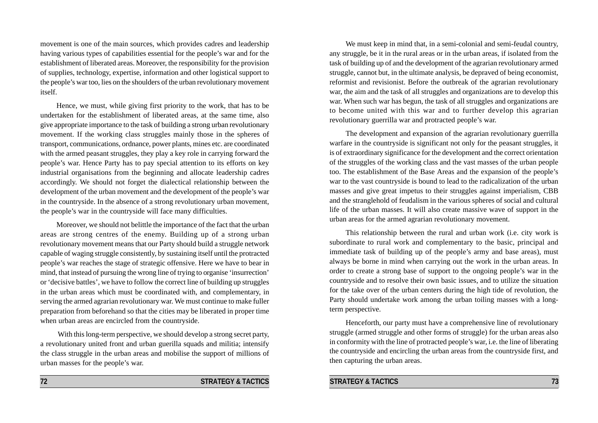movement is one of the main sources, which provides cadres and leadership having various types of capabilities essential for the people's war and for the establishment of liberated areas. Moreover, the responsibility for the provision of supplies, technology, expertise, information and other logistical support to the people's war too, lies on the shoulders of the urban revolutionary movement itself.

Hence, we must, while giving first priority to the work, that has to be undertaken for the establishment of liberated areas, at the same time, also give appropriate importance to the task of building a strong urban revolutionary movement. If the working class struggles mainly those in the spheres of transport, communications, ordnance, power plants, mines etc. are coordinated with the armed peasant struggles, they play a key role in carrying forward the people's war. Hence Party has to pay special attention to its efforts on key industrial organisations from the beginning and allocate leadership cadres accordingly. We should not forget the dialectical relationship between the development of the urban movement and the development of the people's war in the countryside. In the absence of a strong revolutionary urban movement, the people's war in the countryside will face many difficulties.

Moreover, we should not belittle the importance of the fact that the urban areas are strong centres of the enemy. Building up of a strong urban revolutionary movement means that our Party should build a struggle network capable of waging struggle consistently, by sustaining itself until the protracted people's war reaches the stage of strategic offensive. Here we have to bear in mind, that instead of pursuing the wrong line of trying to organise 'insurrection' or 'decisive battles', we have to follow the correct line of building up struggles in the urban areas which must be coordinated with, and complementary, in serving the armed agrarian revolutionary war. We must continue to make fuller preparation from beforehand so that the cities may be liberated in proper time when urban areas are encircled from the countryside.

 With this long-term perspective, we should develop a strong secret party, a revolutionary united front and urban guerilla squads and militia; intensify the class struggle in the urban areas and mobilise the support of millions of urban masses for the people's war.

We must keep in mind that, in a semi-colonial and semi-feudal country, any struggle, be it in the rural areas or in the urban areas, if isolated from the task of building up of and the development of the agrarian revolutionary armed struggle, cannot but, in the ultimate analysis, be depraved of being economist, reformist and revisionist. Before the outbreak of the agrarian revolutionary war, the aim and the task of all struggles and organizations are to develop this war. When such war has begun, the task of all struggles and organizations are to become united with this war and to further develop this agrarian revolutionary guerrilla war and protracted people's war.

The development and expansion of the agrarian revolutionary guerrilla warfare in the countryside is significant not only for the peasant struggles, it is of extraordinary significance for the development and the correct orientation of the struggles of the working class and the vast masses of the urban people too. The establishment of the Base Areas and the expansion of the people's war to the vast countryside is bound to lead to the radicalization of the urban masses and give great impetus to their struggles against imperialism, CBB and the stranglehold of feudalism in the various spheres of social and cultural life of the urban masses. It will also create massive wave of support in the urban areas for the armed agrarian revolutionary movement.

This relationship between the rural and urban work (i.e. city work is subordinate to rural work and complementary to the basic, principal and immediate task of building up of the people's army and base areas), must always be borne in mind when carrying out the work in the urban areas. In order to create a strong base of support to the ongoing people's war in the countryside and to resolve their own basic issues, and to utilize the situation for the take over of the urban centers during the high tide of revolution, the Party should undertake work among the urban toiling masses with a longterm perspective.

Henceforth, our party must have a comprehensive line of revolutionary struggle (armed struggle and other forms of struggle) for the urban areas also in conformity with the line of protracted people's war, i.e. the line of liberating the countryside and encircling the urban areas from the countryside first, and then capturing the urban areas.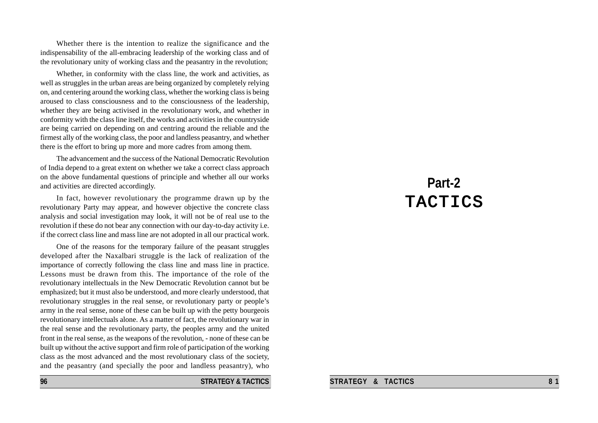Whether there is the intention to realize the significance and the indispensability of the all-embracing leadership of the working class and of the revolutionary unity of working class and the peasantry in the revolution;

Whether, in conformity with the class line, the work and activities, as well as struggles in the urban areas are being organized by completely relying on, and centering around the working class, whether the working class is being aroused to class consciousness and to the consciousness of the leadership, whether they are being activised in the revolutionary work, and whether in conformity with the class line itself, the works and activities in the countryside are being carried on depending on and centring around the reliable and the firmest ally of the working class, the poor and landless peasantry, and whether there is the effort to bring up more and more cadres from among them.

The advancement and the success of the National Democratic Revolution of India depend to a great extent on whether we take a correct class approach on the above fundamental questions of principle and whether all our works and activities are directed accordingly.

In fact, however revolutionary the programme drawn up by the revolutionary Party may appear, and however objective the concrete class analysis and social investigation may look, it will not be of real use to the revolution if these do not bear any connection with our day-to-day activity i.e. if the correct class line and mass line are not adopted in all our practical work.

One of the reasons for the temporary failure of the peasant struggles developed after the Naxalbari struggle is the lack of realization of the importance of correctly following the class line and mass line in practice. Lessons must be drawn from this. The importance of the role of the revolutionary intellectuals in the New Democratic Revolution cannot but be emphasized; but it must also be understood, and more clearly understood, that revolutionary struggles in the real sense, or revolutionary party or people's army in the real sense, none of these can be built up with the petty bourgeois revolutionary intellectuals alone. As a matter of fact, the revolutionary war in the real sense and the revolutionary party, the peoples army and the united front in the real sense, as the weapons of the revolution, - none of these can be built up without the active support and firm role of participation of the working class as the most advanced and the most revolutionary class of the society, and the peasantry (and specially the poor and landless peasantry), who

**96 STRATEGY & TACTICS** 

# **Part-2** TACTICS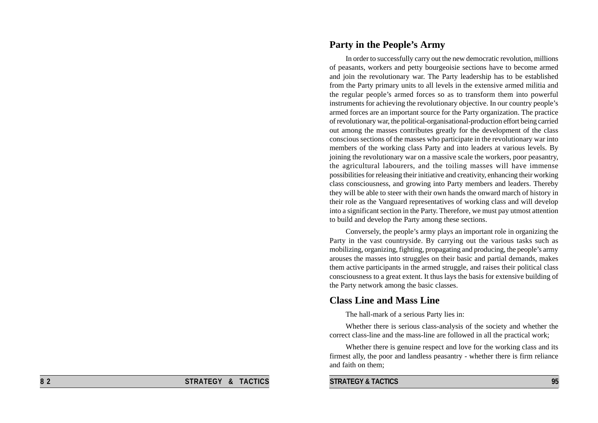# **Party in the People's Army**

In order to successfully carry out the new democratic revolution, millions of peasants, workers and petty bourgeoisie sections have to become armed and join the revolutionary war. The Party leadership has to be established from the Party primary units to all levels in the extensive armed militia and the regular people's armed forces so as to transform them into powerful instruments for achieving the revolutionary objective. In our country people's armed forces are an important source for the Party organization. The practice of revolutionary war, the political-organisational-production effort being carried out among the masses contributes greatly for the development of the class conscious sections of the masses who participate in the revolutionary war into members of the working class Party and into leaders at various levels. By joining the revolutionary war on a massive scale the workers, poor peasantry, the agricultural labourers, and the toiling masses will have immense possibilities for releasing their initiative and creativity, enhancing their working class consciousness, and growing into Party members and leaders. Thereby they will be able to steer with their own hands the onward march of history in their role as the Vanguard representatives of working class and will develop into a significant section in the Party. Therefore, we must pay utmost attention to build and develop the Party among these sections.

Conversely, the people's army plays an important role in organizing the Party in the vast countryside. By carrying out the various tasks such as mobilizing, organizing, fighting, propagating and producing, the people's army arouses the masses into struggles on their basic and partial demands, makes them active participants in the armed struggle, and raises their political class consciousness to a great extent. It thus lays the basis for extensive building of the Party network among the basic classes.

### **Class Line and Mass Line**

The hall-mark of a serious Party lies in:

Whether there is serious class-analysis of the society and whether the correct class-line and the mass-line are followed in all the practical work;

Whether there is genuine respect and love for the working class and its firmest ally, the poor and landless peasantry - whether there is firm reliance and faith on them;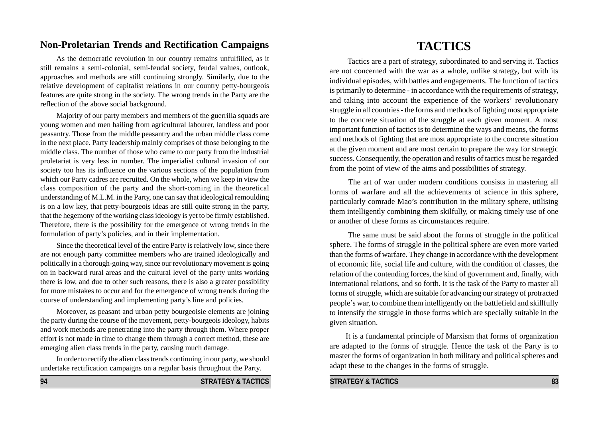# **Non-Proletarian Trends and Rectification Campaigns**

As the democratic revolution in our country remains unfulfilled, as it still remains a semi-colonial, semi-feudal society, feudal values, outlook, approaches and methods are still continuing strongly. Similarly, due to the relative development of capitalist relations in our country petty-bourgeois features are quite strong in the society. The wrong trends in the Party are the reflection of the above social background.

Majority of our party members and members of the guerrilla squads are young women and men hailing from agricultural labourer, landless and poor peasantry. Those from the middle peasantry and the urban middle class come in the next place. Party leadership mainly comprises of those belonging to the middle class. The number of those who came to our party from the industrial proletariat is very less in number. The imperialist cultural invasion of our society too has its influence on the various sections of the population from which our Party cadres are recruited. On the whole, when we keep in view the class composition of the party and the short-coming in the theoretical understanding of M.L.M. in the Party, one can say that ideological remoulding is on a low key, that petty-bourgeois ideas are still quite strong in the party, that the hegemony of the working class ideology is yet to be firmly established. Therefore, there is the possibility for the emergence of wrong trends in the formulation of party's policies, and in their implementation.

Since the theoretical level of the entire Party is relatively low, since there are not enough party committee members who are trained ideologically and politically in a thorough-going way, since our revolutionary movement is going on in backward rural areas and the cultural level of the party units working there is low, and due to other such reasons, there is also a greater possibility for more mistakes to occur and for the emergence of wrong trends during the course of understanding and implementing party's line and policies.

Moreover, as peasant and urban petty bourgeoisie elements are joining the party during the course of the movement, petty-bourgeois ideology, habits and work methods are penetrating into the party through them. Where proper effort is not made in time to change them through a correct method, these are emerging alien class trends in the party, causing much damage.

In order to rectify the alien class trends continuing in our party, we should undertake rectification campaigns on a regular basis throughout the Party.

# **TACTICS**

 Tactics are a part of strategy, subordinated to and serving it. Tactics are not concerned with the war as a whole, unlike strategy, but with its individual episodes, with battles and engagements. The function of tactics is primarily to determine - in accordance with the requirements of strategy, and taking into account the experience of the workers' revolutionary struggle in all countries - the forms and methods of fighting most appropriate to the concrete situation of the struggle at each given moment. A most important function of tactics is to determine the ways and means, the forms and methods of fighting that are most appropriate to the concrete situation at the given moment and are most certain to prepare the way for strategic success. Consequently, the operation and results of tactics must be regarded from the point of view of the aims and possibilities of strategy.

 The art of war under modern conditions consists in mastering all forms of warfare and all the achievements of science in this sphere, particularly comrade Mao's contribution in the military sphere, utilising them intelligently combining them skilfully, or making timely use of one or another of these forms as circumstances require.

 The same must be said about the forms of struggle in the political sphere. The forms of struggle in the political sphere are even more varied than the forms of warfare. They change in accordance with the development of economic life, social life and culture, with the condition of classes, the relation of the contending forces, the kind of government and, finally, with international relations, and so forth. It is the task of the Party to master all forms of struggle, which are suitable for advancing our strategy of protracted people's war, to combine them intelligently on the battlefield and skillfully to intensify the struggle in those forms which are specially suitable in the given situation.

It is a fundamental principle of Marxism that forms of organization are adapted to the forms of struggle. Hence the task of the Party is to master the forms of organization in both military and political spheres and adapt these to the changes in the forms of struggle.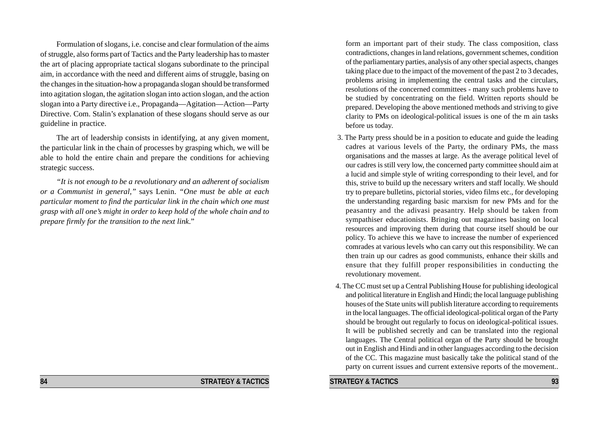Formulation of slogans, i.e. concise and clear formulation of the aims of struggle, also forms part of Tactics and the Party leadership has to master the art of placing appropriate tactical slogans subordinate to the principal aim, in accordance with the need and different aims of struggle, basing on the changes in the situation-how a propaganda slogan should be transformed into agitation slogan, the agitation slogan into action slogan, and the action slogan into a Party directive i.e., Propaganda—Agitation—Action—Party Directive. Com. Stalin's explanation of these slogans should serve as our guideline in practice.

The art of leadership consists in identifying, at any given moment, the particular link in the chain of processes by grasping which, we will be able to hold the entire chain and prepare the conditions for achieving strategic success.

*"It is not enough to be a revolutionary and an adherent of socialism or a Communist in general,"* says Lenin. *"One must be able at each particular moment to find the particular link in the chain which one must grasp with all one's might in order to keep hold of the whole chain and to prepare firmly for the transition to the next link*."

### **84** STRATEGY & TACTICS

form an important part of their study. The class composition, class contradictions, changes in land relations, government schemes, condition of the parliamentary parties, analysis of any other special aspects, changes taking place due to the impact of the movement of the past 2 to 3 decades, problems arising in implementing the central tasks and the circulars, resolutions of the concerned committees - many such problems have to be studied by concentrating on the field. Written reports should be prepared. Developing the above mentioned methods and striving to give clarity to PMs on ideological-political issues is one of the m ain tasks before us today.

- 3. The Party press should be in a position to educate and guide the leading cadres at various levels of the Party, the ordinary PMs, the mass organisations and the masses at large. As the average political level of our cadres is still very low, the concerned party committee should aim at a lucid and simple style of writing corresponding to their level, and for this, strive to build up the necessary writers and staff locally. We should try to prepare bulletins, pictorial stories, video films etc., for developing the understanding regarding basic marxism for new PMs and for the peasantry and the adivasi peasantry. Help should be taken from sympathiser educationists. Bringing out magazines basing on local resources and improving them during that course itself should be our policy. To achieve this we have to increase the number of experienced comrades at various levels who can carry out this responsibility. We can then train up our cadres as good communists, enhance their skills and ensure that they fulfill proper responsibilities in conducting the revolutionary movement.
- 4. The CC must set up a Central Publishing House for publishing ideological and political literature in English and Hindi; the local language publishing houses of the State units will publish literature according to requirements in the local languages. The official ideological-political organ of the Party should be brought out regularly to focus on ideological-political issues. It will be published secretly and can be translated into the regional languages. The Central political organ of the Party should be brought out in English and Hindi and in other languages according to the decision of the CC. This magazine must basically take the political stand of the party on current issues and current extensive reports of the movement..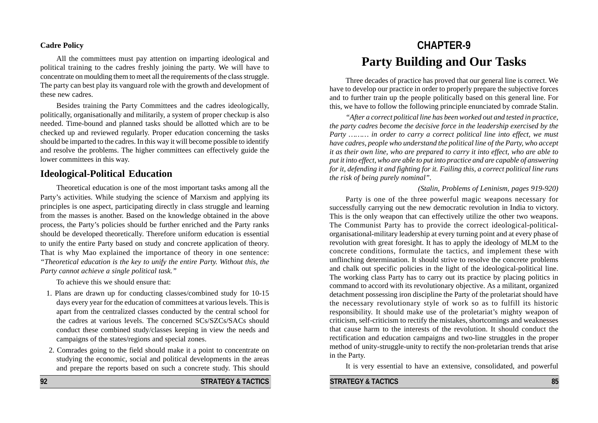#### **Cadre Policy**

All the committees must pay attention on imparting ideological and political training to the cadres freshly joining the party. We will have to concentrate on moulding them to meet all the requirements of the class struggle. The party can best play its vanguard role with the growth and development of these new cadres.

Besides training the Party Committees and the cadres ideologically, politically, organisationally and militarily, a system of proper checkup is also needed. Time-bound and planned tasks should be allotted which are to be checked up and reviewed regularly. Proper education concerning the tasks should be imparted to the cadres. In this way it will become possible to identify and resolve the problems. The higher committees can effectively guide the lower committees in this way.

## **Ideological-Political Education**

Theoretical education is one of the most important tasks among all the Party's activities. While studying the science of Marxism and applying its principles is one aspect, participating directly in class struggle and learning from the masses is another. Based on the knowledge obtained in the above process, the Party's policies should be further enriched and the Party ranks should be developed theoretically. Therefore uniform education is essential to unify the entire Party based on study and concrete application of theory. That is why Mao explained the importance of theory in one sentence: *"Theoretical education is the key to unify the entire Party. Without this, the Party cannot achieve a single political task."*

To achieve this we should ensure that:

- 1. Plans are drawn up for conducting classes/combined study for 10-15 days every year for the education of committees at various levels. This is apart from the centralized classes conducted by the central school for the cadres at various levels. The concerned SCs/SZCs/SACs should conduct these combined study/classes keeping in view the needs and campaigns of the states/regions and special zones.
- 2. Comrades going to the field should make it a point to concentrate on studying the economic, social and political developments in the areas and prepare the reports based on such a concrete study. This should

# **CHAPTER-9 Party Building and Our Tasks**

Three decades of practice has proved that our general line is correct. We have to develop our practice in order to properly prepare the subjective forces and to further train up the people politically based on this general line. For this, we have to follow the following principle enunciated by comrade Stalin.

*"After a correct political line has been worked out and tested in practice, the party cadres become the decisive force in the leadership exercised by the Party ……… in order to carry a correct political line into effect, we must have cadres, people who understand the political line of the Party, who accept it as their own line, who are prepared to carry it into effect, who are able to put it into effect, who are able to put into practice and are capable of answering for it, defending it and fighting for it. Failing this, a correct political line runs the risk of being purely nominal".*

#### *(Stalin, Problems of Leninism, pages 919-920)*

Party is one of the three powerful magic weapons necessary for successfully carrying out the new democratic revolution in India to victory. This is the only weapon that can effectively utilize the other two weapons. The Communist Party has to provide the correct ideological-politicalorganisational-military leadership at every turning point and at every phase of revolution with great foresight. It has to apply the ideology of MLM to the concrete conditions, formulate the tactics, and implement these with unflinching determination. It should strive to resolve the concrete problems and chalk out specific policies in the light of the ideological-political line. The working class Party has to carry out its practice by placing politics in command to accord with its revolutionary objective. As a militant, organized detachment possessing iron discipline the Party of the proletariat should have the necessary revolutionary style of work so as to fulfill its historic responsibility. It should make use of the proletariat's mighty weapon of criticism, self-criticism to rectify the mistakes, shortcomings and weaknesses that cause harm to the interests of the revolution. It should conduct the rectification and education campaigns and two-line struggles in the proper method of unity-struggle-unity to rectify the non-proletarian trends that arise in the Party.

It is very essential to have an extensive, consolidated, and powerful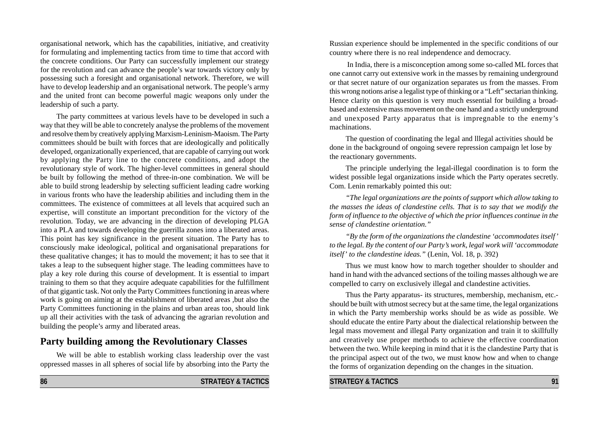organisational network, which has the capabilities, initiative, and creativity for formulating and implementing tactics from time to time that accord with the concrete conditions. Our Party can successfully implement our strategy for the revolution and can advance the people's war towards victory only by possessing such a foresight and organisational network. Therefore, we will have to develop leadership and an organisational network. The people's army and the united front can become powerful magic weapons only under the leadership of such a party.

The party committees at various levels have to be developed in such a way that they will be able to concretely analyse the problems of the movement and resolve them by creatively applying Marxism-Leninism-Maoism. The Party committees should be built with forces that are ideologically and politically developed, organizationally experienced, that are capable of carrying out work by applying the Party line to the concrete conditions, and adopt the revolutionary style of work. The higher-level committees in general should be built by following the method of three-in-one combination. We will be able to build strong leadership by selecting sufficient leading cadre working in various fronts who have the leadership abilities and including them in the committees. The existence of committees at all levels that acquired such an expertise, will constitute an important precondition for the victory of the revolution. Today, we are advancing in the direction of developing PLGA into a PLA and towards developing the guerrilla zones into a liberated areas. This point has key significance in the present situation. The Party has to consciously make ideological, political and organisational preparations for these qualitative changes; it has to mould the movement; it has to see that it takes a leap to the subsequent higher stage. The leading committees have to play a key role during this course of development. It is essential to impart training to them so that they acquire adequate capabilities for the fulfillment of that gigantic task. Not only the Party Committees functioning in areas where work is going on aiming at the establishment of liberated areas ,but also the Party Committees functioning in the plains and urban areas too, should link up all their activities with the task of advancing the agrarian revolution and building the people's army and liberated areas.

# **Party building among the Revolutionary Classes**

We will be able to establish working class leadership over the vast oppressed masses in all spheres of social life by absorbing into the Party the

Russian experience should be implemented in the specific conditions of our country where there is no real independence and democracy.

 In India, there is a misconception among some so-called ML forces that one cannot carry out extensive work in the masses by remaining underground or that secret nature of our organization separates us from the masses. From this wrong notions arise a legalist type of thinking or a "Left" sectarian thinking. Hence clarity on this question is very much essential for building a broadbased and extensive mass movement on the one hand and a strictly underground and unexposed Party apparatus that is impregnable to the enemy's machinations.

The question of coordinating the legal and lllegal activities should be done in the background of ongoing severe repression campaign let lose by the reactionary governments.

The principle underlying the legal-illegal coordination is to form the widest possible legal organizations inside which the Party operates secretly. Com. Lenin remarkably pointed this out:

*"The legal organizations are the points of support which allow taking to the masses the ideas of clandestine cells. That is to say that we modify the form of influence to the objective of which the prior influences continue in the sense of clandestine orientation."*

*"By the form of the organizations the clandestine 'accommodates itself' to the legal. By the content of our Party's work, legal work will 'accommodate itself' to the clandestine ideas."* (Lenin, Vol. 18, p. 392)

Thus we must know how to march together shoulder to shoulder and hand in hand with the advanced sections of the toiling masses although we are compelled to carry on exclusively illegal and clandestine activities.

Thus the Party apparatus- its structures, membership, mechanism, etc. should be built with utmost secrecy but at the same time, the legal organizations in which the Party membership works should be as wide as possible. We should educate the entire Party about the dialectical relationship between the legal mass movement and illegal Party organization and train it to skillfully and creatively use proper methods to achieve the effective coordination between the two. While keeping in mind that it is the clandestine Party that is the principal aspect out of the two, we must know how and when to change the forms of organization depending on the changes in the situation.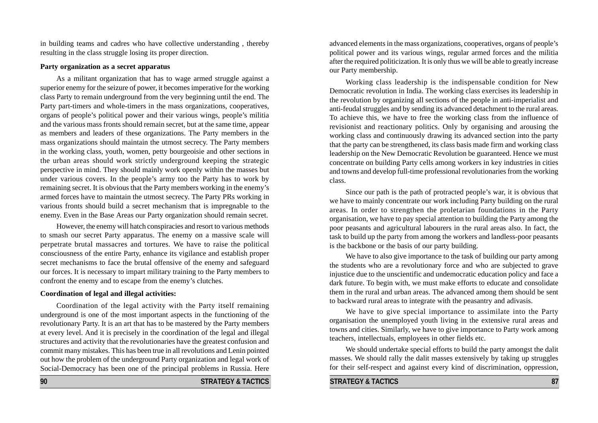in building teams and cadres who have collective understanding , thereby resulting in the class struggle losing its proper direction.

#### **Party organization as a secret apparatus**

As a militant organization that has to wage armed struggle against a superior enemy for the seizure of power, it becomes imperative for the working class Party to remain underground from the very beginning until the end. The Party part-timers and whole-timers in the mass organizations, cooperatives, organs of people's political power and their various wings, people's militia and the various mass fronts should remain secret, but at the same time, appear as members and leaders of these organizations. The Party members in the mass organizations should maintain the utmost secrecy. The Party members in the working class, youth, women, petty bourgeoisie and other sections in the urban areas should work strictly underground keeping the strategic perspective in mind. They should mainly work openly within the masses but under various covers. In the people's army too the Party has to work by remaining secret. It is obvious that the Party members working in the enemy's armed forces have to maintain the utmost secrecy. The Party PRs working in various fronts should build a secret mechanism that is impregnable to the enemy. Even in the Base Areas our Party organization should remain secret.

However, the enemy will hatch conspiracies and resort to various methods to smash our secret Party apparatus. The enemy on a massive scale will perpetrate brutal massacres and tortures. We have to raise the political consciousness of the entire Party, enhance its vigilance and establish proper secret mechanisms to face the brutal offensive of the enemy and safeguard our forces. It is necessary to impart military training to the Party members to confront the enemy and to escape from the enemy's clutches.

#### **Coordination of legal and illegal activities:**

Coordination of the legal activity with the Party itself remaining underground is one of the most important aspects in the functioning of the revolutionary Party. It is an art that has to be mastered by the Party members at every level. And it is precisely in the coordination of the legal and illegal structures and activity that the revolutionaries have the greatest confusion and commit many mistakes. This has been true in all revolutions and Lenin pointed out how the problem of the underground Party organization and legal work of Social-Democracy has been one of the principal problems in Russia. Here advanced elements in the mass organizations, cooperatives, organs of people's political power and its various wings, regular armed forces and the militia after the required politicization. It is only thus we will be able to greatly increase our Party membership.

Working class leadership is the indispensable condition for New Democratic revolution in India. The working class exercises its leadership in the revolution by organizing all sections of the people in anti-imperialist and anti-feudal struggles and by sending its advanced detachment to the rural areas. To achieve this, we have to free the working class from the influence of revisionist and reactionary politics. Only by organising and arousing the working class and continuously drawing its advanced section into the party that the party can be strengthened, its class basis made firm and working class leadership on the New Democratic Revolution be guaranteed. Hence we must concentrate on building Party cells among workers in key industries in cities and towns and develop full-time professional revolutionaries from the working class.

Since our path is the path of protracted people's war, it is obvious that we have to mainly concentrate our work including Party building on the rural areas. In order to strengthen the proletarian foundations in the Party organisation, we have to pay special attention to building the Party among the poor peasants and agricultural labourers in the rural areas also. In fact, the task to build up the party from among the workers and landless-poor peasants is the backbone or the basis of our party building.

We have to also give importance to the task of building our party among the students who are a revolutionary force and who are subjected to grave injustice due to the unscientific and undemocratic education policy and face a dark future. To begin with, we must make efforts to educate and consolidate them in the rural and urban areas. The advanced among them should be sent to backward rural areas to integrate with the peasantry and adivasis.

We have to give special importance to assimilate into the Party organisation the unemployed youth living in the extensive rural areas and towns and cities. Similarly, we have to give importance to Party work among teachers, intellectuals, employees in other fields etc.

We should undertake special efforts to build the party amongst the dalit masses. We should rally the dalit masses extensively by taking up struggles for their self-respect and against every kind of discrimination, oppression,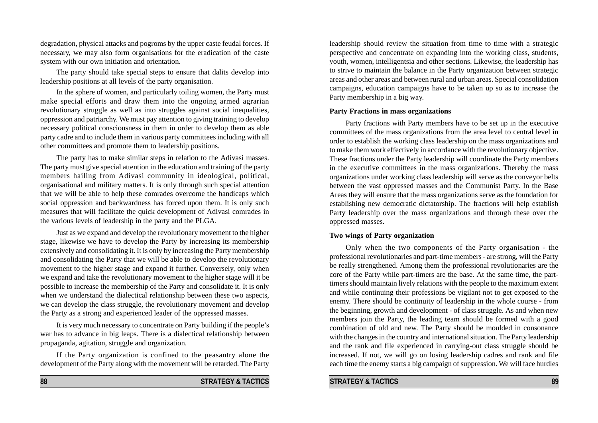degradation, physical attacks and pogroms by the upper caste feudal forces. If necessary, we may also form organisations for the eradication of the caste system with our own initiation and orientation.

The party should take special steps to ensure that dalits develop into leadership positions at all levels of the party organisation.

In the sphere of women, and particularly toiling women, the Party must make special efforts and draw them into the ongoing armed agrarian revolutionary struggle as well as into struggles against social inequalities, oppression and patriarchy. We must pay attention to giving training to develop necessary political consciousness in them in order to develop them as able party cadre and to include them in various party committees including with all other committees and promote them to leadership positions.

The party has to make similar steps in relation to the Adivasi masses. The party must give special attention in the education and training of the party members hailing from Adivasi community in ideological, political, organisational and military matters. It is only through such special attention that we will be able to help these comrades overcome the handicaps which social oppression and backwardness has forced upon them. It is only such measures that will facilitate the quick development of Adivasi comrades in the various levels of leadership in the party and the PLGA.

Just as we expand and develop the revolutionary movement to the higher stage, likewise we have to develop the Party by increasing its membership extensively and consolidating it. It is only by increasing the Party membership and consolidating the Party that we will be able to develop the revolutionary movement to the higher stage and expand it further. Conversely, only when we expand and take the revolutionary movement to the higher stage will it be possible to increase the membership of the Party and consolidate it. It is only when we understand the dialectical relationship between these two aspects, we can develop the class struggle, the revolutionary movement and develop the Party as a strong and experienced leader of the oppressed masses.

It is very much necessary to concentrate on Party building if the people's war has to advance in big leaps. There is a dialectical relationship between propaganda, agitation, struggle and organization.

If the Party organization is confined to the peasantry alone the development of the Party along with the movement will be retarded. The Party

leadership should review the situation from time to time with a strategic perspective and concentrate on expanding into the working class, students, youth, women, intelligentsia and other sections. Likewise, the leadership has to strive to maintain the balance in the Party organization between strategic areas and other areas and between rural and urban areas. Special consolidation campaigns, education campaigns have to be taken up so as to increase the Party membership in a big way.

#### **Party Fractions in mass organizations**

Party fractions with Party members have to be set up in the executive committees of the mass organizations from the area level to central level in order to establish the working class leadership on the mass organizations and to make them work effectively in accordance with the revolutionary objective. These fractions under the Party leadership will coordinate the Party members in the executive committees in the mass organizations. Thereby the mass organizations under working class leadership will serve as the conveyor belts between the vast oppressed masses and the Communist Party. In the Base Areas they will ensure that the mass organizations serve as the foundation for establishing new democratic dictatorship. The fractions will help establish Party leadership over the mass organizations and through these over the oppressed masses.

#### **Two wings of Party organization**

Only when the two components of the Party organisation - the professional revolutionaries and part-time members - are strong, will the Party be really strengthened. Among them the professional revolutionaries are the core of the Party while part-timers are the base. At the same time, the parttimers should maintain lively relations with the people to the maximum extent and while continuing their professions be vigilant not to get exposed to the enemy. There should be continuity of leadership in the whole course - from the beginning, growth and development - of class struggle. As and when new members join the Party, the leading team should be formed with a good combination of old and new. The Party should be moulded in consonance with the changes in the country and international situation. The Party leadership and the rank and file experienced in carrying-out class struggle should be increased. If not, we will go on losing leadership cadres and rank and file each time the enemy starts a big campaign of suppression. We will face hurdles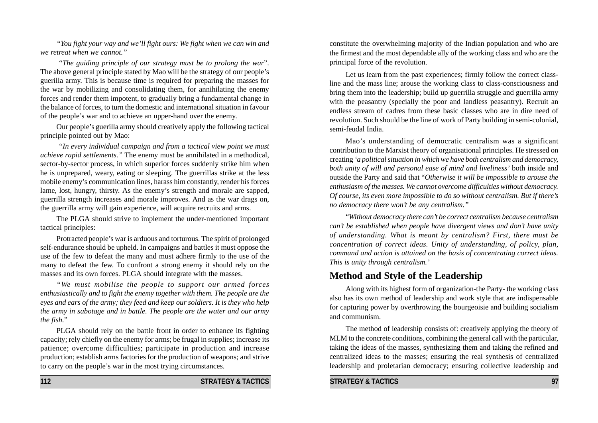*"You fight your way and we'll fight ours: We fight when we can win and we retreat when we cannot."*

 "*The guiding principle of our strategy must be to prolong the war*". The above general principle stated by Mao will be the strategy of our people's guerilla army. This is because time is required for preparing the masses for the war by mobilizing and consolidating them, for annihilating the enemy forces and render them impotent, to gradually bring a fundamental change in the balance of forces, to turn the domestic and international situation in favour of the people's war and to achieve an upper-hand over the enemy.

Our people's guerilla army should creatively apply the following tactical principle pointed out by Mao:

 *"In every individual campaign and from a tactical view point we must achieve rapid settlements."* The enemy must be annihilated in a methodical, sector-by-sector process, in which superior forces suddenly strike him when he is unprepared, weary, eating or sleeping. The guerrillas strike at the less mobile enemy's communication lines, harass him constantly, render his forces lame, lost, hungry, thirsty. As the enemy's strength and morale are sapped, guerrilla strength increases and morale improves. And as the war drags on, the guerrilla army will gain experience, will acquire recruits and arms.

The PLGA should strive to implement the under-mentioned important tactical principles:

Protracted people's war is arduous and torturous. The spirit of prolonged self-endurance should be upheld. In campaigns and battles it must oppose the use of the few to defeat the many and must adhere firmly to the use of the many to defeat the few. To confront a strong enemy it should rely on the masses and its own forces. PLGA should integrate with the masses.

*"We must mobilise the people to support our armed forces enthusiastically and to fight the enemy together with them. The people are the eyes and ears of the army; they feed and keep our soldiers. It is they who help the army in sabotage and in battle. The people are the water and our army the fish.*"

PLGA should rely on the battle front in order to enhance its fighting capacity; rely chiefly on the enemy for arms; be frugal in supplies; increase its patience; overcome difficulties; participate in production and increase production; establish arms factories for the production of weapons; and strive to carry on the people's war in the most trying circumstances.

constitute the overwhelming majority of the Indian population and who are the firmest and the most dependable ally of the working class and who are the principal force of the revolution.

Let us learn from the past experiences; firmly follow the correct classline and the mass line; arouse the working class to class-consciousness and bring them into the leadership; build up guerrilla struggle and guerrilla army with the peasantry (specially the poor and landless peasantry). Recruit an endless stream of cadres from these basic classes who are in dire need of revolution. Such should be the line of work of Party building in semi-colonial, semi-feudal India.

Mao's understanding of democratic centralism was a significant contribution to the Marxist theory of organisational principles. He stressed on creating *'a political situation in which we have both centralism and democracy, both unity of will and personal ease of mind and liveliness'* both inside and outside the Party and said that "*Otherwise it will be impossible to arouse the enthusiasm of the masses. We cannot overcome difficulties without democracy. Of course, its even more impossible to do so without centralism. But if there's no democracy there won't be any centralism."*

"*Without democracy there can't be correct centralism because centralism can't be established when people have divergent views and don't have unity of understanding. What is meant by centralism? First, there must be concentration of correct ideas. Unity of understanding, of policy, plan, command and action is attained on the basis of concentrating correct ideas. This is unity through centralism.'*

# **Method and Style of the Leadership**

Along with its highest form of organization-the Party- the working class also has its own method of leadership and work style that are indispensable for capturing power by overthrowing the bourgeoisie and building socialism and communism.

The method of leadership consists of: creatively applying the theory of MLM to the concrete conditions, combining the general call with the particular, taking the ideas of the masses, synthesizing them and taking the refined and centralized ideas to the masses; ensuring the real synthesis of centralized leadership and proletarian democracy; ensuring collective leadership and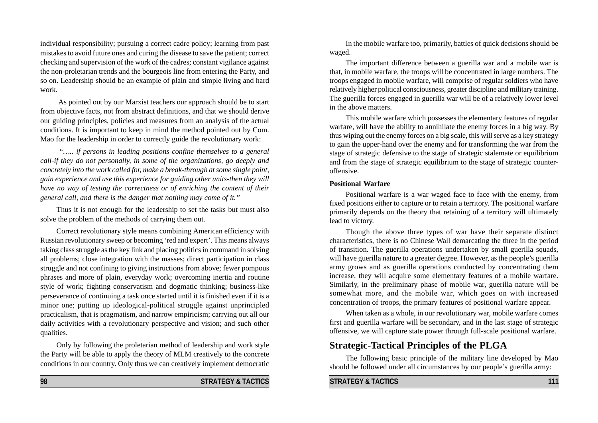individual responsibility; pursuing a correct cadre policy; learning from past mistakes to avoid future ones and curing the disease to save the patient; correct checking and supervision of the work of the cadres; constant vigilance against the non-proletarian trends and the bourgeois line from entering the Party, and so on. Leadership should be an example of plain and simple living and hard work.

 As pointed out by our Marxist teachers our approach should be to start from objective facts, not from abstract definitions, and that we should derive our guiding principles, policies and measures from an analysis of the actual conditions. It is important to keep in mind the method pointed out by Com. Mao for the leadership in order to correctly guide the revolutionary work:

 *"….. if persons in leading positions confine themselves to a general call-if they do not personally, in some of the organizations, go deeply and concretely into the work called for, make a break-through at some single point, gain experience and use this experience for guiding other units-then they will have no way of testing the correctness or of enriching the content of their general call, and there is the danger that nothing may come of it."*

Thus it is not enough for the leadership to set the tasks but must also solve the problem of the methods of carrying them out.

Correct revolutionary style means combining American efficiency with Russian revolutionary sweep or becoming 'red and expert'. This means always taking class struggle as the key link and placing politics in command in solving all problems; close integration with the masses; direct participation in class struggle and not confining to giving instructions from above; fewer pompous phrases and more of plain, everyday work; overcoming inertia and routine style of work; fighting conservatism and dogmatic thinking; business-like perseverance of continuing a task once started until it is finished even if it is a minor one; putting up ideological-political struggle against unprincipled practicalism, that is pragmatism, and narrow empiricism; carrying out all our daily activities with a revolutionary perspective and vision; and such other qualities.

Only by following the proletarian method of leadership and work style the Party will be able to apply the theory of MLM creatively to the concrete conditions in our country. Only thus we can creatively implement democratic

In the mobile warfare too, primarily, battles of quick decisions should be waged.

The important difference between a guerilla war and a mobile war is that, in mobile warfare, the troops will be concentrated in large numbers. The troops engaged in mobile warfare, will comprise of regular soldiers who have relatively higher political consciousness, greater discipline and military training. The guerilla forces engaged in guerilla war will be of a relatively lower level in the above matters.

This mobile warfare which possesses the elementary features of regular warfare, will have the ability to annihilate the enemy forces in a big way. By thus wiping out the enemy forces on a big scale, this will serve as a key strategy to gain the upper-hand over the enemy and for transforming the war from the stage of strategic defensive to the stage of strategic stalemate or equilibrium and from the stage of strategic equilibrium to the stage of strategic counteroffensive.

#### **Positional Warfare**

Positional warfare is a war waged face to face with the enemy, from fixed positions either to capture or to retain a territory. The positional warfare primarily depends on the theory that retaining of a territory will ultimately lead to victory.

Though the above three types of war have their separate distinct characteristics, there is no Chinese Wall demarcating the three in the period of transition. The guerilla operations undertaken by small guerilla squads, will have guerilla nature to a greater degree. However, as the people's guerilla army grows and as guerilla operations conducted by concentrating them increase, they will acquire some elementary features of a mobile warfare. Similarly, in the preliminary phase of mobile war, guerilla nature will be somewhat more, and the mobile war, which goes on with increased concentration of troops, the primary features of positional warfare appear.

When taken as a whole, in our revolutionary war, mobile warfare comes first and guerilla warfare will be secondary, and in the last stage of strategic offensive, we will capture state power through full-scale positional warfare.

# **Strategic-Tactical Principles of the PLGA**

The following basic principle of the military line developed by Mao should be followed under all circumstances by our people's guerilla army: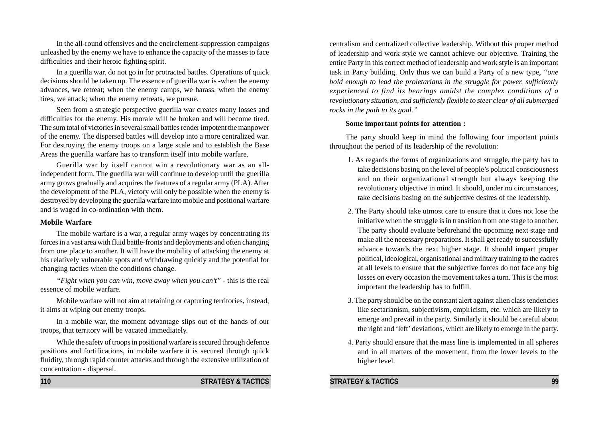In the all-round offensives and the encirclement-suppression campaigns unleashed by the enemy we have to enhance the capacity of the masses to face difficulties and their heroic fighting spirit.

In a guerilla war, do not go in for protracted battles. Operations of quick decisions should be taken up. The essence of guerilla war is -when the enemy advances, we retreat; when the enemy camps, we harass, when the enemy tires, we attack; when the enemy retreats, we pursue.

Seen from a strategic perspective guerilla war creates many losses and difficulties for the enemy. His morale will be broken and will become tired. The sum total of victories in several small battles render impotent the manpower of the enemy. The dispersed battles will develop into a more centralized war. For destroying the enemy troops on a large scale and to establish the Base Areas the guerilla warfare has to transform itself into mobile warfare.

Guerilla war by itself cannot win a revolutionary war as an allindependent form. The guerilla war will continue to develop until the guerilla army grows gradually and acquires the features of a regular army (PLA). After the development of the PLA, victory will only be possible when the enemy is destroyed by developing the guerilla warfare into mobile and positional warfare and is waged in co-ordination with them.

#### **Mobile Warfare**

The mobile warfare is a war, a regular army wages by concentrating its forces in a vast area with fluid battle-fronts and deployments and often changing from one place to another. It will have the mobility of attacking the enemy at his relatively vulnerable spots and withdrawing quickly and the potential for changing tactics when the conditions change.

*"Fight when you can win, move away when you can't" -* this is the real essence of mobile warfare.

Mobile warfare will not aim at retaining or capturing territories, instead, it aims at wiping out enemy troops.

In a mobile war, the moment advantage slips out of the hands of our troops, that territory will be vacated immediately.

While the safety of troops in positional warfare is secured through defence positions and fortifications, in mobile warfare it is secured through quick fluidity, through rapid counter attacks and through the extensive utilization of concentration - dispersal.

**110 STRATEGY & TACTICS**

centralism and centralized collective leadership. Without this proper method of leadership and work style we cannot achieve our objective. Training the entire Party in this correct method of leadership and work style is an important task in Party building. Only thus we can build a Party of a new type, *"one bold enough to lead the proletarians in the struggle for power, sufficiently experienced to find its bearings amidst the complex conditions of a revolutionary situation, and sufficiently flexible to steer clear of all submerged rocks in the path to its goal."*

#### **Some important points for attention :**

The party should keep in mind the following four important points throughout the period of its leadership of the revolution:

- 1. As regards the forms of organizations and struggle, the party has to take decisions basing on the level of people's political consciousness and on their organizational strength but always keeping the revolutionary objective in mind. It should, under no circumstances, take decisions basing on the subjective desires of the leadership.
- 2. The Party should take utmost care to ensure that it does not lose the initiative when the struggle is in transition from one stage to another. The party should evaluate beforehand the upcoming next stage and make all the necessary preparations. It shall get ready to successfully advance towards the next higher stage. It should impart proper political, ideological, organisational and military training to the cadres at all levels to ensure that the subjective forces do not face any big losses on every occasion the movement takes a turn. This is the most important the leadership has to fulfill.
- 3. The party should be on the constant alert against alien class tendencies like sectarianism, subjectivism, empiricism, etc. which are likely to emerge and prevail in the party. Similarly it should be careful about the right and 'left' deviations, which are likely to emerge in the party.
- 4. Party should ensure that the mass line is implemented in all spheres and in all matters of the movement, from the lower levels to the higher level.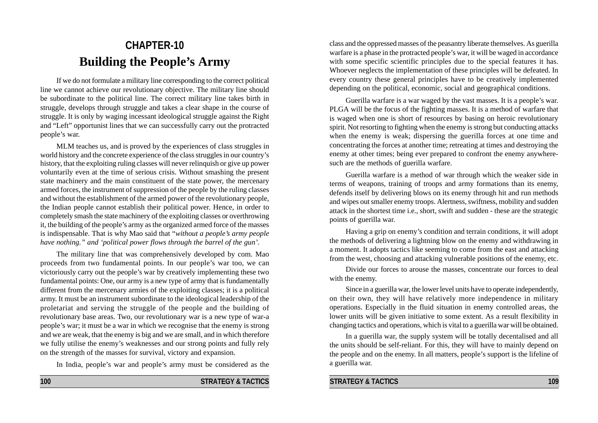# **CHAPTER-10 Building the People's Army**

If we do not formulate a military line corresponding to the correct political line we cannot achieve our revolutionary objective. The military line should be subordinate to the political line. The correct military line takes birth in struggle, develops through struggle and takes a clear shape in the course of struggle. It is only by waging incessant ideological struggle against the Right and "Left" opportunist lines that we can successfully carry out the protracted people's war.

MLM teaches us, and is proved by the experiences of class struggles in world history and the concrete experience of the class struggles in our country's history, that the exploiting ruling classes will never relinquish or give up power voluntarily even at the time of serious crisis. Without smashing the present state machinery and the main constituent of the state power, the mercenary armed forces, the instrument of suppression of the people by the ruling classes and without the establishment of the armed power of the revolutionary people, the Indian people cannot establish their political power. Hence, in order to completely smash the state machinery of the exploiting classes or overthrowing it, the building of the people's army as the organized armed force of the masses is indispensable. That is why Mao said that "*without a people's army people have nothing." and 'political power flows through the barrel of the gun'.*

The military line that was comprehensively developed by com. Mao proceeds from two fundamental points. In our people's war too, we can victoriously carry out the people's war by creatively implementing these two fundamental points: One, our army is a new type of army that is fundamentally different from the mercenary armies of the exploiting classes; it is a political army. It must be an instrument subordinate to the ideological leadership of the proletariat and serving the struggle of the people and the building of revolutionary base areas. Two, our revolutionary war is a new type of war-a people's war; it must be a war in which we recognise that the enemy is strong and we are weak, that the enemy is big and we are small, and in which therefore we fully utilise the enemy's weaknesses and our strong points and fully rely on the strength of the masses for survival, victory and expansion.

In India, people's war and people's army must be considered as the

**100 STRATEGY & TACTICS**

class and the oppressed masses of the peasantry liberate themselves. As guerilla warfare is a phase in the protracted people's war, it will be waged in accordance with some specific scientific principles due to the special features it has. Whoever neglects the implementation of these principles will be defeated. In every country these general principles have to be creatively implemented depending on the political, economic, social and geographical conditions.

Guerilla warfare is a war waged by the vast masses. It is a people's war. PLGA will be the focus of the fighting masses. It is a method of warfare that is waged when one is short of resources by basing on heroic revolutionary spirit. Not resorting to fighting when the enemy is strong but conducting attacks when the enemy is weak; dispersing the guerilla forces at one time and concentrating the forces at another time; retreating at times and destroying the enemy at other times; being ever prepared to confront the enemy anywheresuch are the methods of guerilla warfare.

Guerilla warfare is a method of war through which the weaker side in terms of weapons, training of troops and army formations than its enemy, defends itself by delivering blows on its enemy through hit and run methods and wipes out smaller enemy troops. Alertness, swiftness, mobility and sudden attack in the shortest time i.e., short, swift and sudden - these are the strategic points of guerilla war.

Having a grip on enemy's condition and terrain conditions, it will adopt the methods of delivering a lightning blow on the enemy and withdrawing in a moment. It adopts tactics like seeming to come from the east and attacking from the west, choosing and attacking vulnerable positions of the enemy, etc.

Divide our forces to arouse the masses, concentrate our forces to deal with the enemy.

Since in a guerilla war, the lower level units have to operate independently, on their own, they will have relatively more independence in military operations. Especially in the fluid situation in enemy controlled areas, the lower units will be given initiative to some extent. As a result flexibility in changing tactics and operations, which is vital to a guerilla war will be obtained.

In a guerilla war, the supply system will be totally decentalised and all the units should be self-reliant. For this, they will have to mainly depend on the people and on the enemy. In all matters, people's support is the lifeline of a guerilla war.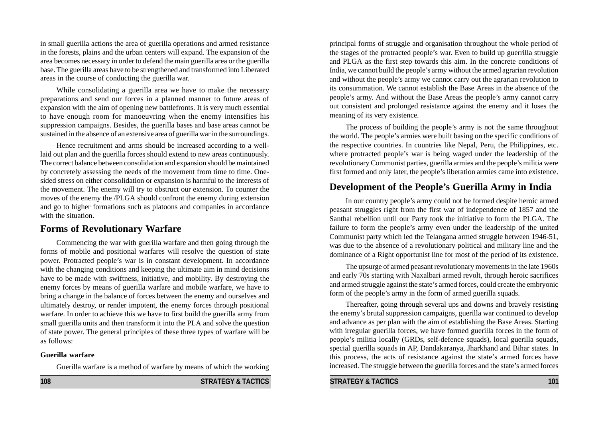in small guerilla actions the area of guerilla operations and armed resistance in the forests, plains and the urban centers will expand. The expansion of the area becomes necessary in order to defend the main guerilla area or the guerilla base. The guerilla areas have to be strengthened and transformed into Liberated areas in the course of conducting the guerilla war.

While consolidating a guerilla area we have to make the necessary preparations and send our forces in a planned manner to future areas of expansion with the aim of opening new battlefronts. It is very much essential to have enough room for manoeuvring when the enemy intensifies his suppression campaigns. Besides, the guerilla bases and base areas cannot be sustained in the absence of an extensive area of guerilla war in the surroundings.

Hence recruitment and arms should be increased according to a welllaid out plan and the guerilla forces should extend to new areas continuously. The correct balance between consolidation and expansion should be maintained by concretely assessing the needs of the movement from time to time. Onesided stress on either consolidation or expansion is harmful to the interests of the movement. The enemy will try to obstruct our extension. To counter the moves of the enemy the /PLGA should confront the enemy during extension and go to higher formations such as platoons and companies in accordance with the situation.

### **Forms of Revolutionary Warfare**

Commencing the war with guerilla warfare and then going through the forms of mobile and positional warfares will resolve the question of state power. Protracted people's war is in constant development. In accordance with the changing conditions and keeping the ultimate aim in mind decisions have to be made with swiftness, initiative, and mobility. By destroying the enemy forces by means of guerilla warfare and mobile warfare, we have to bring a change in the balance of forces between the enemy and ourselves and ultimately destroy, or render impotent, the enemy forces through positional warfare. In order to achieve this we have to first build the guerilla army from small guerilla units and then transform it into the PLA and solve the question of state power. The general principles of these three types of warfare will be as follows:

#### **Guerilla warfare**

Guerilla warfare is a method of warfare by means of which the working

principal forms of struggle and organisation throughout the whole period of the stages of the protracted people's war. Even to build up guerrilla struggle and PLGA as the first step towards this aim. In the concrete conditions of India, we cannot build the people's army without the armed agrarian revolution and without the people's army we cannot carry out the agrarian revolution to its consummation. We cannot establish the Base Areas in the absence of the people's army. And without the Base Areas the people's army cannot carry out consistent and prolonged resistance against the enemy and it loses the meaning of its very existence.

The process of building the people's army is not the same throughout the world. The people's armies were built basing on the specific conditions of the respective countries. In countries like Nepal, Peru, the Philippines, etc. where protracted people's war is being waged under the leadership of the revolutionary Communist parties, guerilla armies and the people's militia were first formed and only later, the people's liberation armies came into existence.

# **Development of the People's Guerilla Army in India**

In our country people's army could not be formed despite heroic armed peasant struggles right from the first war of independence of 1857 and the Santhal rebellion until our Party took the initiative to form the PLGA. The failure to form the people's army even under the leadership of the united Communist party which led the Telangana armed struggle between 1946-51, was due to the absence of a revolutionary political and military line and the dominance of a Right opportunist line for most of the period of its existence.

The upsurge of armed peasant revolutionary movements in the late 1960s and early 70s starting with Naxalbari armed revolt, through heroic sacrifices and armed struggle against the state's armed forces, could create the embryonic form of the people's army in the form of armed guerilla squads.

Thereafter, going through several ups and downs and bravely resisting the enemy's brutal suppression campaigns, guerilla war continued to develop and advance as per plan with the aim of establishing the Base Areas. Starting with irregular guerilla forces, we have formed guerilla forces in the form of people's militia locally (GRDs, self-defence squads), local guerilla squads, special guerilla squads in AP, Dandakaranya, Jharkhand and Bihar states. In this process, the acts of resistance against the state's armed forces have increased. The struggle between the guerilla forces and the state's armed forces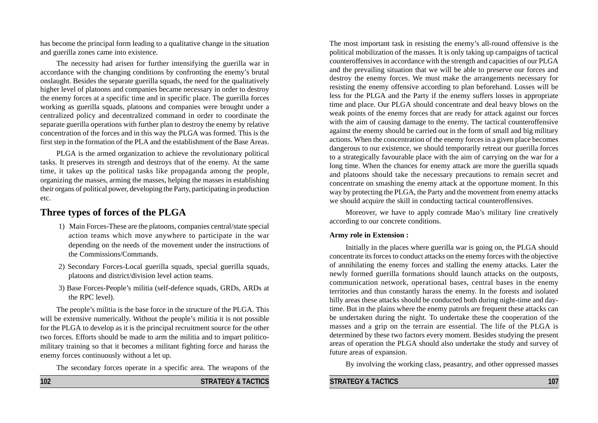has become the principal form leading to a qualitative change in the situation and guerilla zones came into existence.

The necessity had arisen for further intensifying the guerilla war in accordance with the changing conditions by confronting the enemy's brutal onslaught. Besides the separate guerilla squads, the need for the qualitatively higher level of platoons and companies became necessary in order to destroy the enemy forces at a specific time and in specific place. The guerilla forces working as guerilla squads, platoons and companies were brought under a centralized policy and decentralized command in order to coordinate the separate guerilla operations with further plan to destroy the enemy by relative concentration of the forces and in this way the PLGA was formed. This is the first step in the formation of the PLA and the establishment of the Base Areas.

PLGA is the armed organization to achieve the revolutionary political tasks. It preserves its strength and destroys that of the enemy. At the same time, it takes up the political tasks like propaganda among the people, organizing the masses, arming the masses, helping the masses in establishing their organs of political power, developing the Party, participating in production etc.

# **Three types of forces of the PLGA**

- 1) Main Forces-These are the platoons, companies central/state special action teams which move anywhere to participate in the war depending on the needs of the movement under the instructions of the Commissions/Commands.
- 2) Secondary Forces-Local guerilla squads, special guerilla squads, platoons and district/division level action teams.
- 3) Base Forces-People's militia (self-defence squads, GRDs, ARDs at the RPC level).

The people's militia is the base force in the structure of the PLGA. This will be extensive numerically. Without the people's militia it is not possible for the PLGA to develop as it is the principal recruitment source for the other two forces. Efforts should be made to arm the militia and to impart politicomilitary training so that it becomes a militant fighting force and harass the enemy forces continuously without a let up.

The secondary forces operate in a specific area. The weapons of the

**102 STRATEGY & TACTICS**

The most important task in resisting the enemy's all-round offensive is the political mobilization of the masses. It is only taking up campaigns of tactical counteroffensives in accordance with the strength and capacities of our PLGA and the prevailing situation that we will be able to preserve our forces and destroy the enemy forces. We must make the arrangements necessary for resisting the enemy offensive according to plan beforehand. Losses will be less for the PLGA and the Party if the enemy suffers losses in appropriate time and place. Our PLGA should concentrate and deal heavy blows on the weak points of the enemy forces that are ready for attack against our forces with the aim of causing damage to the enemy. The tactical counteroffensive against the enemy should be carried out in the form of small and big military actions. When the concentration of the enemy forces in a given place becomes dangerous to our existence, we should temporarily retreat our guerilla forces to a strategically favourable place with the aim of carrying on the war for a long time. When the chances for enemy attack are more the guerilla squads and platoons should take the necessary precautions to remain secret and concentrate on smashing the enemy attack at the opportune moment. In this way by protecting the PLGA, the Party and the movement from enemy attacks we should acquire the skill in conducting tactical counteroffensives.

Moreover, we have to apply comrade Mao's military line creatively according to our concrete conditions.

#### **Army role in Extension :**

Initially in the places where guerilla war is going on, the PLGA should concentrate its forces to conduct attacks on the enemy forces with the objective of annihilating the enemy forces and stalling the enemy attacks. Later the newly formed guerilla formations should launch attacks on the outposts, communication network, operational bases, central bases in the enemy territories and thus constantly harass the enemy. In the forests and isolated hilly areas these attacks should be conducted both during night-time and daytime. But in the plains where the enemy patrols are frequent these attacks can be undertaken during the night. To undertake these the cooperation of the masses and a grip on the terrain are essential. The life of the PLGA is determined by these two factors every moment. Besides studying the present areas of operation the PLGA should also undertake the study and survey of future areas of expansion.

By involving the working class, peasantry, and other oppressed masses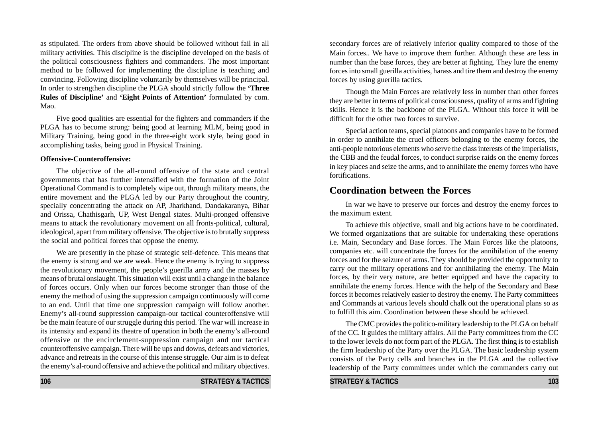as stipulated. The orders from above should be followed without fail in all military activities. This discipline is the discipline developed on the basis of the political consciousness fighters and commanders. The most important method to be followed for implementing the discipline is teaching and convincing. Following discipline voluntarily by themselves will be principal. In order to strengthen discipline the PLGA should strictly follow the **'Three Rules of Discipline'** and **'Eight Points of Attention'** formulated by com. Mao.

Five good qualities are essential for the fighters and commanders if the PLGA has to become strong: being good at learning MLM, being good in Military Training, being good in the three-eight work style, being good in accomplishing tasks, being good in Physical Training.

#### **Offensive-Counteroffensive:**

The objective of the all-round offensive of the state and central governments that has further intensified with the formation of the Joint Operational Command is to completely wipe out, through military means, the entire movement and the PLGA led by our Party throughout the country, specially concentrating the attack on AP, Jharkhand, Dandakaranya, Bihar and Orissa, Chathisgarh, UP, West Bengal states. Multi-pronged offensive means to attack the revolutionary movement on all fronts-political, cultural, ideological, apart from military offensive. The objective is to brutally suppress the social and political forces that oppose the enemy.

We are presently in the phase of strategic self-defence. This means that the enemy is strong and we are weak. Hence the enemy is trying to suppress the revolutionary movement, the people's guerilla army and the masses by means of brutal onslaught. This situation will exist until a change in the balance of forces occurs. Only when our forces become stronger than those of the enemy the method of using the suppression campaign continuously will come to an end. Until that time one suppression campaign will follow another. Enemy's all-round suppression campaign-our tactical counteroffensive will be the main feature of our struggle during this period. The war will increase in its intensity and expand its theatre of operation in both the enemy's all-round offensive or the encirclement-suppression campaign and our tactical counteroffensive campaign. There will be ups and downs, defeats and victories, advance and retreats in the course of this intense struggle. Our aim is to defeat the enemy's al-round offensive and achieve the political and military objectives.

**106 STRATEGY & TACTICS**

secondary forces are of relatively inferior quality compared to those of the Main forces.. We have to improve them further. Although these are less in number than the base forces, they are better at fighting. They lure the enemy forces into small guerilla activities, harass and tire them and destroy the enemy forces by using guerilla tactics.

Though the Main Forces are relatively less in number than other forces they are better in terms of political consciousness, quality of arms and fighting skills. Hence it is the backbone of the PLGA. Without this force it will be difficult for the other two forces to survive.

Special action teams, special platoons and companies have to be formed in order to annihilate the cruel officers belonging to the enemy forces, the anti-people notorious elements who serve the class interests of the imperialists, the CBB and the feudal forces, to conduct surprise raids on the enemy forces in key places and seize the arms, and to annihilate the enemy forces who have fortifications.

### **Coordination between the Forces**

In war we have to preserve our forces and destroy the enemy forces to the maximum extent.

To achieve this objective, small and big actions have to be coordinated. We formed organizations that are suitable for undertaking these operations i.e. Main, Secondary and Base forces. The Main Forces like the platoons, companies etc. will concentrate the forces for the annihilation of the enemy forces and for the seizure of arms. They should be provided the opportunity to carry out the military operations and for annihilating the enemy. The Main forces, by their very nature, are better equipped and have the capacity to annihilate the enemy forces. Hence with the help of the Secondary and Base forces it becomes relatively easier to destroy the enemy. The Party committees and Commands at various levels should chalk out the operational plans so as to fulfill this aim. Coordination between these should be achieved.

The CMC provides the politico-military leadership to the PLGA on behalf of the CC. It guides the military affairs. All the Party committees from the CC to the lower levels do not form part of the PLGA. The first thing is to establish the firm leadership of the Party over the PLGA. The basic leadership system consists of the Party cells and branches in the PLGA and the collective leadership of the Party committees under which the commanders carry out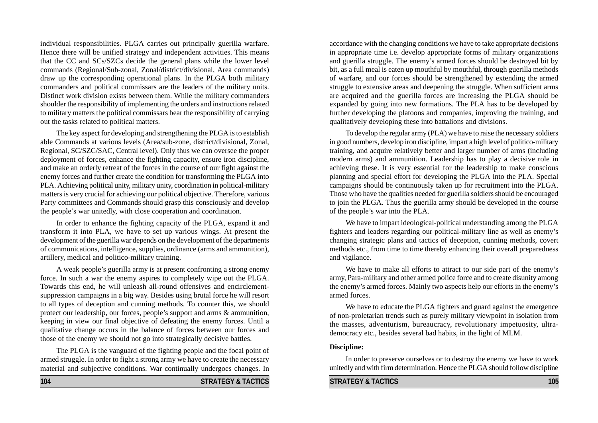individual responsibilities. PLGA carries out principally guerilla warfare. Hence there will be unified strategy and independent activities. This means that the CC and SCs/SZCs decide the general plans while the lower level commands (Regional/Sub-zonal, Zonal/district/divisional, Area commands) draw up the corresponding operational plans. In the PLGA both military commanders and political commissars are the leaders of the military units. Distinct work division exists between them. While the military commanders shoulder the responsibility of implementing the orders and instructions related to military matters the political commissars bear the responsibility of carrying out the tasks related to political matters.

The key aspect for developing and strengthening the PLGA is to establish able Commands at various levels (Area/sub-zone, district/divisional, Zonal, Regional, SC/SZC/SAC, Central level). Only thus we can oversee the proper deployment of forces, enhance the fighting capacity, ensure iron discipline, and make an orderly retreat of the forces in the course of our fight against the enemy forces and further create the condition for transforming the PLGA into PLA. Achieving political unity, military unity, coordination in political-military matters is very crucial for achieving our political objective. Therefore, various Party committees and Commands should grasp this consciously and develop the people's war unitedly, with close cooperation and coordination.

In order to enhance the fighting capacity of the PLGA, expand it and transform it into PLA, we have to set up various wings. At present the development of the guerilla war depends on the development of the departments of communications, intelligence, supplies, ordinance (arms and ammunition), artillery, medical and politico-military training.

A weak people's guerilla army is at present confronting a strong enemy force. In such a war the enemy aspires to completely wipe out the PLGA. Towards this end, he will unleash all-round offensives and encirclementsuppression campaigns in a big way. Besides using brutal force he will resort to all types of deception and cunning methods. To counter this, we should protect our leadership, our forces, people's support and arms & ammunition, keeping in view our final objective of defeating the enemy forces. Until a qualitative change occurs in the balance of forces between our forces and those of the enemy we should not go into strategically decisive battles.

The PLGA is the vanguard of the fighting people and the focal point of armed struggle. In order to fight a strong army we have to create the necessary material and subjective conditions. War continually undergoes changes. In accordance with the changing conditions we have to take appropriate decisions in appropriate time i.e. develop appropriate forms of military organizations and guerilla struggle. The enemy's armed forces should be destroyed bit by bit, as a full meal is eaten up mouthful by mouthful, through guerilla methods of warfare, and our forces should be strengthened by extending the armed struggle to extensive areas and deepening the struggle. When sufficient arms are acquired and the guerilla forces are increasing the PLGA should be expanded by going into new formations. The PLA has to be developed by further developing the platoons and companies, improving the training, and qualitatively developing these into battalions and divisions.

To develop the regular army (PLA) we have to raise the necessary soldiers in good numbers, develop iron discipline, impart a high level of politico-military training, and acquire relatively better and larger number of arms (including modern arms) and ammunition. Leadership has to play a decisive role in achieving these. It is very essential for the leadership to make conscious planning and special effort for developing the PLGA into the PLA. Special campaigns should be continuously taken up for recruitment into the PLGA. Those who have the qualities needed for guerilla soldiers should be encouraged to join the PLGA. Thus the guerilla army should be developed in the course of the people's war into the PLA.

We have to impart ideological-political understanding among the PLGA fighters and leaders regarding our political-military line as well as enemy's changing strategic plans and tactics of deception, cunning methods, covert methods etc., from time to time thereby enhancing their overall preparedness and vigilance.

We have to make all efforts to attract to our side part of the enemy's army, Para-military and other armed police force and to create disunity among the enemy's armed forces. Mainly two aspects help our efforts in the enemy's armed forces.

We have to educate the PLGA fighters and guard against the emergence of non-proletarian trends such as purely military viewpoint in isolation from the masses, adventurism, bureaucracy, revolutionary impetuosity, ultrademocracy etc., besides several bad habits, in the light of MLM.

#### **Discipline:**

In order to preserve ourselves or to destroy the enemy we have to work unitedly and with firm determination. Hence the PLGA should follow discipline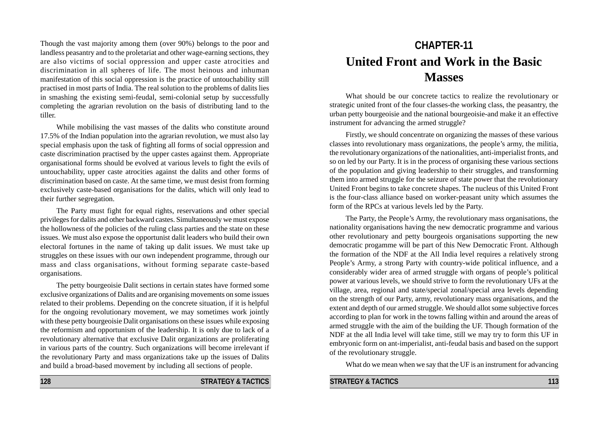Though the vast majority among them (over 90%) belongs to the poor and landless peasantry and to the proletariat and other wage-earning sections, they are also victims of social oppression and upper caste atrocities and discrimination in all spheres of life. The most heinous and inhuman manifestation of this social oppression is the practice of untouchability still practised in most parts of India. The real solution to the problems of dalits lies in smashing the existing semi-feudal, semi-colonial setup by successfully completing the agrarian revolution on the basis of distributing land to the tiller.

While mobilising the vast masses of the dalits who constitute around 17.5% of the Indian population into the agrarian revolution, we must also lay special emphasis upon the task of fighting all forms of social oppression and caste discrimination practised by the upper castes against them. Appropriate organisational forms should be evolved at various levels to fight the evils of untouchability, upper caste atrocities against the dalits and other forms of discrimination based on caste. At the same time, we must desist from forming exclusively caste-based organisations for the dalits, which will only lead to their further segregation.

The Party must fight for equal rights, reservations and other special privileges for dalits and other backward castes. Simultaneously we must expose the hollowness of the policies of the ruling class parties and the state on these issues. We must also expose the opportunist dalit leaders who build their own electoral fortunes in the name of taking up dalit issues. We must take up struggles on these issues with our own independent programme, through our mass and class organisations, without forming separate caste-based organisations.

The petty bourgeoisie Dalit sections in certain states have formed some exclusive organizations of Dalits and are organising movements on some issues related to their problems. Depending on the concrete situation, if it is helpful for the ongoing revolutionary movement, we may sometimes work jointly with these petty bourgeoisie Dalit organisations on these issues while exposing the reformism and opportunism of the leadership. It is only due to lack of a revolutionary alternative that exclusive Dalit organizations are proliferating in various parts of the country. Such organizations will become irrelevant if the revolutionary Party and mass organizations take up the issues of Dalits and build a broad-based movement by including all sections of people.

# **CHAPTER-11 United Front and Work in the Basic Masses**

What should be our concrete tactics to realize the revolutionary or strategic united front of the four classes-the working class, the peasantry, the urban petty bourgeoisie and the national bourgeoisie-and make it an effective instrument for advancing the armed struggle?

Firstly, we should concentrate on organizing the masses of these various classes into revolutionary mass organizations, the people's army, the militia, the revolutionary organizations of the nationalities, anti-imperialist fronts, and so on led by our Party. It is in the process of organising these various sections of the population and giving leadership to their struggles, and transforming them into armed struggle for the seizure of state power that the revolutionary United Front begins to take concrete shapes. The nucleus of this United Front is the four-class alliance based on worker-peasant unity which assumes the form of the RPCs at various levels led by the Party.

The Party, the People's Army, the revolutionary mass organisations, the nationality organisations having the new democratic programme and various other revolutionary and petty bourgeois organisations supporting the new democratic progamme will be part of this New Democratic Front. Although the formation of the NDF at the All India level requires a relatively strong People's Army, a strong Party with country-wide political influence, and a considerably wider area of armed struggle with organs of people's political power at various levels, we should strive to form the revolutionary UFs at the village, area, regional and state/special zonal/special area levels depending on the strength of our Party, army, revolutionary mass organisations, and the extent and depth of our armed struggle. We should allot some subjective forces according to plan for work in the towns falling within and around the areas of armed struggle with the aim of the building the UF. Though formation of the NDF at the all India level will take time, still we may try to form this UF in embryonic form on ant-imperialist, anti-feudal basis and based on the support of the revolutionary struggle.

What do we mean when we say that the UF is an instrument for advancing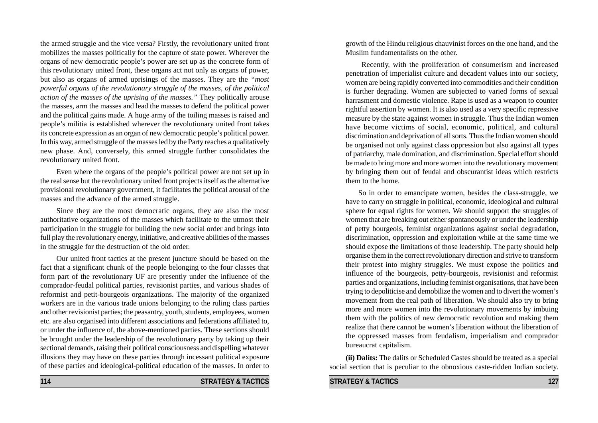the armed struggle and the vice versa? Firstly, the revolutionary united front mobilizes the masses politically for the capture of state power. Wherever the organs of new democratic people's power are set up as the concrete form of this revolutionary united front, these organs act not only as organs of power, but also as organs of armed uprisings of the masses. They are the *"most powerful organs of the revolutionary struggle of the masses, of the political action of the masses of the uprising of the masses."* They politically arouse the masses, arm the masses and lead the masses to defend the political power and the political gains made. A huge army of the toiling masses is raised and people's militia is established wherever the revolutionary united front takes its concrete expression as an organ of new democratic people's political power. In this way, armed struggle of the masses led by the Party reaches a qualitatively new phase. And, conversely, this armed struggle further consolidates the revolutionary united front.

Even where the organs of the people's political power are not set up in the real sense but the revolutionary united front projects itself as the alternative provisional revolutionary government, it facilitates the political arousal of the masses and the advance of the armed struggle.

Since they are the most democratic organs, they are also the most authoritative organizations of the masses which facilitate to the utmost their participation in the struggle for building the new social order and brings into full play the revolutionary energy, initiative, and creative abilities of the masses in the struggle for the destruction of the old order.

Our united front tactics at the present juncture should be based on the fact that a significant chunk of the people belonging to the four classes that form part of the revolutionary UF are presently under the influence of the comprador-feudal political parties, revisionist parties, and various shades of reformist and petit-bourgeois organizations. The majority of the organized workers are in the various trade unions belonging to the ruling class parties and other revisionist parties; the peasantry, youth, students, employees, women etc. are also organised into different associations and federations affiliated to, or under the influence of, the above-mentioned parties. These sections should be brought under the leadership of the revolutionary party by taking up their sectional demands, raising their political consciousness and dispelling whatever illusions they may have on these parties through incessant political exposure of these parties and ideological-political education of the masses. In order to

growth of the Hindu religious chauvinist forces on the one hand, and the Muslim fundamentalists on the other.

Recently, with the proliferation of consumerism and increased penetration of imperialist culture and decadent values into our society, women are being rapidly converted into commodities and their condition is further degrading. Women are subjected to varied forms of sexual harrasment and domestic violence. Rape is used as a weapon to counter rightful assertion by women. It is also used as a very specific repressive measure by the state against women in struggle. Thus the Indian women have become victims of social, economic, political, and cultural discrimination and deprivation of all sorts. Thus the Indian women should be organised not only against class oppression but also against all types of patriarchy, male domination, and discrimination. Special effort should be made to bring more and more women into the revolutionary movement by bringing them out of feudal and obscurantist ideas which restricts them to the home.

 So in order to emancipate women, besides the class-struggle, we have to carry on struggle in political, economic, ideological and cultural sphere for equal rights for women. We should support the struggles of women that are breaking out either spontaneously or under the leadership of petty bourgeois, feminist organizations against social degradation, discrimination, oppression and exploitation while at the same time we should expose the limitations of those leadership. The party should help organise them in the correct revolutionary direction and strive to transform their protest into mighty struggles. We must expose the politics and influence of the bourgeois, petty-bourgeois, revisionist and reformist parties and organizations, including feminist organisations, that have been trying to depoliticise and demobilize the women and to divert the women's movement from the real path of liberation. We should also try to bring more and more women into the revolutionary movements by imbuing them with the politics of new democratic revolution and making them realize that there cannot be women's liberation without the liberation of the oppressed masses from feudalism, imperialism and comprador bureaucrat capitalism.

**(ii) Dalits:** The dalits or Scheduled Castes should be treated as a special social section that is peculiar to the obnoxious caste-ridden Indian society.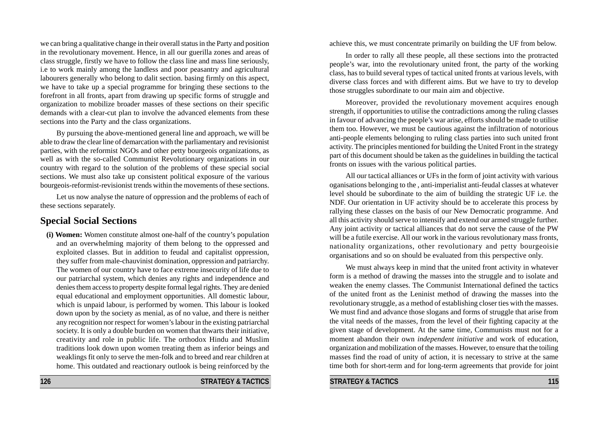we can bring a qualitative change in their overall status in the Party and position in the revolutionary movement. Hence, in all our guerilla zones and areas of class struggle, firstly we have to follow the class line and mass line seriously, i.e to work mainly among the landless and poor peasantry and agricultural labourers generally who belong to dalit section. basing firmly on this aspect, we have to take up a special programme for bringing these sections to the forefront in all fronts, apart from drawing up specific forms of struggle and organization to mobilize broader masses of these sections on their specific demands with a clear-cut plan to involve the advanced elements from these sections into the Party and the class organizations.

By pursuing the above-mentioned general line and approach, we will be able to draw the clear line of demarcation with the parliamentary and revisionist parties, with the reformist NGOs and other petty bourgeois organizations, as well as with the so-called Communist Revolutionary organizations in our country with regard to the solution of the problems of these special social sections. We must also take up consistent political exposure of the various bourgeois-reformist-revisionist trends within the movements of these sections.

Let us now analyse the nature of oppression and the problems of each of these sections separately.

# **Special Social Sections**

**(i) Women:** Women constitute almost one-half of the country's population and an overwhelming majority of them belong to the oppressed and exploited classes. But in addition to feudal and capitalist oppression, they suffer from male-chauvinist domination, oppression and patriarchy. The women of our country have to face extreme insecurity of life due to our patriarchal system, which denies any rights and independence and denies them access to property despite formal legal rights. They are denied equal educational and employment opportunities. All domestic labour, which is unpaid labour, is performed by women. This labour is looked down upon by the society as menial, as of no value, and there is neither any recognition nor respect for women's labour in the existing patriarchal society. It is only a double burden on women that thwarts their initiative, creativity and role in public life. The orthodox Hindu and Muslim traditions look down upon women treating them as inferior beings and weaklings fit only to serve the men-folk and to breed and rear children at home. This outdated and reactionary outlook is being reinforced by the

**126 STRATEGY & TACTICS**

achieve this, we must concentrate primarily on building the UF from below.

In order to rally all these people, all these sections into the protracted people's war, into the revolutionary united front, the party of the working class, has to build several types of tactical united fronts at various levels, with diverse class forces and with different aims. But we have to try to develop those struggles subordinate to our main aim and objective.

Moreover, provided the revolutionary movement acquires enough strength, if opportunities to utilise the contradictions among the ruling classes in favour of advancing the people's war arise, efforts should be made to utilise them too. However, we must be cautious against the infiltration of notorious anti-people elements belonging to ruling class parties into such united front activity. The principles mentioned for building the United Front in the strategy part of this document should be taken as the guidelines in building the tactical fronts on issues with the various political parties.

All our tactical alliances or UFs in the form of joint activity with various oganisations belonging to the , anti-imperialist anti-feudal classes at whatever level should be subordinate to the aim of building the strategic UF i.e. the NDF. Our orientation in UF activity should be to accelerate this process by rallying these classes on the basis of our New Democratic programme. And all this activity should serve to intensify and extend our armed struggle further. Any joint activity or tactical alliances that do not serve the cause of the PW will be a futile exercise. All our work in the various revolutionary mass fronts, nationality organizations, other revolutionary and petty bourgeoisie organisations and so on should be evaluated from this perspective only.

We must always keep in mind that the united front activity in whatever form is a method of drawing the masses into the struggle and to isolate and weaken the enemy classes. The Communist International defined the tactics of the united front as the Leninist method of drawing the masses into the revolutionary struggle, as a method of establishing closer ties with the masses. We must find and advance those slogans and forms of struggle that arise from the vital needs of the masses, from the level of their fighting capacity at the given stage of development. At the same time, Communists must not for a moment abandon their own *independent initiative* and work of education, organization and mobilization of the masses. However, to ensure that the toiling masses find the road of unity of action, it is necessary to strive at the same time both for short-term and for long-term agreements that provide for joint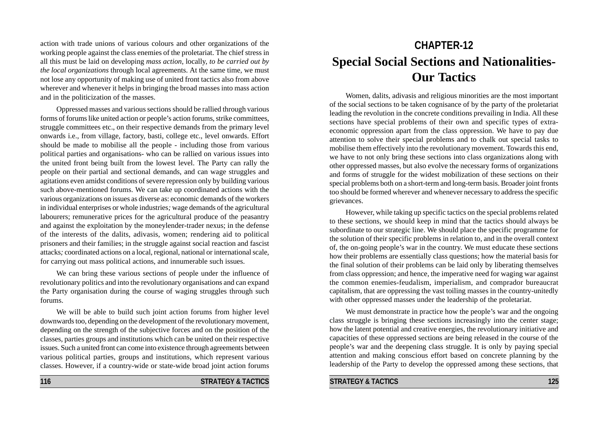action with trade unions of various colours and other organizations of the working people against the class enemies of the proletariat. The chief stress in all this must be laid on developing *mass action*, locally, *to be carried out by the local organizations* through local agreements. At the same time, we must not lose any opportunity of making use of united front tactics also from above wherever and whenever it helps in bringing the broad masses into mass action and in the politicization of the masses.

Oppressed masses and various sections should be rallied through various forms of forums like united action or people's action forums, strike committees, struggle committees etc., on their respective demands from the primary level onwards i.e., from village, factory, basti, college etc., level onwards. Effort should be made to mobilise all the people - including those from various political parties and organisations- who can be rallied on various issues into the united front being built from the lowest level. The Party can rally the people on their partial and sectional demands, and can wage struggles and agitations even amidst conditions of severe repression only by building various such above-mentioned forums. We can take up coordinated actions with the various organizations on issues as diverse as: economic demands of the workers in individual enterprises or whole industries*;* wage demands of the agricultural labourers; remunerative prices for the agricultural produce of the peasantry and against the exploitation by the moneylender-trader nexus; in the defense of the interests of the dalits, adivasis, women; rendering aid to political prisoners and their families; in the struggle against social reaction and fascist attacks*;* coordinated actions on a local, regional, national or international scale*,* for carrying out mass political actions, and innumerable such issues.

We can bring these various sections of people under the influence of revolutionary politics and into the revolutionary organisations and can expand the Party organisation during the course of waging struggles through such forums.

We will be able to build such joint action forums from higher level downwards too, depending on the development of the revolutionary movement, depending on the strength of the subjective forces and on the position of the classes, parties groups and institutions which can be united on their respective issues. Such a united front can come into existence through agreements between various political parties, groups and institutions, which represent various classes. However, if a country-wide or state-wide broad joint action forums

# **CHAPTER-12 Special Social Sections and Nationalities-Our Tactics**

Women, dalits, adivasis and religious minorities are the most important of the social sections to be taken cognisance of by the party of the proletariat leading the revolution in the concrete conditions prevailing in India. All these sections have special problems of their own and specific types of extraeconomic oppression apart from the class oppression. We have to pay due attention to solve their special problems and to chalk out special tasks to mobilise them effectively into the revolutionary movement. Towards this end, we have to not only bring these sections into class organizations along with other oppressed masses, but also evolve the necessary forms of organizations and forms of struggle for the widest mobilization of these sections on their special problems both on a short-term and long-term basis. Broader joint fronts too should be formed wherever and whenever necessary to address the specific grievances.

However, while taking up specific tactics on the special problems related to these sections, we should keep in mind that the tactics should always be subordinate to our strategic line. We should place the specific programme for the solution of their specific problems in relation to, and in the overall context of, the on-going people's war in the country. We must educate these sections how their problems are essentially class questions; how the material basis for the final solution of their problems can be laid only by liberating themselves from class oppression; and hence, the imperative need for waging war against the common enemies-feudalism, imperialism, and comprador bureaucrat capitalism, that are oppressing the vast toiling masses in the country-unitedly with other oppressed masses under the leadership of the proletariat.

We must demonstrate in practice how the people's war and the ongoing class struggle is bringing these sections increasingly into the center stage; how the latent potential and creative energies, the revolutionary initiative and capacities of these oppressed sections are being released in the course of the people's war and the deepening class struggle. It is only by paying special attention and making conscious effort based on concrete planning by the leadership of the Party to develop the oppressed among these sections, that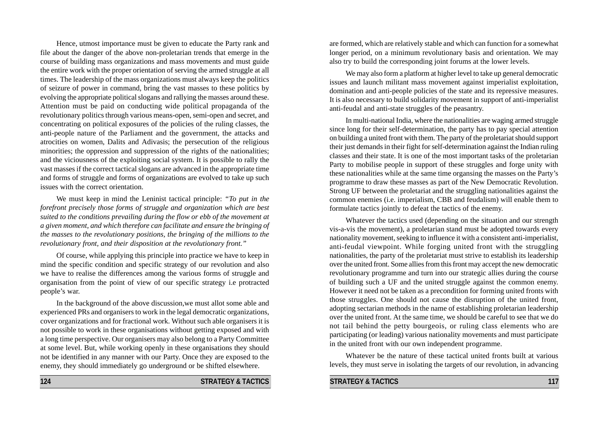Hence, utmost importance must be given to educate the Party rank and file about the danger of the above non-proletarian trends that emerge in the course of building mass organizations and mass movements and must guide the entire work with the proper orientation of serving the armed struggle at all times. The leadership of the mass organizations must always keep the politics of seizure of power in command, bring the vast masses to these politics by evolving the appropriate political slogans and rallying the masses around these. Attention must be paid on conducting wide political propaganda of the revolutionary politics through various means-open, semi-open and secret, and concentrating on political exposures of the policies of the ruling classes, the anti-people nature of the Parliament and the government, the attacks and atrocities on women, Dalits and Adivasis; the persecution of the religious minorities; the oppression and suppression of the rights of the nationalities; and the viciousness of the exploiting social system. It is possible to rally the vast masses if the correct tactical slogans are advanced in the appropriate time and forms of struggle and forms of organizations are evolved to take up such issues with the correct orientation.

We must keep in mind the Leninist tactical principle: *"To put in the forefront precisely those forms of struggle and organization which are best suited to the conditions prevailing during the flow or ebb of the movement at a given moment, and which therefore can facilitate and ensure the bringing of the masses to the revolutionary positions, the bringing of the millions to the revolutionary front, and their disposition at the revolutionary front."*

Of course, while applying this principle into practice we have to keep in mind the specific condition and specific strategy of our revolution and also we have to realise the differences among the various forms of struggle and organisation from the point of view of our specific strategy i.e protracted people's war.

In the background of the above discussion,we must allot some able and experienced PRs and organisers to work in the legal democratic organizations, cover organizations and for fractional work. Without such able organisers it is not possible to work in these organisations without getting exposed and with a long time perspective. Our organisers may also belong to a Party Committee at some level. But, while working openly in these organisations they should not be identified in any manner with our Party. Once they are exposed to the enemy, they should immediately go underground or be shifted elsewhere.

are formed, which are relatively stable and which can function for a somewhat longer period, on a minimum revolutionary basis and orientation. We may also try to build the corresponding joint forums at the lower levels.

We may also form a platform at higher level to take up general democratic issues and launch militant mass movement against imperialist exploitation, domination and anti-people policies of the state and its repressive measures. It is also necessary to build solidarity movement in support of anti-imperialist anti-feudal and anti-state struggles of the peasantry.

In multi-national India, where the nationalities are waging armed struggle since long for their self-determination, the party has to pay special attention on building a united front with them. The party of the proletariat should support their just demands in their fight for self-determination against the Indian ruling classes and their state. It is one of the most important tasks of the proletarian Party to mobilise people in support of these struggles and forge unity with these nationalities while at the same time organsing the masses on the Party's programme to draw these masses as part of the New Democratic Revolution. Strong UF between the proletariat and the struggling nationalities against the common enemies (i.e. imperialism, CBB and feudalism) will enable them to formulate tactics jointly to defeat the tactics of the enemy.

Whatever the tactics used (depending on the situation and our strength vis-a-vis the movement), a proletarian stand must be adopted towards every nationality movement, seeking to influence it with a consistent anti-imperialist, anti-feudal viewpoint. While forging united front with the struggling nationalities, the party of the proletariat must strive to establish its leadership over the united front. Some allies from this front may accept the new democratic revolutionary programme and turn into our strategic allies during the course of building such a UF and the united struggle against the common enemy. However it need not be taken as a precondition for forming united fronts with those struggles. One should not cause the disruption of the united front, adopting sectarian methods in the name of establishing proletarian leadership over the united front. At the same time, we should be careful to see that we do not tail behind the petty bourgeois, or ruling class elements who are participating (or leading) various nationality movements and must participate in the united front with our own independent programme.

Whatever be the nature of these tactical united fronts built at various levels, they must serve in isolating the targets of our revolution, in advancing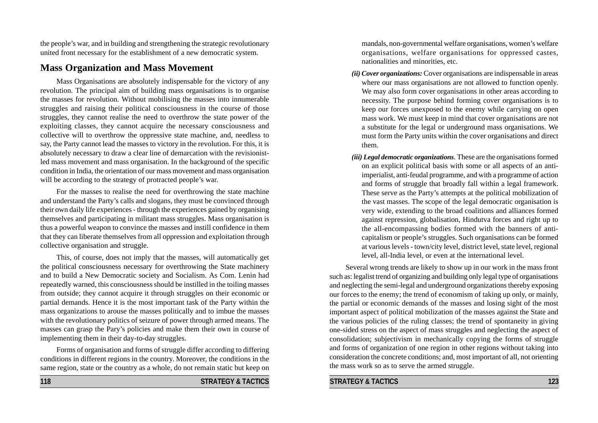the people's war, and in building and strengthening the strategic revolutionary united front necessary for the establishment of a new democratic system.

## **Mass Organization and Mass Movement**

Mass Organisations are absolutely indispensable for the victory of any revolution. The principal aim of building mass organisations is to organise the masses for revolution. Without mobilising the masses into innumerable struggles and raising their political consciousness in the course of those struggles, they cannot realise the need to overthrow the state power of the exploiting classes, they cannot acquire the necessary consciousness and collective will to overthrow the oppressive state machine, and, needless to say, the Party cannot lead the masses to victory in the revolution. For this, it is absolutely necessary to draw a clear line of demarcation with the revisionistled mass movement and mass organisation. In the background of the specific condition in India, the orientation of our mass movement and mass organisation will be according to the strategy of protracted people's war.

For the masses to realise the need for overthrowing the state machine and understand the Party's calls and slogans, they must be convinced through their own daily life experiences - through the experiences gained by organising themselves and participating in militant mass struggles. Mass organisation is thus a powerful weapon to convince the masses and instill confidence in them that they can liberate themselves from all oppression and exploitation through collective organisation and struggle.

This, of course, does not imply that the masses, will automatically get the political consciousness necessary for overthrowing the State machinery and to build a New Democratic society and Socialism. As Com. Lenin had repeatedly warned, this consciousness should be instilled in the toiling masses from outside; they cannot acquire it through struggles on their economic or partial demands. Hence it is the most important task of the Party within the mass organizations to arouse the masses politically and to imbue the masses with the revolutionary politics of seizure of power through armed means. The masses can grasp the Pary's policies and make them their own in course of implementing them in their day-to-day struggles.

Forms of organisation and forms of struggle differ according to differing conditions in different regions in the country. Moreover, the conditions in the same region, state or the country as a whole, do not remain static but keep on

mandals, non-governmental welfare organisations, women's welfare organisations, welfare organisations for oppressed castes, nationalities and minorities, etc.

- *(ii) Cover organizations:* Cover organisations are indispensable in areas where our mass organisations are not allowed to function openly. We may also form cover organisations in other areas according to necessity. The purpose behind forming cover organisations is to keep our forces unexposed to the enemy while carrying on open mass work. We must keep in mind that cover organisations are not a substitute for the legal or underground mass organisations. We must form the Party units within the cover organisations and direct them.
- *(iii) Legal democratic organizations*. These are the organisations formed on an explicit political basis with some or all aspects of an antiimperialist, anti-feudal programme, and with a programme of action and forms of struggle that broadly fall within a legal framework. These serve as the Party's attempts at the political mobilization of the vast masses. The scope of the legal democratic organisation is very wide, extending to the broad coalitions and alliances formed against repression, globalisation, Hindutva forces and right up to the all-encompassing bodies formed with the banners of anticapitalism or people's struggles. Such organisations can be formed at various levels - town/city level, district level, state level, regional level, all-India level, or even at the international level.

Several wrong trends are likely to show up in our work in the mass front such as: legalist trend of organizing and building only legal type of organisations and neglecting the semi-legal and underground organizations thereby exposing our forces to the enemy; the trend of economism of taking up only, or mainly, the partial or economic demands of the masses and losing sight of the most important aspect of political mobilization of the masses against the State and the various policies of the ruling classes; the trend of spontaneity in giving one-sided stress on the aspect of mass struggles and neglecting the aspect of consolidation; subjectivism in mechanically copying the forms of struggle and forms of organization of one region in other regions without taking into consideration the concrete conditions; and, most important of all, not orienting the mass work so as to serve the armed struggle.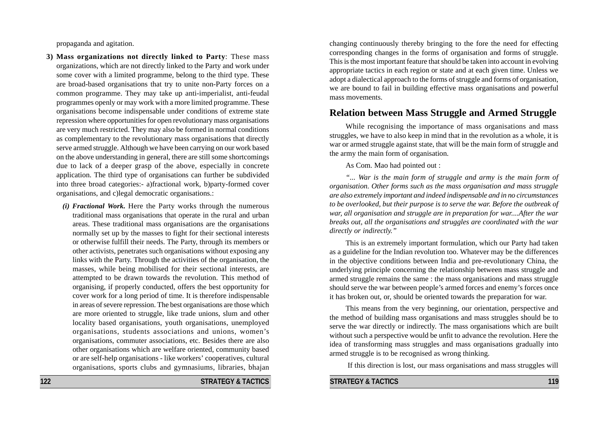propaganda and agitation.

- **3) Mass organizations not directly linked to Party**: These mass organizations, which are not directly linked to the Party and work under some cover with a limited programme, belong to the third type. These are broad-based organisations that try to unite non-Party forces on a common programme. They may take up anti-imperialist, anti-feudal programmes openly or may work with a more limited programme. These organisations become indispensable under conditions of extreme state repression where opportunities for open revolutionary mass organisations are very much restricted. They may also be formed in normal conditions as complementary to the revolutionary mass organisations that directly serve armed struggle. Although we have been carrying on our work based on the above understanding in general, there are still some shortcomings due to lack of a deeper grasp of the above, especially in concrete application. The third type of organisations can further be subdivided into three broad categories:- a)fractional work, b)party-formed cover organisations, and c)legal democratic organisations.:
	- *(i) Fractional Work.* Here the Party works through the numerous traditional mass organisations that operate in the rural and urban areas. These traditional mass organisations are the organisations normally set up by the masses to fight for their sectional interests or otherwise fulfill their needs. The Party, through its members or other activists, penetrates such organisations without exposing any links with the Party. Through the activities of the organisation, the masses, while being mobilised for their sectional interests, are attempted to be drawn towards the revolution. This method of organising, if properly conducted, offers the best opportunity for cover work for a long period of time. It is therefore indispensable in areas of severe repression. The best organisations are those which are more oriented to struggle, like trade unions, slum and other locality based organisations, youth organisations, unemployed organisations, students associations and unions, women's organisations, commuter associations, etc. Besides there are also other organisations which are welfare oriented, community based or are self-help organisations - like workers' cooperatives, cultural organisations, sports clubs and gymnasiums, libraries, bhajan

changing continuously thereby bringing to the fore the need for effecting corresponding changes in the forms of organisation and forms of struggle. This is the most important feature that should be taken into account in evolving appropriate tactics in each region or state and at each given time. Unless we adopt a dialectical approach to the forms of struggle and forms of organisation, we are bound to fail in building effective mass organisations and powerful mass movements.

# **Relation between Mass Struggle and Armed Struggle**

While recognising the importance of mass organisations and mass struggles, we have to also keep in mind that in the revolution as a whole, it is war or armed struggle against state, that will be the main form of struggle and the army the main form of organisation.

As Com. Mao had pointed out :

*"... War is the main form of struggle and army is the main form of organisation. Other forms such as the mass organisation and mass struggle are also extremely important and indeed indispensable and in no circumstances to be overlooked, but their purpose is to serve the war. Before the outbreak of war, all organisation and struggle are in preparation for war....After the war breaks out, all the organisations and struggles are coordinated with the war directly or indirectly."*

This is an extremely important formulation, which our Party had taken as a guideline for the Indian revolution too. Whatever may be the differences in the objective conditions between India and pre-revolutionary China, the underlying principle concerning the relationship between mass struggle and armed struggle remains the same : the mass organisations and mass struggle should serve the war between people's armed forces and enemy's forces once it has broken out, or, should be oriented towards the preparation for war.

This means from the very beginning, our orientation, perspective and the method of building mass organisations and mass struggles should be to serve the war directly or indirectly. The mass organisations which are built without such a perspective would be unfit to advance the revolution. Here the idea of transforming mass struggles and mass organisations gradually into armed struggle is to be recognised as wrong thinking.

If this direction is lost, our mass organisations and mass struggles will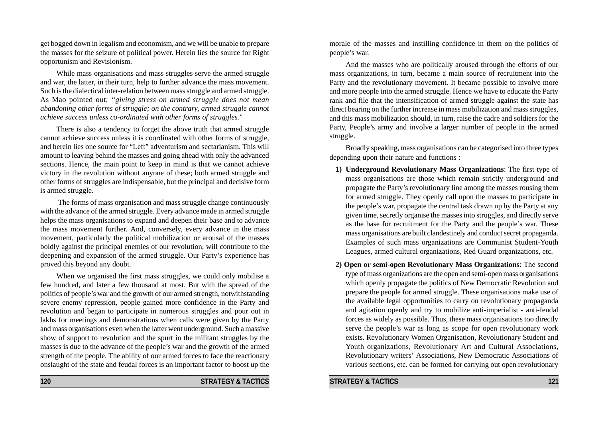get bogged down in legalism and economism, and we will be unable to prepare the masses for the seizure of political power. Herein lies the source for Right opportunism and Revisionism.

While mass organisations and mass struggles serve the armed struggle and war, the latter, in their turn, help to further advance the mass movement. Such is the dialectical inter-relation between mass struggle and armed struggle. As Mao pointed out; *"giving stress on armed struggle does not mean abandoning other forms of struggle; on the contrary, armed struggle cannot achieve success unless co-ordinated with other forms of struggles.*"

There is also a tendency to forget the above truth that armed struggle cannot achieve success unless it is coordinated with other forms of struggle, and herein lies one source for "Left" adventurism and sectarianism. This will amount to leaving behind the masses and going ahead with only the advanced sections. Hence, the main point to keep in mind is that we cannot achieve victory in the revolution without anyone of these; both armed struggle and other forms of struggles are indispensable, but the principal and decisive form is armed struggle.

 The forms of mass organisation and mass struggle change continuously with the advance of the armed struggle. Every advance made in armed struggle helps the mass organisations to expand and deepen their base and to advance the mass movement further. And, conversely, every advance in the mass movement, particularly the political mobilization or arousal of the masses boldly against the principal enemies of our revolution, will contribute to the deepening and expansion of the armed struggle. Our Party's experience has proved this beyond any doubt.

When we organised the first mass struggles, we could only mobilise a few hundred, and later a few thousand at most. But with the spread of the politics of people's war and the growth of our armed strength, notwithstanding severe enemy repression, people gained more confidence in the Party and revolution and began to participate in numerous struggles and pour out in lakhs for meetings and demonstrations when calls were given by the Party and mass organisations even when the latter went underground. Such a massive show of support to revolution and the spurt in the militant struggles by the masses is due to the advance of the people's war and the growth of the armed strength of the people. The ability of our armed forces to face the reactionary onslaught of the state and feudal forces is an important factor to boost up the

**120 STRATEGY & TACTICS**

morale of the masses and instilling confidence in them on the politics of people's war.

And the masses who are politically aroused through the efforts of our mass organizations, in turn, became a main source of recruitment into the Party and the revolutionary movement. It became possible to involve more and more people into the armed struggle. Hence we have to educate the Party rank and file that the intensification of armed struggle against the state has direct bearing on the further increase in mass mobilization and mass struggles, and this mass mobilization should, in turn, raise the cadre and soldiers for the Party, People's army and involve a larger number of people in the armed struggle.

Broadly speaking, mass organisations can be categorised into three types depending upon their nature and functions :

- **1) Underground Revolutionary Mass Organizations**: The first type of mass organisations are those which remain strictly underground and propagate the Party's revolutionary line among the masses rousing them for armed struggle. They openly call upon the masses to participate in the people's war, propagate the central task drawn up by the Party at any given time, secretly organise the masses into struggles, and directly serve as the base for recruitment for the Party and the people's war. These mass organisations are built clandestinely and conduct secret propaganda. Examples of such mass organizations are Communist Student-Youth Leagues, armed cultural organizations, Red Guard organizations, etc.
- **2) Open or semi-open Revolutionary Mass Organizations**: The second type of mass organizations are the open and semi-open mass organisations which openly propagate the politics of New Democratic Revolution and prepare the people for armed struggle. These organisations make use of the available legal opportunities to carry on revolutionary propaganda and agitation openly and try to mobilize anti-imperialist - anti-feudal forces as widely as possible. Thus, these mass organisations too directly serve the people's war as long as scope for open revolutionary work exists. Revolutionary Women Organisation, Revolutionary Student and Youth organizations, Revolutionary Art and Cultural Associations, Revolutionary writers' Associations, New Democratic Associations of various sections, etc. can be formed for carrying out open revolutionary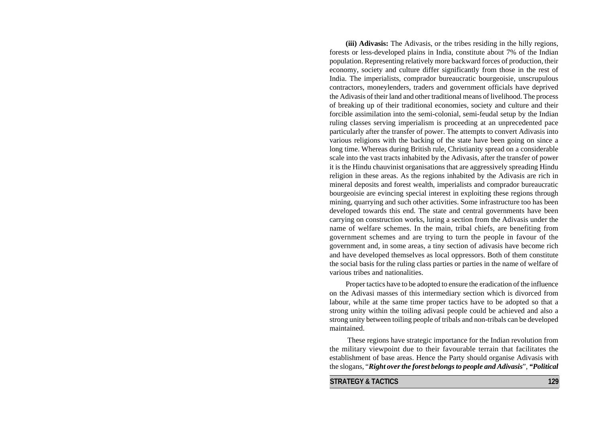**(iii) Adivasis:** The Adivasis, or the tribes residing in the hilly regions, forests or less-developed plains in India, constitute about 7% of the Indian population. Representing relatively more backward forces of production, their economy, society and culture differ significantly from those in the rest of India. The imperialists, comprador bureaucratic bourgeoisie, unscrupulous contractors, moneylenders, traders and government officials have deprived the Adivasis of their land and other traditional means of livelihood. The process of breaking up of their traditional economies, society and culture and their forcible assimilation into the semi-colonial, semi-feudal setup by the Indian ruling classes serving imperialism is proceeding at an unprecedented pace particularly after the transfer of power. The attempts to convert Adivasis into various religions with the backing of the state have been going on since a long time. Whereas during British rule, Christianity spread on a considerable scale into the vast tracts inhabited by the Adivasis, after the transfer of power it is the Hindu chauvinist organisations that are aggressively spreading Hindu religion in these areas. As the regions inhabited by the Adivasis are rich in mineral deposits and forest wealth, imperialists and comprador bureaucratic bourgeoisie are evincing special interest in exploiting these regions through mining, quarrying and such other activities. Some infrastructure too has been developed towards this end. The state and central governments have been carrying on construction works, luring a section from the Adivasis under the name of welfare schemes. In the main, tribal chiefs, are benefiting from government schemes and are trying to turn the people in favour of the government and, in some areas, a tiny section of adivasis have become rich and have developed themselves as local oppressors. Both of them constitute the social basis for the ruling class parties or parties in the name of welfare of various tribes and nationalities.

Proper tactics have to be adopted to ensure the eradication of the influence on the Adivasi masses of this intermediary section which is divorced from labour, while at the same time proper tactics have to be adopted so that a strong unity within the toiling adivasi people could be achieved and also a strong unity between toiling people of tribals and non-tribals can be developed maintained.

 These regions have strategic importance for the Indian revolution from the military viewpoint due to their favourable terrain that facilitates the establishment of base areas. Hence the Party should organise Adivasis with the slogans, "*Right over the forest belongs to people and Adivasis*", *"Political*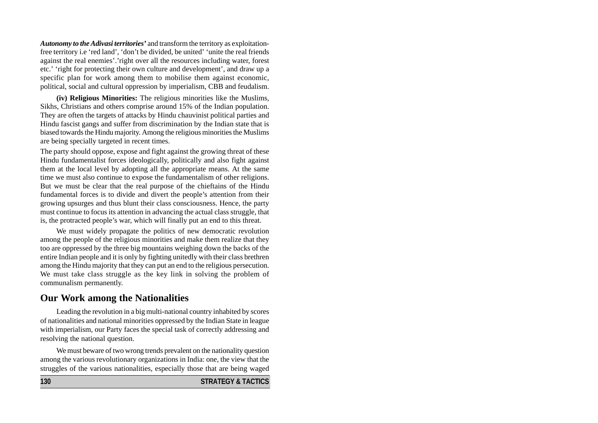*Autonomy to the Adivasi territories'* and transform the territory as exploitationfree territory i.e 'red land', 'don't be divided, be united' 'unite the real friends against the real enemies'.'right over all the resources including water, forest etc.' 'right for protecting their own culture and development', and draw up a specific plan for work among them to mobilise them against economic, political, social and cultural oppression by imperialism, CBB and feudalism.

**(iv) Religious Minorities:** The religious minorities like the Muslims, Sikhs, Christians and others comprise around 15% of the Indian population. They are often the targets of attacks by Hindu chauvinist political parties and Hindu fascist gangs and suffer from discrimination by the Indian state that is biased towards the Hindu majority. Among the religious minorities the Muslims are being specially targeted in recent times.

The party should oppose, expose and fight against the growing threat of these Hindu fundamentalist forces ideologically, politically and also fight against them at the local level by adopting all the appropriate means. At the same time we must also continue to expose the fundamentalism of other religions. But we must be clear that the real purpose of the chieftains of the Hindu fundamental forces is to divide and divert the people's attention from their growing upsurges and thus blunt their class consciousness. Hence, the party must continue to focus its attention in advancing the actual class struggle, that is, the protracted people's war, which will finally put an end to this threat.

We must widely propagate the politics of new democratic revolution among the people of the religious minorities and make them realize that they too are oppressed by the three big mountains weighing down the backs of the entire Indian people and it is only by fighting unitedly with their class brethren among the Hindu majority that they can put an end to the religious persecution. We must take class struggle as the key link in solving the problem of communalism permanently.

# **Our Work among the Nationalities**

Leading the revolution in a big multi-national country inhabited by scores of nationalities and national minorities oppressed by the Indian State in league with imperialism, our Party faces the special task of correctly addressing and resolving the national question.

We must beware of two wrong trends prevalent on the nationality question among the various revolutionary organizations in India: one, the view that the struggles of the various nationalities, especially those that are being waged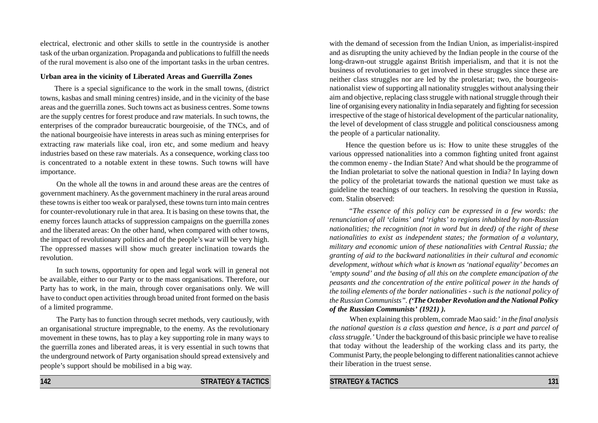electrical, electronic and other skills to settle in the countryside is another task of the urban organization. Propaganda and publications to fulfill the needs of the rural movement is also one of the important tasks in the urban centres.

#### **Urban area in the vicinity of Liberated Areas and Guerrilla Zones**

There is a special significance to the work in the small towns, (district towns, kasbas and small mining centres) inside, and in the vicinity of the base areas and the guerrilla zones. Such towns act as business centres. Some towns are the supply centres for forest produce and raw materials. In such towns, the enterprises of the comprador bureaucratic bourgeoisie, of the TNCs, and of the national bourgeoisie have interests in areas such as mining enterprises for extracting raw materials like coal, iron etc, and some medium and heavy industries based on these raw materials. As a consequence, working class too is concentrated to a notable extent in these towns. Such towns will have importance.

On the whole all the towns in and around these areas are the centres of government machinery. As the government machinery in the rural areas around these towns is either too weak or paralysed, these towns turn into main centres for counter-revolutionary rule in that area. It is basing on these towns that, the enemy forces launch attacks of suppression campaigns on the guerrilla zones and the liberated areas: On the other hand, when compared with other towns, the impact of revolutionary politics and of the people's war will be very high. The oppressed masses will show much greater inclination towards the revolution.

In such towns, opportunity for open and legal work will in general not be available, either to our Party or to the mass organisations. Therefore, our Party has to work, in the main, through cover organisations only. We will have to conduct open activities through broad united front formed on the basis of a limited programme.

The Party has to function through secret methods, very cautiously, with an organisational structure impregnable, to the enemy. As the revolutionary movement in these towns, has to play a key supporting role in many ways to the guerrilla zones and liberated areas, it is very essential in such towns that the underground network of Party organisation should spread extensively and people's support should be mobilised in a big way.

with the demand of secession from the Indian Union, as imperialist-inspired and as disrupting the unity achieved by the Indian people in the course of the long-drawn-out struggle against British imperialism, and that it is not the business of revolutionaries to get involved in these struggles since these are neither class struggles nor are led by the proletariat; two, the bourgeoisnationalist view of supporting all nationality struggles without analysing their aim and objective, replacing class struggle with national struggle through their line of organising every nationality in India separately and fighting for secession irrespective of the stage of historical development of the particular nationality, the level of development of class struggle and political consciousness among the people of a particular nationality.

Hence the question before us is: How to unite these struggles of the various oppressed nationalities into a common fighting united front against the common enemy - the Indian State? And what should be the programme of the Indian proletariat to solve the national question in India? In laying down the policy of the proletariat towards the national question we must take as guideline the teachings of our teachers. In resolving the question in Russia, com. Stalin observed:

*"The essence of this policy can be expressed in a few words: the renunciation of all 'claims' and 'rights' to regions inhabited by non-Russian nationalities; the recognition (not in word but in deed) of the right of these nationalities to exist as independent states; the formation of a voluntary, military and economic union of these nationalities with Central Russia; the granting of aid to the backward nationalities in their cultural and economic development, without which what is known as 'national equality' becomes an 'empty sound' and the basing of all this on the complete emancipation of the peasants and the concentration of the entire political power in the hands of the toiling elements of the border nationalities - such is the national policy of the Russian Communists". ('The October Revolution and the National Policy of the Russian Communists' (1921) ).*

When explaining this problem, comrade Mao said:*' in the final analysis the national question is a class question and hence, is a part and parcel of class struggle.'* Under the background of this basic principle we have to realise that today without the leadership of the working class and its party, the Communist Party, the people belonging to different nationalities cannot achieve their liberation in the truest sense.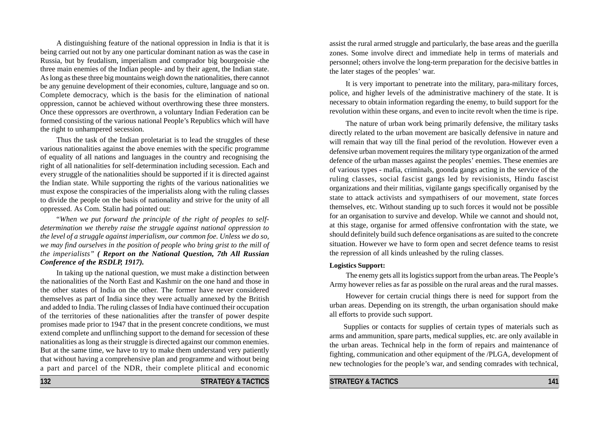A distinguishing feature of the national oppression in India is that it is being carried out not by any one particular dominant nation as was the case in Russia, but by feudalism, imperialism and comprador big bourgeoisie -the three main enemies of the Indian people- and by their agent, the Indian state. As long as these three big mountains weigh down the nationalities, there cannot be any genuine development of their economies, culture, language and so on. Complete democracy, which is the basis for the elimination of national oppression, cannot be achieved without overthrowing these three monsters. Once these oppressors are overthrown, a voluntary Indian Federation can be formed consisting of the various national People's Republics which will have the right to unhampered secession.

Thus the task of the Indian proletariat is to lead the struggles of these various nationalities against the above enemies with the specific programme of equality of all nations and languages in the country and recognising the right of all nationalities for self-determination including secession. Each and every struggle of the nationalities should be supported if it is directed against the Indian state. While supporting the rights of the various nationalities we must expose the conspiracies of the imperialists along with the ruling classes to divide the people on the basis of nationality and strive for the unity of all oppressed. As Com. Stalin had pointed out:

"*When we put forward the principle of the right of peoples to selfdetermination we thereby raise the struggle against national oppression to the level of a struggle against imperialism, our common foe. Unless we do so, we may find ourselves in the position of people who bring grist to the mill of the imperialists" ( Report on the National Question, 7th All Russian Conference of the RSDLP, 1917).*

In taking up the national question, we must make a distinction between the nationalities of the North East and Kashmir on the one hand and those in the other states of India on the other. The former have never considered themselves as part of India since they were actually annexed by the British and added to India. The ruling classes of India have continued their occupation of the territories of these nationalities after the transfer of power despite promises made prior to 1947 that in the present concrete conditions, we must extend complete and unflinching support to the demand for secession of these nationalities as long as their struggle is directed against our common enemies. But at the same time, we have to try to make them understand very patiently that without having a comprehensive plan and programme and without being a part and parcel of the NDR, their complete plitical and economic assist the rural armed struggle and particularly, the base areas and the guerilla zones. Some involve direct and immediate help in terms of materials and personnel; others involve the long-term preparation for the decisive battles in the later stages of the peoples' war.

It is very important to penetrate into the military, para-military forces, police, and higher levels of the administrative machinery of the state. It is necessary to obtain information regarding the enemy, to build support for the revolution within these organs, and even to incite revolt when the time is ripe.

The nature of urban work being primarily defensive, the military tasks directly related to the urban movement are basically defensive in nature and will remain that way till the final period of the revolution. However even a defensive urban movement requires the military type organization of the armed defence of the urban masses against the peoples' enemies. These enemies are of various types - mafia, criminals, goonda gangs acting in the service of the ruling classes, social fascist gangs led by revisionists, Hindu fascist organizations and their militias, vigilante gangs specifically organised by the state to attack activists and sympathisers of our movement, state forces themselves, etc. Without standing up to such forces it would not be possible for an organisation to survive and develop. While we cannot and should not, at this stage, organise for armed offensive confrontation with the state, we should definitely build such defence organisations as are suited to the concrete situation. However we have to form open and secret defence teams to resist the repression of all kinds unleashed by the ruling classes.

#### **Logistics Support:**

The enemy gets all its logistics support from the urban areas. The People's Army however relies as far as possible on the rural areas and the rural masses.

However for certain crucial things there is need for support from the urban areas. Depending on its strength, the urban organisation should make all efforts to provide such support.

Supplies or contacts for supplies of certain types of materials such as arms and ammunition, spare parts, medical supplies, etc. are only available in the urban areas. Technical help in the form of repairs and maintenance of fighting, communication and other equipment of the /PLGA, development of new technologies for the people's war, and sending comrades with technical,

**132 STRATEGY & TACTICS**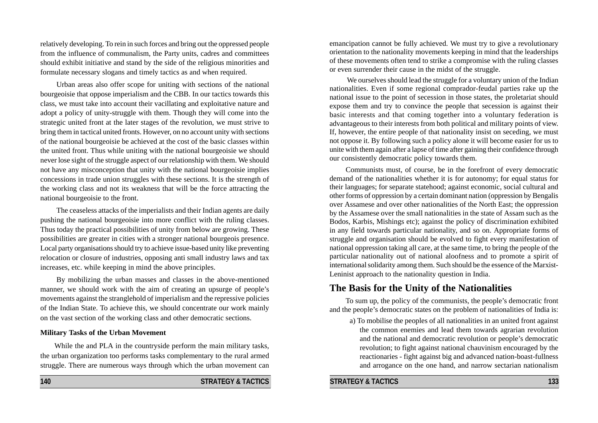relatively developing. To rein in such forces and bring out the oppressed people from the influence of communalism, the Party units, cadres and committees should exhibit initiative and stand by the side of the religious minorities and formulate necessary slogans and timely tactics as and when required.

Urban areas also offer scope for uniting with sections of the national bourgeoisie that oppose imperialism and the CBB. In our tactics towards this class, we must take into account their vacillating and exploitative nature and adopt a policy of unity-struggle with them. Though they will come into the strategic united front at the later stages of the revolution, we must strive to bring them in tactical united fronts. However, on no account unity with sections of the national bourgeoisie be achieved at the cost of the basic classes within the united front. Thus while uniting with the national bourgeoisie we should never lose sight of the struggle aspect of our relationship with them. We should not have any misconception that unity with the national bourgeoisie implies concessions in trade union struggles with these sections. It is the strength of the working class and not its weakness that will be the force attracting the national bourgeoisie to the front.

The ceaseless attacks of the imperialists and their Indian agents are daily pushing the national bourgeoisie into more conflict with the ruling classes. Thus today the practical possibilities of unity from below are growing. These possibilities are greater in cities with a stronger national bourgeois presence. Local party organisations should try to achieve issue-based unity like preventing relocation or closure of industries, opposing anti small industry laws and tax increases, etc. while keeping in mind the above principles.

By mobilizing the urban masses and classes in the above-mentioned manner, we should work with the aim of creating an upsurge of people's movements against the stranglehold of imperialism and the repressive policies of the Indian State. To achieve this, we should concentrate our work mainly on the vast section of the working class and other democratic sections.

#### **Military Tasks of the Urban Movement**

While the and PLA in the countryside perform the main military tasks, the urban organization too performs tasks complementary to the rural armed struggle. There are numerous ways through which the urban movement can

**140 STRATEGY & TACTICS**

emancipation cannot be fully achieved. We must try to give a revolutionary orientation to the nationality movements keeping in mind that the leaderships of these movements often tend to strike a compromise with the ruling classes or even surrender their cause in the midst of the struggle.

We ourselves should lead the struggle for a voluntary union of the Indian nationalities. Even if some regional comprador-feudal parties rake up the national issue to the point of secession in those states, the proletariat should expose them and try to convince the people that secession is against their basic interests and that coming together into a voluntary federation is advantageous to their interests from both political and military points of view. If, however, the entire people of that nationality insist on seceding, we must not oppose it. By following such a policy alone it will become easier for us to unite with them again after a lapse of time after gaining their confidence through our consistently democratic policy towards them.

Communists must, of course, be in the forefront of every democratic demand of the nationalities whether it is for autonomy; for equal status for their languages; for separate statehood; against economic, social cultural and other forms of oppression by a certain dominant nation (oppression by Bengalis over Assamese and over other nationalities of the North East; the oppression by the Assamese over the small nationalities in the state of Assam such as the Bodos, Karbis, Mishings etc); against the policy of discrimination exhibited in any field towards particular nationality, and so on. Appropriate forms of struggle and organisation should be evolved to fight every manifestation of national oppression taking all care, at the same time, to bring the people of the particular nationality out of national aloofness and to promote a spirit of international solidarity among them. Such should be the essence of the Marxist-Leninist approach to the nationality question in India.

# **The Basis for the Unity of the Nationalities**

To sum up, the policy of the communists, the people's democratic front and the people's democratic states on the problem of nationalities of India is:

a) To mobilise the peoples of all nationalities in an united front against the common enemies and lead them towards agrarian revolution and the national and democratic revolution or people's democratic revolution; to fight against national chauvinism encouraged by the reactionaries - fight against big and advanced nation-boast-fullness and arrogance on the one hand, and narrow sectarian nationalism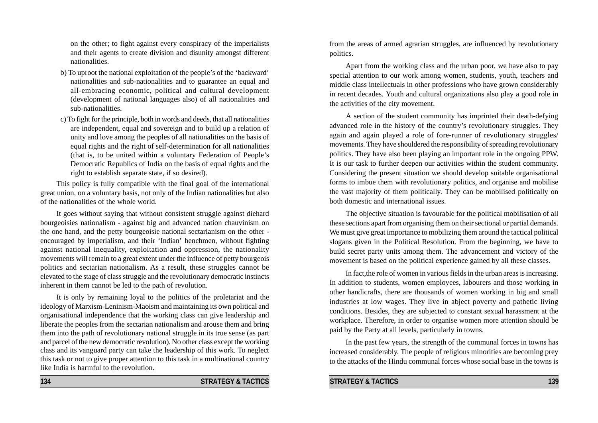on the other; to fight against every conspiracy of the imperialists and their agents to create division and disunity amongst different nationalities.

- b) To uproot the national exploitation of the people's of the 'backward' nationalities and sub-nationalities and to guarantee an equal and all-embracing economic, political and cultural development (development of national languages also) of all nationalities and sub-nationalities.
- c) To fight for the principle, both in words and deeds, that all nationalities are independent, equal and sovereign and to build up a relation of unity and love among the peoples of all nationalities on the basis of equal rights and the right of self-determination for all nationalities (that is, to be united within a voluntary Federation of People's Democratic Republics of India on the basis of equal rights and the right to establish separate state, if so desired).

This policy is fully compatible with the final goal of the international great union, on a voluntary basis, not only of the Indian nationalities but also of the nationalities of the whole world.

It goes without saying that without consistent struggle against diehard bourgeoisies nationalism - against big and advanced nation chauvinism on the one hand, and the petty bourgeoisie national sectarianism on the other encouraged by imperialism, and their 'Indian' henchmen, without fighting against national inequality, exploitation and oppression, the nationality movements will remain to a great extent under the influence of petty bourgeois politics and sectarian nationalism. As a result, these struggles cannot be elevated to the stage of class struggle and the revolutionary democratic instincts inherent in them cannot be led to the path of revolution.

It is only by remaining loyal to the politics of the proletariat and the ideology of Marxism-Leninism-Maoism and maintaining its own political and organisational independence that the working class can give leadership and liberate the peoples from the sectarian nationalism and arouse them and bring them into the path of revolutionary national struggle in its true sense (as part and parcel of the new democratic revolution). No other class except the working class and its vanguard party can take the leadership of this work. To neglect this task or not to give proper attention to this task in a multinational country like India is harmful to the revolution.

from the areas of armed agrarian struggles, are influenced by revolutionary politics.

Apart from the working class and the urban poor, we have also to pay special attention to our work among women, students, youth, teachers and middle class intellectuals in other professions who have grown considerably in recent decades. Youth and cultural organizations also play a good role in the activities of the city movement.

A section of the student community has imprinted their death-defying advanced role in the history of the country's revolutionary struggles. They again and again played a role of fore-runner of revolutionary struggles/ movements. They have shouldered the responsibility of spreading revolutionary politics. They have also been playing an important role in the ongoing PPW. It is our task to further deepen our activities within the student community. Considering the present situation we should develop suitable organisational forms to imbue them with revolutionary politics, and organise and mobilise the vast majority of them politically. They can be mobilised politically on both domestic and international issues.

The objective situation is favourable for the political mobilisation of all these sections apart from organising them on their sectional or partial demands. We must give great importance to mobilizing them around the tactical political slogans given in the Political Resolution. From the beginning, we have to build secret party units among them. The advancement and victory of the movement is based on the political experience gained by all these classes.

In fact,the role of women in various fields in the urban areas is increasing. In addition to students, women employees, labourers and those working in other handicrafts, there are thousands of women working in big and small industries at low wages. They live in abject poverty and pathetic living conditions. Besides, they are subjected to constant sexual harassment at the workplace. Therefore, in order to organise women more attention should be paid by the Party at all levels, particularly in towns.

In the past few years, the strength of the communal forces in towns has increased considerably. The people of religious minorities are becoming prey to the attacks of the Hindu communal forces whose social base in the towns is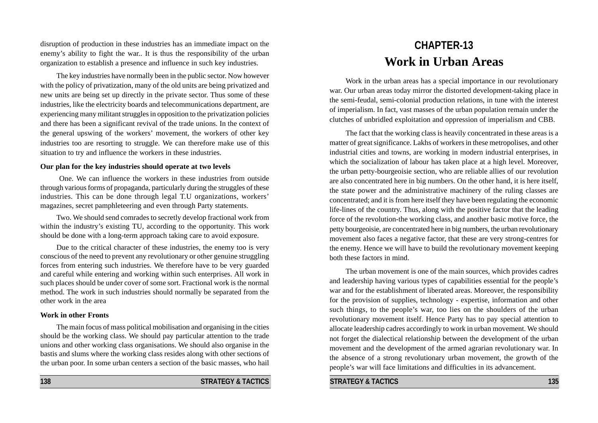disruption of production in these industries has an immediate impact on the enemy's ability to fight the war.. It is thus the responsibility of the urban organization to establish a presence and influence in such key industries.

The key industries have normally been in the public sector. Now however with the policy of privatization, many of the old units are being privatized and new units are being set up directly in the private sector. Thus some of these industries, like the electricity boards and telecommunications department, are experiencing many militant struggles in opposition to the privatization policies and there has been a significant revival of the trade unions. In the context of the general upswing of the workers' movement, the workers of other key industries too are resorting to struggle. We can therefore make use of this situation to try and influence the workers in these industries.

#### **Our plan for the key industries should operate at two levels**

 One. We can influence the workers in these industries from outside through various forms of propaganda, particularly during the struggles of these industries. This can be done through legal T.U organizations, workers' magazines, secret pamphleteering and even through Party statements.

Two. We should send comrades to secretly develop fractional work from within the industry's existing TU, according to the opportunity. This work should be done with a long-term approach taking care to avoid exposure.

Due to the critical character of these industries, the enemy too is very conscious of the need to prevent any revolutionary or other genuine struggling forces from entering such industries. We therefore have to be very guarded and careful while entering and working within such enterprises. All work in such places should be under cover of some sort. Fractional work is the normal method. The work in such industries should normally be separated from the other work in the area

#### **Work in other Fronts**

The main focus of mass political mobilisation and organising in the cities should be the working class. We should pay particular attention to the trade unions and other working class organisations. We should also organise in the bastis and slums where the working class resides along with other sections of the urban poor. In some urban centers a section of the basic masses, who hail

**138** STRATEGY & TACTICS

# **CHAPTER-13 Work in Urban Areas**

Work in the urban areas has a special importance in our revolutionary war. Our urban areas today mirror the distorted development-taking place in the semi-feudal, semi-colonial production relations, in tune with the interest of imperialism. In fact, vast masses of the urban population remain under the clutches of unbridled exploitation and oppression of imperialism and CBB.

The fact that the working class is heavily concentrated in these areas is a matter of great significance. Lakhs of workers in these metropolises, and other industrial cities and towns, are working in modern industrial enterprises, in which the socialization of labour has taken place at a high level. Moreover, the urban petty-bourgeoisie section, who are reliable allies of our revolution are also concentrated here in big numbers. On the other hand, it is here itself, the state power and the administrative machinery of the ruling classes are concentrated; and it is from here itself they have been regulating the economic life-lines of the country. Thus, along with the positive factor that the leading force of the revolution-the working class, and another basic motive force, the petty bourgeoisie, are concentrated here in big numbers, the urban revolutionary movement also faces a negative factor, that these are very strong-centres for the enemy. Hence we will have to build the revolutionary movement keeping both these factors in mind.

The urban movement is one of the main sources, which provides cadres and leadership having various types of capabilities essential for the people's war and for the establishment of liberated areas. Moreover, the responsibility for the provision of supplies, technology - expertise, information and other such things, to the people's war, too lies on the shoulders of the urban revolutionary movement itself. Hence Party has to pay special attention to allocate leadership cadres accordingly to work in urban movement. We should not forget the dialectical relationship between the development of the urban movement and the development of the armed agrarian revolutionary war. In the absence of a strong revolutionary urban movement, the growth of the people's war will face limitations and difficulties in its advancement.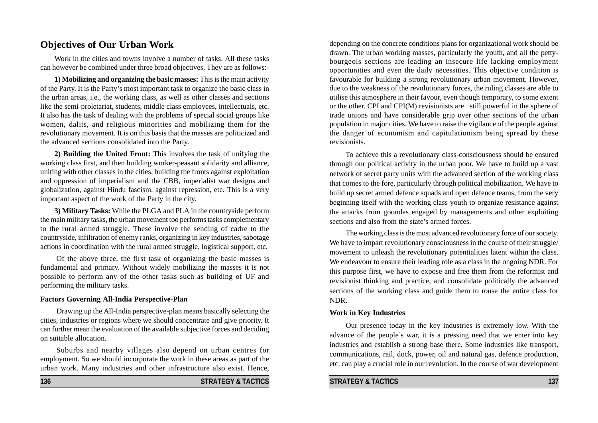# **Objectives of Our Urban Work**

Work in the cities and towns involve a number of tasks. All these tasks can however be combined under three broad objectives. They are as follows:-

**1) Mobilizing and organizing the basic masses:** This is the main activity of the Party. It is the Party's most important task to organize the basic class in the urban areas, i.e., the working class, as well as other classes and sections like the semi-proletariat, students, middle class employees, intellectuals, etc. It also has the task of dealing with the problems of special social groups like women, dalits, and religious minorities and mobilizing them for the revolutionary movement. It is on this basis that the masses are politicized and the advanced sections consolidated into the Party.

**2) Building the United Front:** This involves the task of unifying the working class first, and then building worker-peasant solidarity and alliance, uniting with other classes in the cities, building the fronts against exploitation and oppression of imperialism and the CBB, imperialist war designs and globalization, against Hindu fascism, against repression, etc. This is a very important aspect of the work of the Party in the city.

**3) Military Tasks:** While the PLGA and PLA in the countryside perform the main military tasks, the urban movement too performs tasks complementary to the rural armed struggle. These involve the sending of cadre to the countryside, infiltration of enemy ranks, organizing in key industries, sabotage actions in coordination with the rural armed struggle, logistical support, etc.

Of the above three, the first task of organizing the basic masses is fundamental and primary. Without widely mobilizing the masses it is not possible to perform any of the other tasks such as building of UF and performing the military tasks.

#### **Factors Governing All-India Perspective-Plan**

Drawing up the All-India perspective-plan means basically selecting the cities, industries or regions where we should concentrate and give priority. It can further mean the evaluation of the available subjective forces and deciding on suitable allocation.

Suburbs and nearby villages also depend on urban centres for employment. So we should incorporate the work in these areas as part of the urban work. Many industries and other infrastructure also exist. Hence,

depending on the concrete conditions plans for organizational work should be drawn. The urban working masses, particularly the youth, and all the pettybourgeois sections are leading an insecure life lacking employment opportunities and even the daily necessities. This objective condition is favourable for building a strong revolutionary urban movement. However, due to the weakness of the revolutionary forces, the ruling classes are able to utilise this atmosphere in their favour, even though temporary, to some extent or the other. CPI and CPI(M) revisionists are still powerful in the sphere of trade unions and have considerable grip over other sections of the urban population in major cities. We have to raise the vigilance of the people against the danger of economism and capitulationism being spread by these revisionists.

To achieve this a revolutionary class-consciousness should be ensured through our political activity in the urban poor. We have to build up a vast network of secret party units with the advanced section of the working class that comes to the fore, particularly through political mobilization. We have to build up secret armed defence squads and open defence teams, from the very beginning itself with the working class youth to organize resistance against the attacks from goondas engaged by managements and other exploiting sections and also from the state's armed forces.

The working class is the most advanced revolutionary force of our society. We have to impart revolutionary consciousness in the course of their struggle/ movement to unleash the revolutionary potentialities latent within the class. We endeavour to ensure their leading role as a class in the ongoing NDR. For this purpose first, we have to expose and free them from the reformist and revisionist thinking and practice, and consolidate politically the advanced sections of the working class and guide them to rouse the entire class for NDR.

#### **Work in Key Industries**

Our presence today in the key industries is extremely low. With the advance of the people's war, it is a pressing need that we enter into key industries and establish a strong base there. Some industries like transport, communications, rail, dock, power, oil and natural gas, defence production, etc. can play a crucial role in our revolution. In the course of war development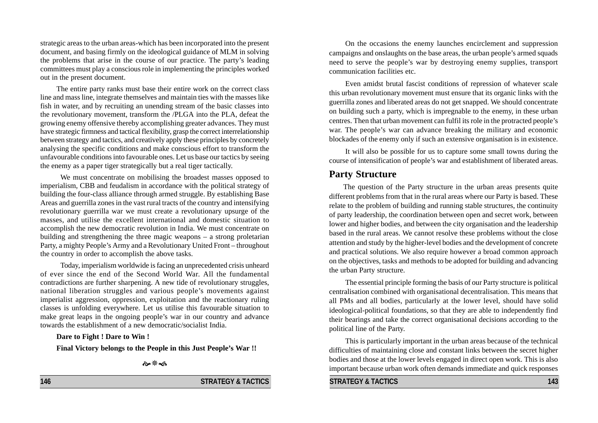strategic areas to the urban areas-which has been incorporated into the present document, and basing firmly on the ideological guidance of MLM in solving the problems that arise in the course of our practice. The party's leading committees must play a conscious role in implementing the principles worked out in the present document.

The entire party ranks must base their entire work on the correct class line and mass line, integrate themselves and maintain ties with the masses like fish in water, and by recruiting an unending stream of the basic classes into the revolutionary movement, transform the /PLGA into the PLA, defeat the growing enemy offensive thereby accomplishing greater advances. They must have strategic firmness and tactical flexibility, grasp the correct interrelationship between strategy and tactics, and creatively apply these principles by concretely analysing the specific conditions and make conscious effort to transform the unfavourable conditions into favourable ones. Let us base our tactics by seeing the enemy as a paper tiger strategically but a real tiger tactically.

We must concentrate on mobilising the broadest masses opposed to imperialism, CBB and feudalism in accordance with the political strategy of building the four-class alliance through armed struggle. By establishing Base Areas and guerrilla zones in the vast rural tracts of the country and intensifying revolutionary guerrilla war we must create a revolutionary upsurge of the masses, and utilise the excellent international and domestic situation to accomplish the new democratic revolution in India. We must concentrate on building and strengthening the three magic weapons – a strong proletarian Party, a mighty People's Army and a Revolutionary United Front – throughout the country in order to accomplish the above tasks.

Today, imperialism worldwide is facing an unprecedented crisis unheard of ever since the end of the Second World War. All the fundamental contradictions are further sharpening. A new tide of revolutionary struggles, national liberation struggles and various people's movements against imperialist aggression, oppression, exploitation and the reactionary ruling classes is unfolding everywhere. Let us utilise this favourable situation to make great leaps in the ongoing people's war in our country and advance towards the establishment of a new democratic/socialist India.

**Dare to Fight ! Dare to Win !**

**Final Victory belongs to the People in this Just People's War !!**

 $\lambda$ 

**146 STRATEGY & TACTICS**

On the occasions the enemy launches encirclement and suppression campaigns and onslaughts on the base areas, the urban people's armed squads need to serve the people's war by destroying enemy supplies, transport communication facilities etc.

Even amidst brutal fascist conditions of repression of whatever scale this urban revolutionary movement must ensure that its organic links with the guerrilla zones and liberated areas do not get snapped. We should concentrate on building such a party, which is impregnable to the enemy, in these urban centres. Then that urban movement can fulfil its role in the protracted people's war. The people's war can advance breaking the military and economic blockades of the enemy only if such an extensive organisation is in existence.

It will also be possible for us to capture some small towns during the course of intensification of people's war and establishment of liberated areas.

## **Party Structure**

The question of the Party structure in the urban areas presents quite different problems from that in the rural areas where our Party is based. These relate to the problem of building and running stable structures, the continuity of party leadership, the coordination between open and secret work, between lower and higher bodies, and between the city organisation and the leadership based in the rural areas. We cannot resolve these problems without the close attention and study by the higher-level bodies and the development of concrete and practical solutions. We also require however a broad common approach on the objectives, tasks and methods to be adopted for building and advancing the urban Party structure.

The essential principle forming the basis of our Party structure is political centralisation combined with organisational decentralisation. This means that all PMs and all bodies, particularly at the lower level, should have solid ideological-political foundations, so that they are able to independently find their bearings and take the correct organisational decisions according to the political line of the Party.

This is particularly important in the urban areas because of the technical difficulties of maintaining close and constant links between the secret higher bodies and those at the lower levels engaged in direct open work. This is also important because urban work often demands immediate and quick responses

**STRATEGY & TACTICS** 143